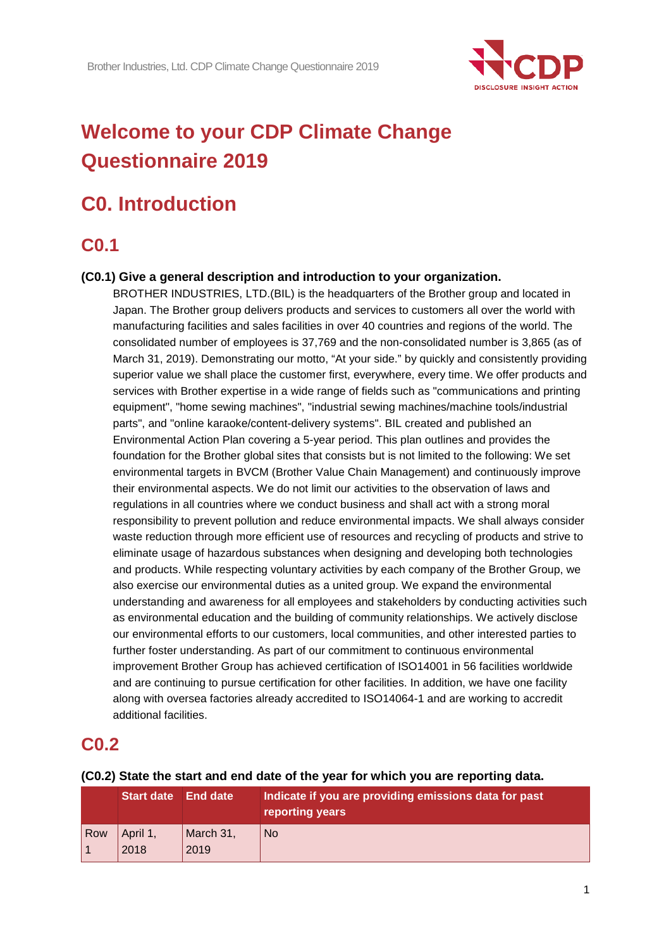

# **Welcome to your CDP Climate Change Questionnaire 2019**

# **C0. Introduction**

## **C0.1**

## **(C0.1) Give a general description and introduction to your organization.**

BROTHER INDUSTRIES, LTD.(BIL) is the headquarters of the Brother group and located in Japan. The Brother group delivers products and services to customers all over the world with manufacturing facilities and sales facilities in over 40 countries and regions of the world. The consolidated number of employees is 37,769 and the non-consolidated number is 3,865 (as of March 31, 2019). Demonstrating our motto, "At your side." by quickly and consistently providing superior value we shall place the customer first, everywhere, every time. We offer products and services with Brother expertise in a wide range of fields such as "communications and printing equipment", "home sewing machines", "industrial sewing machines/machine tools/industrial parts", and "online karaoke/content-delivery systems". BIL created and published an Environmental Action Plan covering a 5-year period. This plan outlines and provides the foundation for the Brother global sites that consists but is not limited to the following: We set environmental targets in BVCM (Brother Value Chain Management) and continuously improve their environmental aspects. We do not limit our activities to the observation of laws and regulations in all countries where we conduct business and shall act with a strong moral responsibility to prevent pollution and reduce environmental impacts. We shall always consider waste reduction through more efficient use of resources and recycling of products and strive to eliminate usage of hazardous substances when designing and developing both technologies and products. While respecting voluntary activities by each company of the Brother Group, we also exercise our environmental duties as a united group. We expand the environmental understanding and awareness for all employees and stakeholders by conducting activities such as environmental education and the building of community relationships. We actively disclose our environmental efforts to our customers, local communities, and other interested parties to further foster understanding. As part of our commitment to continuous environmental improvement Brother Group has achieved certification of ISO14001 in 56 facilities worldwide and are continuing to pursue certification for other facilities. In addition, we have one facility along with oversea factories already accredited to ISO14064-1 and are working to accredit additional facilities.

## **C0.2**

|     | <b>Start date</b> End date |                   | Indicate if you are providing emissions data for past<br>reporting years |
|-----|----------------------------|-------------------|--------------------------------------------------------------------------|
| Row | April 1,<br>2018           | March 31,<br>2019 | <b>No</b>                                                                |

#### **(C0.2) State the start and end date of the year for which you are reporting data.**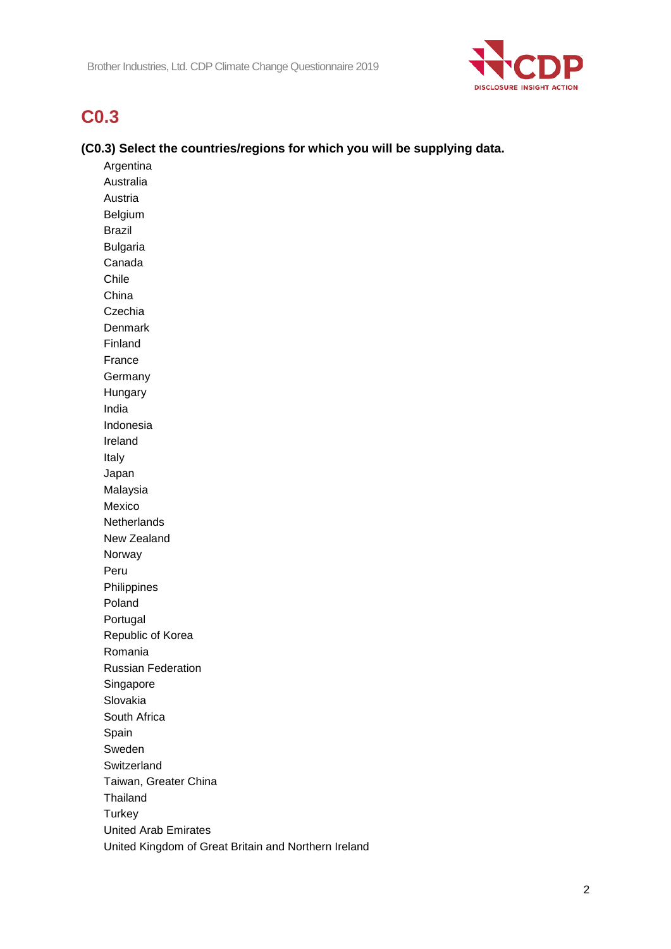

## **C0.3**

## **(C0.3) Select the countries/regions for which you will be supplying data.**

Argentina Australia Austria Belgium Brazil Bulgaria Canada Chile China Czechia Denmark Finland France Germany Hungary India Indonesia Ireland Italy Japan Malaysia Mexico **Netherlands** New Zealand Norway Peru Philippines Poland Portugal Republic of Korea Romania Russian Federation Singapore Slovakia South Africa Spain Sweden **Switzerland** Taiwan, Greater China Thailand **Turkey** United Arab Emirates United Kingdom of Great Britain and Northern Ireland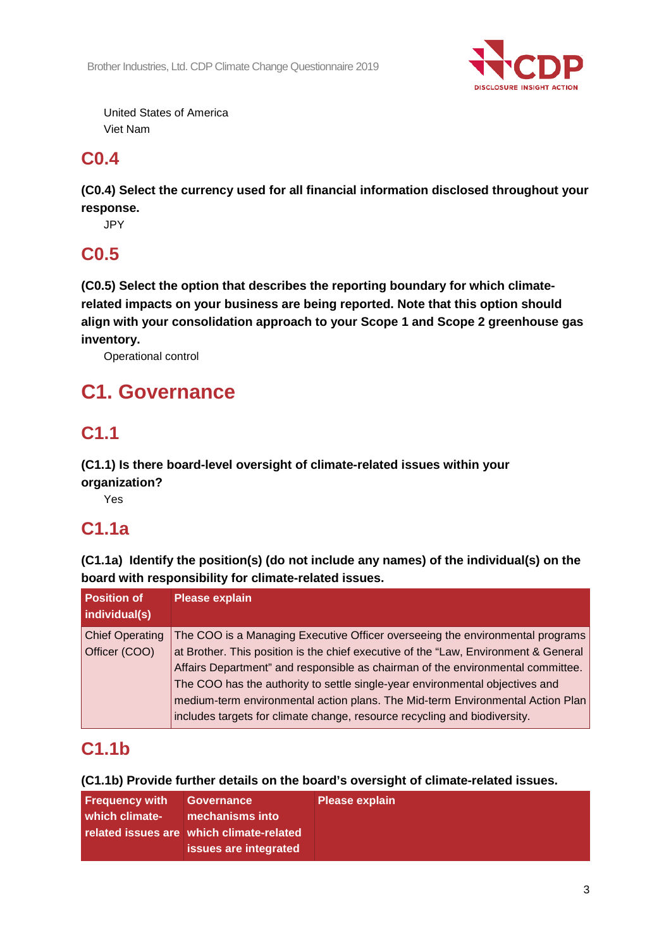

United States of America Viet Nam

# **C0.4**

**(C0.4) Select the currency used for all financial information disclosed throughout your response.**

JPY

# **C0.5**

**(C0.5) Select the option that describes the reporting boundary for which climaterelated impacts on your business are being reported. Note that this option should align with your consolidation approach to your Scope 1 and Scope 2 greenhouse gas inventory.**

Operational control

# **C1. Governance**

# **C1.1**

## **(C1.1) Is there board-level oversight of climate-related issues within your organization?**

Yes

# **C1.1a**

**(C1.1a) Identify the position(s) (do not include any names) of the individual(s) on the board with responsibility for climate-related issues.**

| <b>Position of</b><br>individual(s) | <b>Please explain</b>                                                               |
|-------------------------------------|-------------------------------------------------------------------------------------|
| <b>Chief Operating</b>              | The COO is a Managing Executive Officer overseeing the environmental programs       |
| Officer (COO)                       | at Brother. This position is the chief executive of the "Law, Environment & General |
|                                     | Affairs Department" and responsible as chairman of the environmental committee.     |
|                                     | The COO has the authority to settle single-year environmental objectives and        |
|                                     | medium-term environmental action plans. The Mid-term Environmental Action Plan      |
|                                     | includes targets for climate change, resource recycling and biodiversity.           |

# **C1.1b**

## **(C1.1b) Provide further details on the board's oversight of climate-related issues.**

| <b>Frequency with</b> | Governance                               | <b>Please explain</b> |
|-----------------------|------------------------------------------|-----------------------|
| which climate-        | mechanisms into                          |                       |
|                       | related issues are which climate-related |                       |
|                       | issues are integrated                    |                       |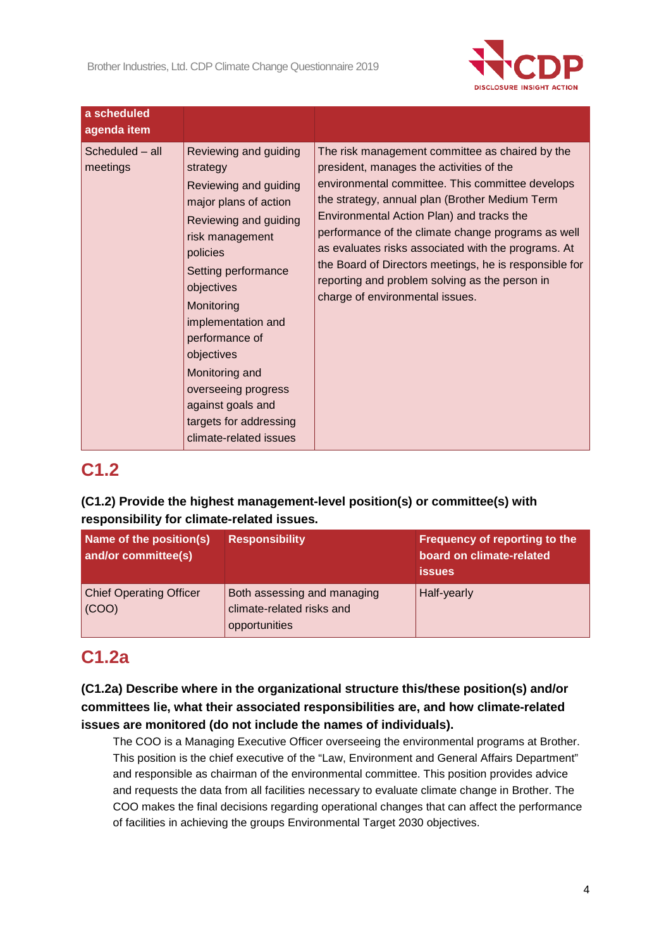

| a scheduled<br>agenda item  |                                                                                                                                                                                                                                                                                                                                                                        |                                                                                                                                                                                                                                                                                                                                                                                                                                                                                                            |
|-----------------------------|------------------------------------------------------------------------------------------------------------------------------------------------------------------------------------------------------------------------------------------------------------------------------------------------------------------------------------------------------------------------|------------------------------------------------------------------------------------------------------------------------------------------------------------------------------------------------------------------------------------------------------------------------------------------------------------------------------------------------------------------------------------------------------------------------------------------------------------------------------------------------------------|
| Scheduled - all<br>meetings | Reviewing and guiding<br>strategy<br>Reviewing and guiding<br>major plans of action<br>Reviewing and guiding<br>risk management<br>policies<br>Setting performance<br>objectives<br>Monitoring<br>implementation and<br>performance of<br>objectives<br>Monitoring and<br>overseeing progress<br>against goals and<br>targets for addressing<br>climate-related issues | The risk management committee as chaired by the<br>president, manages the activities of the<br>environmental committee. This committee develops<br>the strategy, annual plan (Brother Medium Term<br>Environmental Action Plan) and tracks the<br>performance of the climate change programs as well<br>as evaluates risks associated with the programs. At<br>the Board of Directors meetings, he is responsible for<br>reporting and problem solving as the person in<br>charge of environmental issues. |

## **C1.2**

## **(C1.2) Provide the highest management-level position(s) or committee(s) with responsibility for climate-related issues.**

| Name of the position(s)<br>and/or committee(s) | <b>Responsibility</b>                                                     | Frequency of reporting to the<br>board on climate-related<br><b>issues</b> |
|------------------------------------------------|---------------------------------------------------------------------------|----------------------------------------------------------------------------|
| <b>Chief Operating Officer</b><br>(COO)        | Both assessing and managing<br>climate-related risks and<br>opportunities | Half-yearly                                                                |

# **C1.2a**

**(C1.2a) Describe where in the organizational structure this/these position(s) and/or committees lie, what their associated responsibilities are, and how climate-related issues are monitored (do not include the names of individuals).**

The COO is a Managing Executive Officer overseeing the environmental programs at Brother. This position is the chief executive of the "Law, Environment and General Affairs Department" and responsible as chairman of the environmental committee. This position provides advice and requests the data from all facilities necessary to evaluate climate change in Brother. The COO makes the final decisions regarding operational changes that can affect the performance of facilities in achieving the groups Environmental Target 2030 objectives.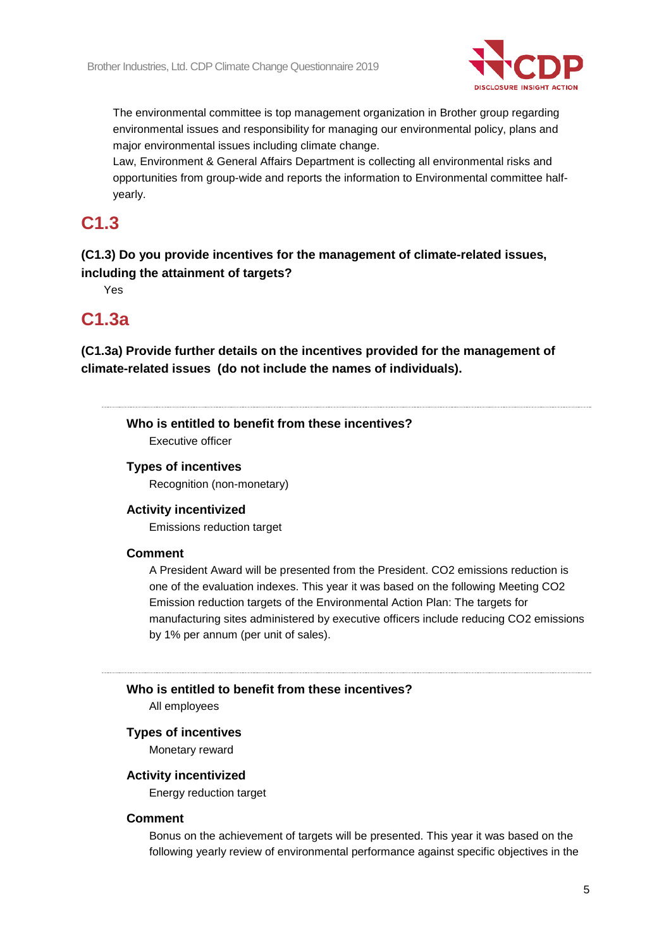

The environmental committee is top management organization in Brother group regarding environmental issues and responsibility for managing our environmental policy, plans and major environmental issues including climate change.

Law, Environment & General Affairs Department is collecting all environmental risks and opportunities from group-wide and reports the information to Environmental committee halfyearly.

# **C1.3**

**(C1.3) Do you provide incentives for the management of climate-related issues, including the attainment of targets?**

Yes

## **C1.3a**

**(C1.3a) Provide further details on the incentives provided for the management of climate-related issues (do not include the names of individuals).**

**Who is entitled to benefit from these incentives?** Executive officer

## **Types of incentives**

Recognition (non-monetary)

### **Activity incentivized**

Emissions reduction target

#### **Comment**

A President Award will be presented from the President. CO2 emissions reduction is one of the evaluation indexes. This year it was based on the following Meeting CO2 Emission reduction targets of the Environmental Action Plan: The targets for manufacturing sites administered by executive officers include reducing CO2 emissions by 1% per annum (per unit of sales).

## **Who is entitled to benefit from these incentives?**

All employees

#### **Types of incentives**

Monetary reward

#### **Activity incentivized**

Energy reduction target

#### **Comment**

Bonus on the achievement of targets will be presented. This year it was based on the following yearly review of environmental performance against specific objectives in the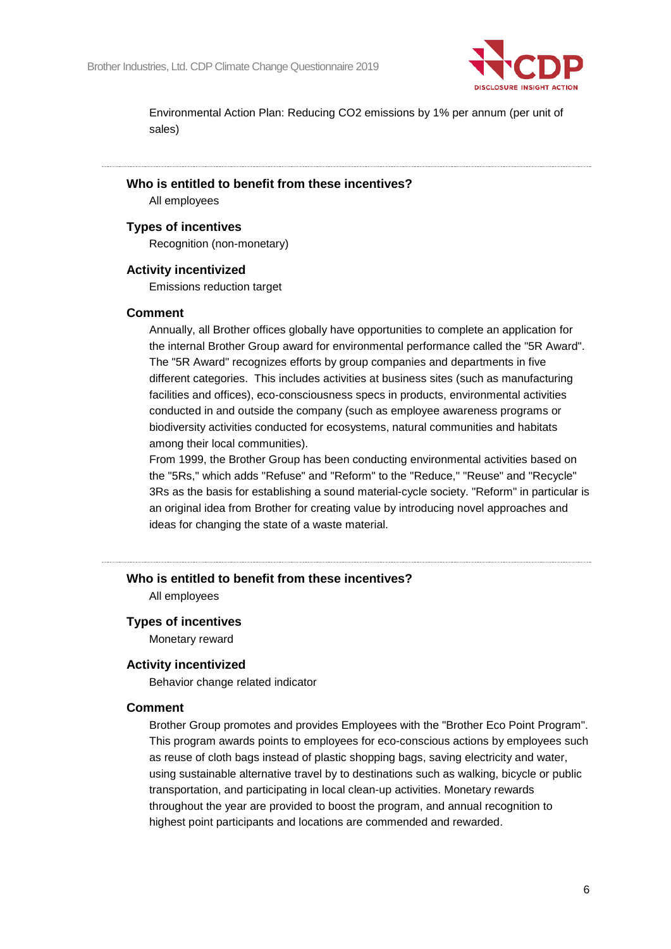

Environmental Action Plan: Reducing CO2 emissions by 1% per annum (per unit of sales)

#### **Who is entitled to benefit from these incentives?**

All employees

### **Types of incentives**

Recognition (non-monetary)

### **Activity incentivized**

Emissions reduction target

### **Comment**

Annually, all Brother offices globally have opportunities to complete an application for the internal Brother Group award for environmental performance called the "5R Award". The "5R Award" recognizes efforts by group companies and departments in five different categories. This includes activities at business sites (such as manufacturing facilities and offices), eco-consciousness specs in products, environmental activities conducted in and outside the company (such as employee awareness programs or biodiversity activities conducted for ecosystems, natural communities and habitats among their local communities).

From 1999, the Brother Group has been conducting environmental activities based on the "5Rs," which adds "Refuse" and "Reform" to the "Reduce," "Reuse" and "Recycle" 3Rs as the basis for establishing a sound material-cycle society. "Reform" in particular is an original idea from Brother for creating value by introducing novel approaches and ideas for changing the state of a waste material.

## **Who is entitled to benefit from these incentives?**

All employees

#### **Types of incentives**

Monetary reward

#### **Activity incentivized**

Behavior change related indicator

#### **Comment**

Brother Group promotes and provides Employees with the "Brother Eco Point Program". This program awards points to employees for eco-conscious actions by employees such as reuse of cloth bags instead of plastic shopping bags, saving electricity and water, using sustainable alternative travel by to destinations such as walking, bicycle or public transportation, and participating in local clean-up activities. Monetary rewards throughout the year are provided to boost the program, and annual recognition to highest point participants and locations are commended and rewarded.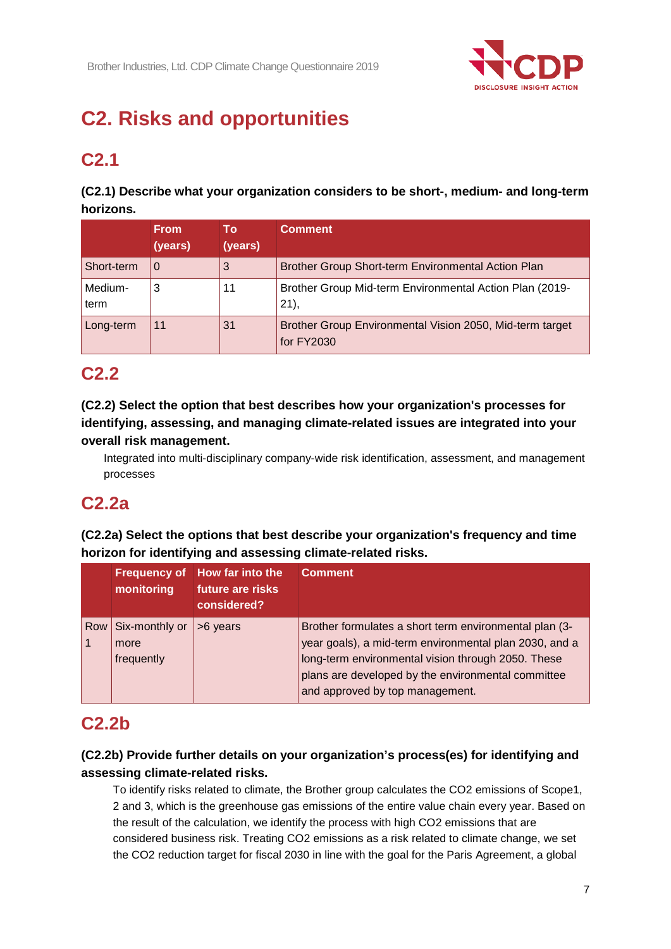

# **C2. Risks and opportunities**

# **C2.1**

**(C2.1) Describe what your organization considers to be short-, medium- and long-term horizons.**

|                 | <b>From</b><br>(years) | Τo<br>(years) | <b>Comment</b>                                                         |
|-----------------|------------------------|---------------|------------------------------------------------------------------------|
| Short-term      | O                      | 3             | Brother Group Short-term Environmental Action Plan                     |
| Medium-<br>term | 3                      | 11            | Brother Group Mid-term Environmental Action Plan (2019-<br>21,         |
| Long-term       | 11                     | 31            | Brother Group Environmental Vision 2050, Mid-term target<br>for FY2030 |

# **C2.2**

## **(C2.2) Select the option that best describes how your organization's processes for identifying, assessing, and managing climate-related issues are integrated into your overall risk management.**

Integrated into multi-disciplinary company-wide risk identification, assessment, and management processes

# **C2.2a**

**(C2.2a) Select the options that best describe your organization's frequency and time horizon for identifying and assessing climate-related risks.**

|     | monitoring                           | Frequency of How far into the<br>future are risks<br>considered? | <b>Comment</b>                                                                                                                                                                                                                                                  |
|-----|--------------------------------------|------------------------------------------------------------------|-----------------------------------------------------------------------------------------------------------------------------------------------------------------------------------------------------------------------------------------------------------------|
| Row | Six-monthly or<br>more<br>frequently | >6 years                                                         | Brother formulates a short term environmental plan (3-<br>year goals), a mid-term environmental plan 2030, and a<br>long-term environmental vision through 2050. These<br>plans are developed by the environmental committee<br>and approved by top management. |

## **C2.2b**

## **(C2.2b) Provide further details on your organization's process(es) for identifying and assessing climate-related risks.**

To identify risks related to climate, the Brother group calculates the CO2 emissions of Scope1, 2 and 3, which is the greenhouse gas emissions of the entire value chain every year. Based on the result of the calculation, we identify the process with high CO2 emissions that are considered business risk. Treating CO2 emissions as a risk related to climate change, we set the CO2 reduction target for fiscal 2030 in line with the goal for the Paris Agreement, a global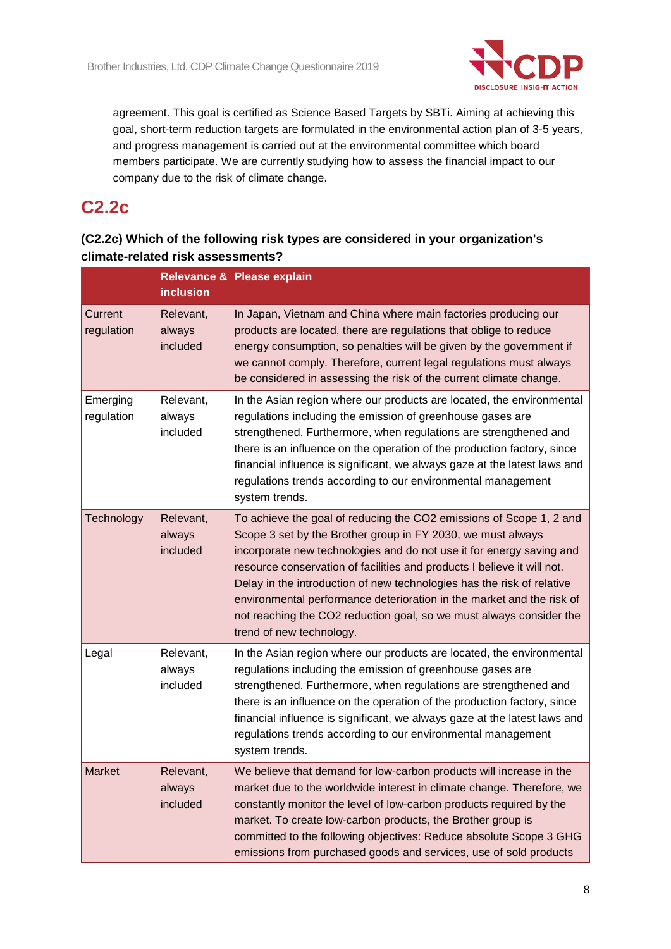

agreement. This goal is certified as Science Based Targets by SBTi. Aiming at achieving this goal, short-term reduction targets are formulated in the environmental action plan of 3-5 years, and progress management is carried out at the environmental committee which board members participate. We are currently studying how to assess the financial impact to our company due to the risk of climate change.

# **C2.2c**

## **(C2.2c) Which of the following risk types are considered in your organization's climate-related risk assessments?**

|                        | <b>inclusion</b>                | <b>Relevance &amp; Please explain</b>                                                                                                                                                                                                                                                                                                                                                                                                                                                                                                       |
|------------------------|---------------------------------|---------------------------------------------------------------------------------------------------------------------------------------------------------------------------------------------------------------------------------------------------------------------------------------------------------------------------------------------------------------------------------------------------------------------------------------------------------------------------------------------------------------------------------------------|
| Current<br>regulation  | Relevant,<br>always<br>included | In Japan, Vietnam and China where main factories producing our<br>products are located, there are regulations that oblige to reduce<br>energy consumption, so penalties will be given by the government if<br>we cannot comply. Therefore, current legal regulations must always<br>be considered in assessing the risk of the current climate change.                                                                                                                                                                                      |
| Emerging<br>regulation | Relevant,<br>always<br>included | In the Asian region where our products are located, the environmental<br>regulations including the emission of greenhouse gases are<br>strengthened. Furthermore, when regulations are strengthened and<br>there is an influence on the operation of the production factory, since<br>financial influence is significant, we always gaze at the latest laws and<br>regulations trends according to our environmental management<br>system trends.                                                                                           |
| Technology             | Relevant,<br>always<br>included | To achieve the goal of reducing the CO2 emissions of Scope 1, 2 and<br>Scope 3 set by the Brother group in FY 2030, we must always<br>incorporate new technologies and do not use it for energy saving and<br>resource conservation of facilities and products I believe it will not.<br>Delay in the introduction of new technologies has the risk of relative<br>environmental performance deterioration in the market and the risk of<br>not reaching the CO2 reduction goal, so we must always consider the<br>trend of new technology. |
| Legal                  | Relevant,<br>always<br>included | In the Asian region where our products are located, the environmental<br>regulations including the emission of greenhouse gases are<br>strengthened. Furthermore, when regulations are strengthened and<br>there is an influence on the operation of the production factory, since<br>financial influence is significant, we always gaze at the latest laws and<br>regulations trends according to our environmental management<br>system trends.                                                                                           |
| <b>Market</b>          | Relevant.<br>always<br>included | We believe that demand for low-carbon products will increase in the<br>market due to the worldwide interest in climate change. Therefore, we<br>constantly monitor the level of low-carbon products required by the<br>market. To create low-carbon products, the Brother group is<br>committed to the following objectives: Reduce absolute Scope 3 GHG<br>emissions from purchased goods and services, use of sold products                                                                                                               |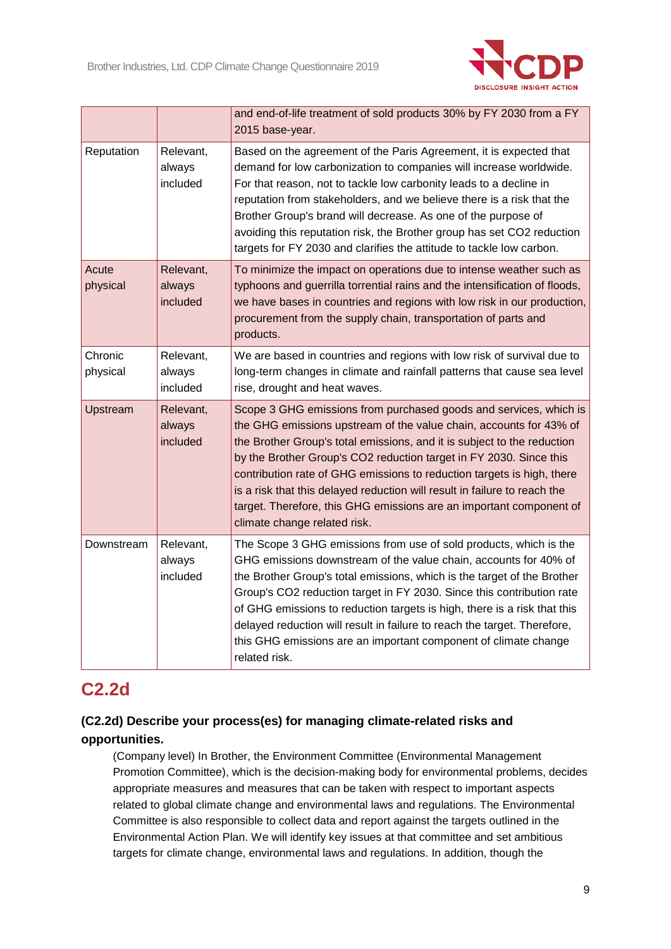

|                     |                                 | and end-of-life treatment of sold products 30% by FY 2030 from a FY<br>2015 base-year.                                                                                                                                                                                                                                                                                                                                                                                                                                                                 |
|---------------------|---------------------------------|--------------------------------------------------------------------------------------------------------------------------------------------------------------------------------------------------------------------------------------------------------------------------------------------------------------------------------------------------------------------------------------------------------------------------------------------------------------------------------------------------------------------------------------------------------|
| Reputation          | Relevant,<br>always<br>included | Based on the agreement of the Paris Agreement, it is expected that<br>demand for low carbonization to companies will increase worldwide.<br>For that reason, not to tackle low carbonity leads to a decline in<br>reputation from stakeholders, and we believe there is a risk that the<br>Brother Group's brand will decrease. As one of the purpose of<br>avoiding this reputation risk, the Brother group has set CO2 reduction<br>targets for FY 2030 and clarifies the attitude to tackle low carbon.                                             |
| Acute<br>physical   | Relevant,<br>always<br>included | To minimize the impact on operations due to intense weather such as<br>typhoons and guerrilla torrential rains and the intensification of floods,<br>we have bases in countries and regions with low risk in our production,<br>procurement from the supply chain, transportation of parts and<br>products.                                                                                                                                                                                                                                            |
| Chronic<br>physical | Relevant,<br>always<br>included | We are based in countries and regions with low risk of survival due to<br>long-term changes in climate and rainfall patterns that cause sea level<br>rise, drought and heat waves.                                                                                                                                                                                                                                                                                                                                                                     |
| Upstream            | Relevant,<br>always<br>included | Scope 3 GHG emissions from purchased goods and services, which is<br>the GHG emissions upstream of the value chain, accounts for 43% of<br>the Brother Group's total emissions, and it is subject to the reduction<br>by the Brother Group's CO2 reduction target in FY 2030. Since this<br>contribution rate of GHG emissions to reduction targets is high, there<br>is a risk that this delayed reduction will result in failure to reach the<br>target. Therefore, this GHG emissions are an important component of<br>climate change related risk. |
| Downstream          | Relevant,<br>always<br>included | The Scope 3 GHG emissions from use of sold products, which is the<br>GHG emissions downstream of the value chain, accounts for 40% of<br>the Brother Group's total emissions, which is the target of the Brother<br>Group's CO2 reduction target in FY 2030. Since this contribution rate<br>of GHG emissions to reduction targets is high, there is a risk that this<br>delayed reduction will result in failure to reach the target. Therefore,<br>this GHG emissions are an important component of climate change<br>related risk.                  |

## **C2.2d**

## **(C2.2d) Describe your process(es) for managing climate-related risks and opportunities.**

(Company level) In Brother, the Environment Committee (Environmental Management Promotion Committee), which is the decision-making body for environmental problems, decides appropriate measures and measures that can be taken with respect to important aspects related to global climate change and environmental laws and regulations. The Environmental Committee is also responsible to collect data and report against the targets outlined in the Environmental Action Plan. We will identify key issues at that committee and set ambitious targets for climate change, environmental laws and regulations. In addition, though the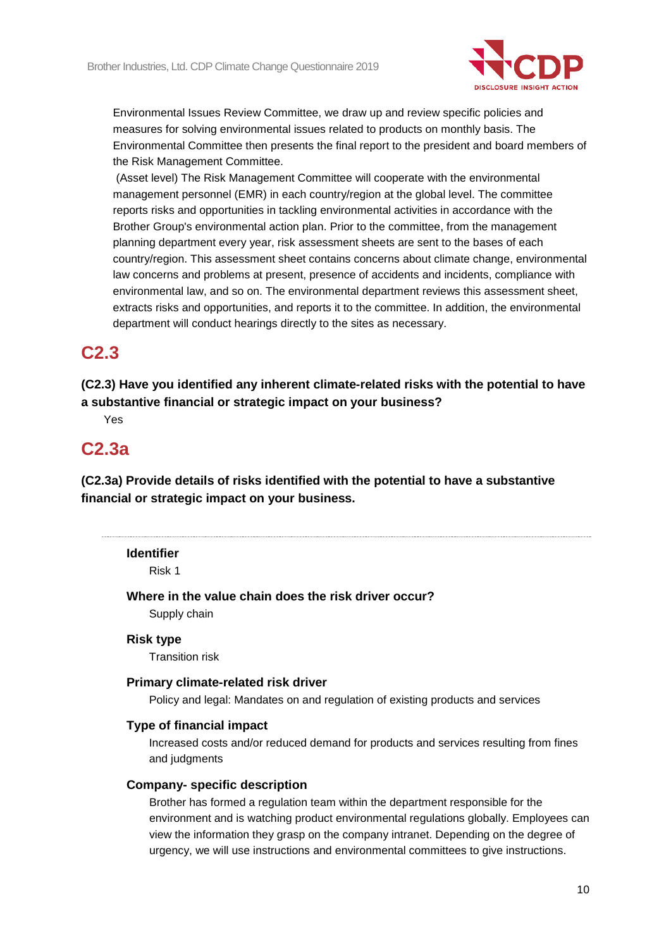

Environmental Issues Review Committee, we draw up and review specific policies and measures for solving environmental issues related to products on monthly basis. The Environmental Committee then presents the final report to the president and board members of the Risk Management Committee.

(Asset level) The Risk Management Committee will cooperate with the environmental management personnel (EMR) in each country/region at the global level. The committee reports risks and opportunities in tackling environmental activities in accordance with the Brother Group's environmental action plan. Prior to the committee, from the management planning department every year, risk assessment sheets are sent to the bases of each country/region. This assessment sheet contains concerns about climate change, environmental law concerns and problems at present, presence of accidents and incidents, compliance with environmental law, and so on. The environmental department reviews this assessment sheet, extracts risks and opportunities, and reports it to the committee. In addition, the environmental department will conduct hearings directly to the sites as necessary.

## **C2.3**

**(C2.3) Have you identified any inherent climate-related risks with the potential to have a substantive financial or strategic impact on your business?**

Yes

## **C2.3a**

**(C2.3a) Provide details of risks identified with the potential to have a substantive financial or strategic impact on your business.**

#### **Identifier**

Risk 1

**Where in the value chain does the risk driver occur?**

Supply chain

#### **Risk type**

Transition risk

## **Primary climate-related risk driver**

Policy and legal: Mandates on and regulation of existing products and services

## **Type of financial impact**

Increased costs and/or reduced demand for products and services resulting from fines and judgments

#### **Company- specific description**

Brother has formed a regulation team within the department responsible for the environment and is watching product environmental regulations globally. Employees can view the information they grasp on the company intranet. Depending on the degree of urgency, we will use instructions and environmental committees to give instructions.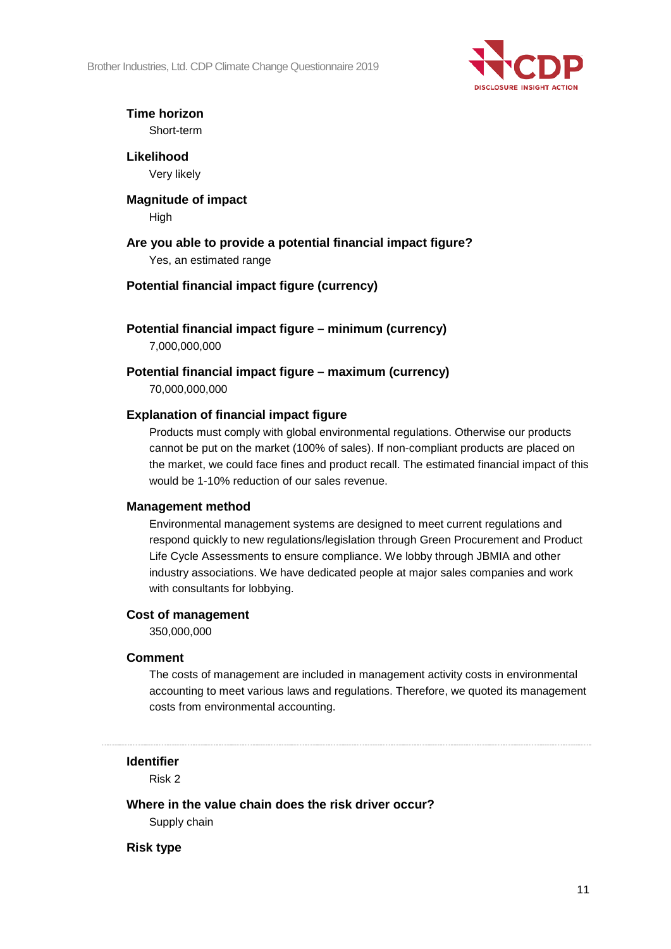Brother Industries, Ltd. CDP Climate Change Questionnaire 2019



## **Time horizon** Short-term

**Likelihood** Very likely

# **Magnitude of impact**

High

**Are you able to provide a potential financial impact figure?** Yes, an estimated range

## **Potential financial impact figure (currency)**

**Potential financial impact figure – minimum (currency)**

7,000,000,000

**Potential financial impact figure – maximum (currency)** 70,000,000,000

## **Explanation of financial impact figure**

Products must comply with global environmental regulations. Otherwise our products cannot be put on the market (100% of sales). If non-compliant products are placed on the market, we could face fines and product recall. The estimated financial impact of this would be 1-10% reduction of our sales revenue.

## **Management method**

Environmental management systems are designed to meet current regulations and respond quickly to new regulations/legislation through Green Procurement and Product Life Cycle Assessments to ensure compliance. We lobby through JBMIA and other industry associations. We have dedicated people at major sales companies and work with consultants for lobbying.

## **Cost of management**

350,000,000

## **Comment**

The costs of management are included in management activity costs in environmental accounting to meet various laws and regulations. Therefore, we quoted its management costs from environmental accounting.

## **Identifier**

Risk 2

## **Where in the value chain does the risk driver occur?**

Supply chain

**Risk type**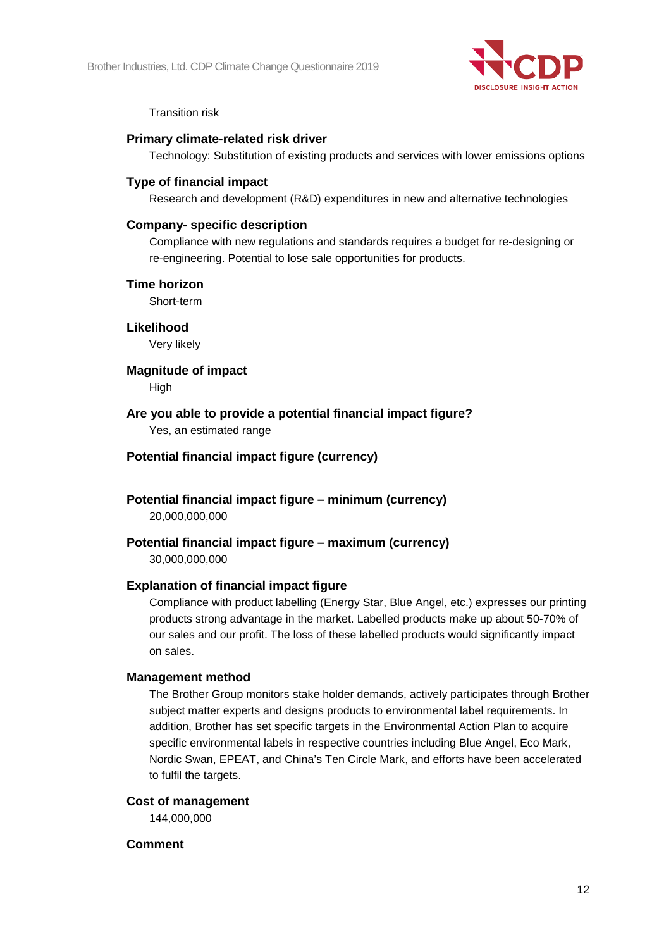

Transition risk

### **Primary climate-related risk driver**

Technology: Substitution of existing products and services with lower emissions options

### **Type of financial impact**

Research and development (R&D) expenditures in new and alternative technologies

### **Company- specific description**

Compliance with new regulations and standards requires a budget for re-designing or re-engineering. Potential to lose sale opportunities for products.

#### **Time horizon**

Short-term

#### **Likelihood**

Very likely

### **Magnitude of impact**

High

### **Are you able to provide a potential financial impact figure?**

Yes, an estimated range

## **Potential financial impact figure (currency)**

**Potential financial impact figure – minimum (currency)**

20,000,000,000

## **Potential financial impact figure – maximum (currency)**

30,000,000,000

## **Explanation of financial impact figure**

Compliance with product labelling (Energy Star, Blue Angel, etc.) expresses our printing products strong advantage in the market. Labelled products make up about 50-70% of our sales and our profit. The loss of these labelled products would significantly impact on sales.

#### **Management method**

The Brother Group monitors stake holder demands, actively participates through Brother subject matter experts and designs products to environmental label requirements. In addition, Brother has set specific targets in the Environmental Action Plan to acquire specific environmental labels in respective countries including Blue Angel, Eco Mark, Nordic Swan, EPEAT, and China's Ten Circle Mark, and efforts have been accelerated to fulfil the targets.

#### **Cost of management**

144,000,000

#### **Comment**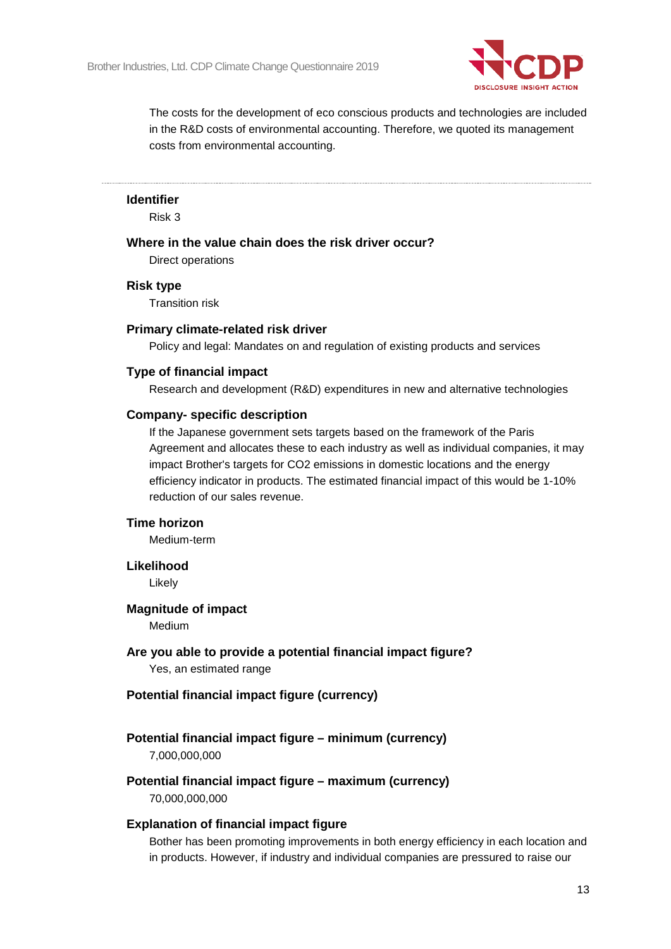

The costs for the development of eco conscious products and technologies are included in the R&D costs of environmental accounting. Therefore, we quoted its management costs from environmental accounting.

#### **Identifier**

Risk 3

## **Where in the value chain does the risk driver occur?**

Direct operations

#### **Risk type**

Transition risk

#### **Primary climate-related risk driver**

Policy and legal: Mandates on and regulation of existing products and services

#### **Type of financial impact**

Research and development (R&D) expenditures in new and alternative technologies

#### **Company- specific description**

If the Japanese government sets targets based on the framework of the Paris Agreement and allocates these to each industry as well as individual companies, it may impact Brother's targets for CO2 emissions in domestic locations and the energy efficiency indicator in products. The estimated financial impact of this would be 1-10% reduction of our sales revenue.

### **Time horizon**

Medium-term

#### **Likelihood**

Likely

#### **Magnitude of impact**

Medium

**Are you able to provide a potential financial impact figure?** Yes, an estimated range

### **Potential financial impact figure (currency)**

# **Potential financial impact figure – minimum (currency)**

7,000,000,000

**Potential financial impact figure – maximum (currency)** 70,000,000,000

#### **Explanation of financial impact figure**

Bother has been promoting improvements in both energy efficiency in each location and in products. However, if industry and individual companies are pressured to raise our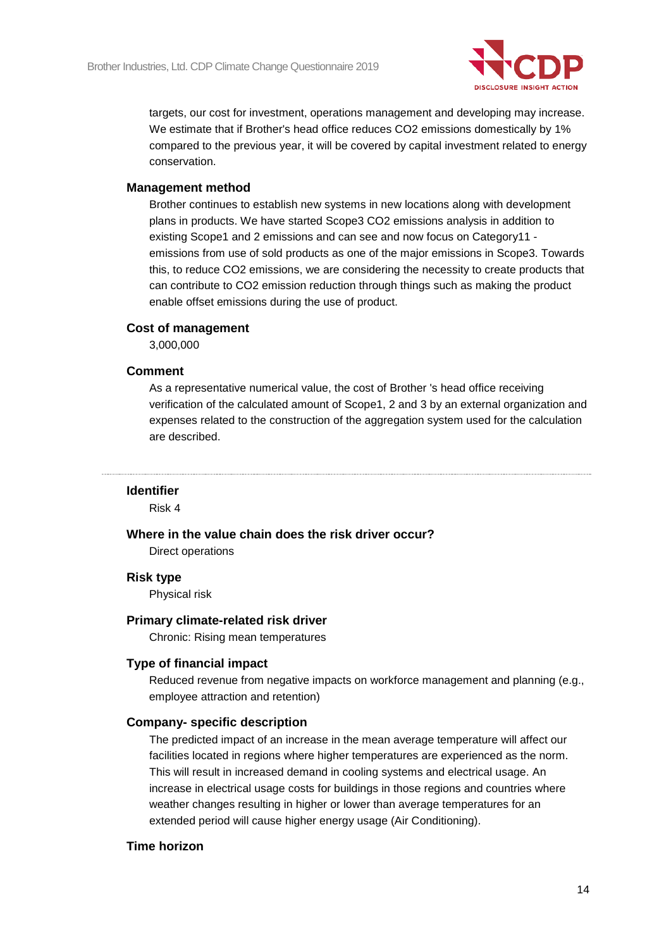

targets, our cost for investment, operations management and developing may increase. We estimate that if Brother's head office reduces CO2 emissions domestically by 1% compared to the previous year, it will be covered by capital investment related to energy conservation.

## **Management method**

Brother continues to establish new systems in new locations along with development plans in products. We have started Scope3 CO2 emissions analysis in addition to existing Scope1 and 2 emissions and can see and now focus on Category11 emissions from use of sold products as one of the major emissions in Scope3. Towards this, to reduce CO2 emissions, we are considering the necessity to create products that can contribute to CO2 emission reduction through things such as making the product enable offset emissions during the use of product.

## **Cost of management**

3,000,000

### **Comment**

As a representative numerical value, the cost of Brother 's head office receiving verification of the calculated amount of Scope1, 2 and 3 by an external organization and expenses related to the construction of the aggregation system used for the calculation are described.

## **Identifier**

Risk 4

#### **Where in the value chain does the risk driver occur?**

Direct operations

#### **Risk type**

Physical risk

#### **Primary climate-related risk driver**

Chronic: Rising mean temperatures

#### **Type of financial impact**

Reduced revenue from negative impacts on workforce management and planning (e.g., employee attraction and retention)

### **Company- specific description**

The predicted impact of an increase in the mean average temperature will affect our facilities located in regions where higher temperatures are experienced as the norm. This will result in increased demand in cooling systems and electrical usage. An increase in electrical usage costs for buildings in those regions and countries where weather changes resulting in higher or lower than average temperatures for an extended period will cause higher energy usage (Air Conditioning).

## **Time horizon**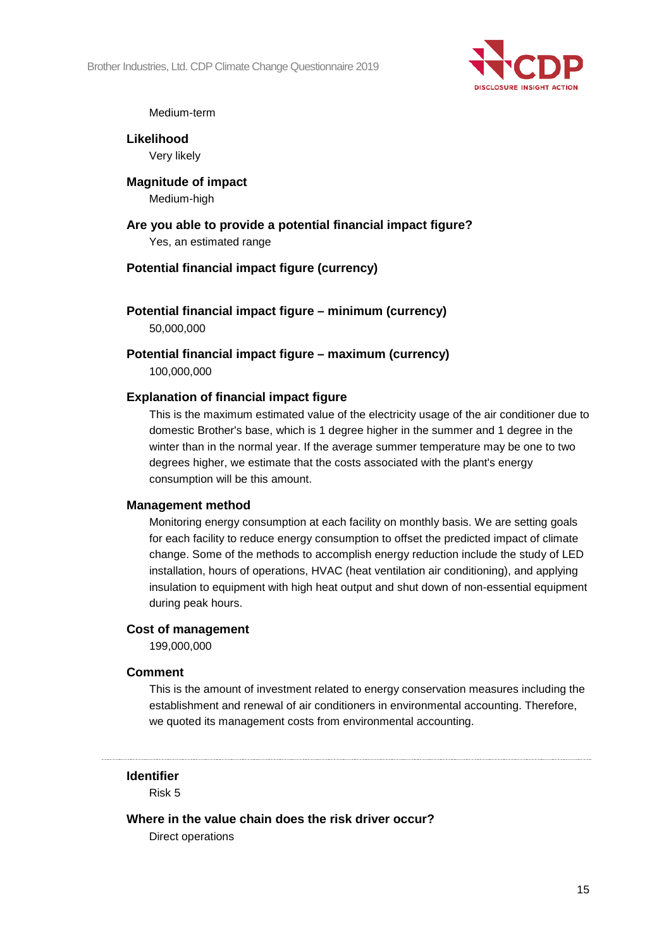

#### Medium-term

**Likelihood** Very likely

**Magnitude of impact** Medium-high

**Are you able to provide a potential financial impact figure?** Yes, an estimated range

### **Potential financial impact figure (currency)**

**Potential financial impact figure – minimum (currency)** 50,000,000

**Potential financial impact figure – maximum (currency)**

100,000,000

#### **Explanation of financial impact figure**

This is the maximum estimated value of the electricity usage of the air conditioner due to domestic Brother's base, which is 1 degree higher in the summer and 1 degree in the winter than in the normal year. If the average summer temperature may be one to two degrees higher, we estimate that the costs associated with the plant's energy consumption will be this amount.

#### **Management method**

Monitoring energy consumption at each facility on monthly basis. We are setting goals for each facility to reduce energy consumption to offset the predicted impact of climate change. Some of the methods to accomplish energy reduction include the study of LED installation, hours of operations, HVAC (heat ventilation air conditioning), and applying insulation to equipment with high heat output and shut down of non-essential equipment during peak hours.

#### **Cost of management**

199,000,000

#### **Comment**

This is the amount of investment related to energy conservation measures including the establishment and renewal of air conditioners in environmental accounting. Therefore, we quoted its management costs from environmental accounting.

#### **Identifier**

Risk 5

**Where in the value chain does the risk driver occur?**

Direct operations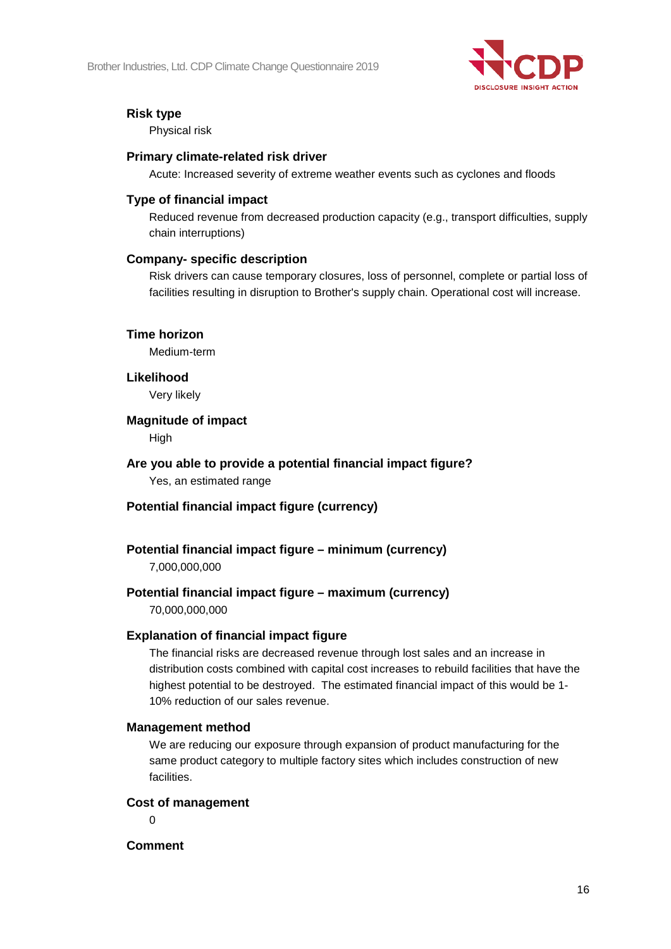

## **Risk type**

Physical risk

### **Primary climate-related risk driver**

Acute: Increased severity of extreme weather events such as cyclones and floods

### **Type of financial impact**

Reduced revenue from decreased production capacity (e.g., transport difficulties, supply chain interruptions)

### **Company- specific description**

Risk drivers can cause temporary closures, loss of personnel, complete or partial loss of facilities resulting in disruption to Brother's supply chain. Operational cost will increase.

### **Time horizon**

Medium-term

#### **Likelihood**

Very likely

### **Magnitude of impact**

High

**Are you able to provide a potential financial impact figure?** Yes, an estimated range

## **Potential financial impact figure (currency)**

## **Potential financial impact figure – minimum (currency)**

7,000,000,000

## **Potential financial impact figure – maximum (currency)**

70,000,000,000

#### **Explanation of financial impact figure**

The financial risks are decreased revenue through lost sales and an increase in distribution costs combined with capital cost increases to rebuild facilities that have the highest potential to be destroyed. The estimated financial impact of this would be 1- 10% reduction of our sales revenue.

#### **Management method**

We are reducing our exposure through expansion of product manufacturing for the same product category to multiple factory sites which includes construction of new facilities.

#### **Cost of management**

 $\Omega$ 

**Comment**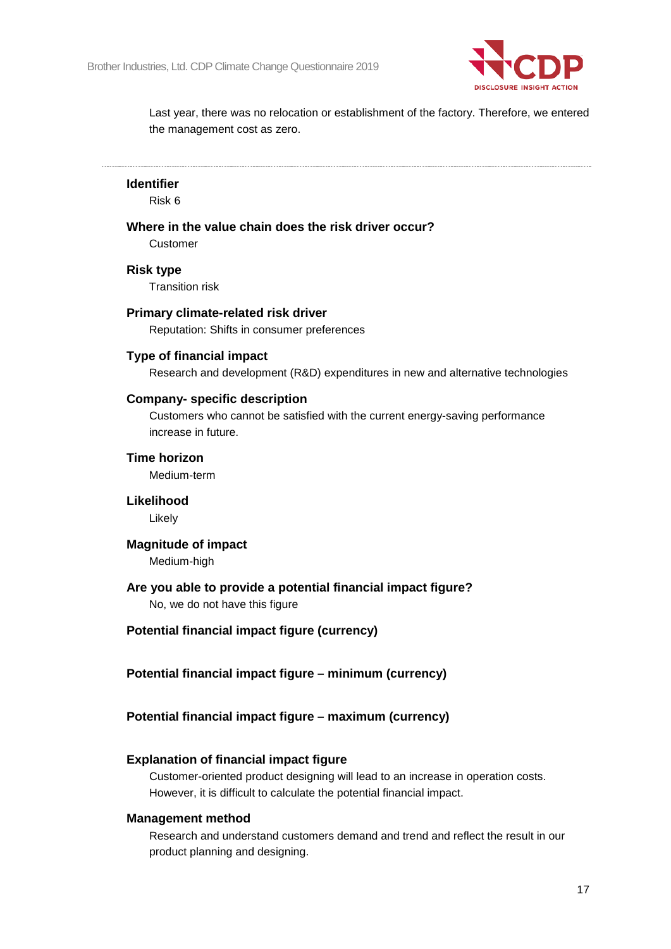

Last year, there was no relocation or establishment of the factory. Therefore, we entered the management cost as zero.

#### **Identifier**

Risk 6

### **Where in the value chain does the risk driver occur?**

Customer

#### **Risk type**

Transition risk

#### **Primary climate-related risk driver**

Reputation: Shifts in consumer preferences

#### **Type of financial impact**

Research and development (R&D) expenditures in new and alternative technologies

#### **Company- specific description**

Customers who cannot be satisfied with the current energy-saving performance increase in future.

#### **Time horizon**

Medium-term

#### **Likelihood**

Likely

#### **Magnitude of impact**

Medium-high

#### **Are you able to provide a potential financial impact figure?**

No, we do not have this figure

#### **Potential financial impact figure (currency)**

**Potential financial impact figure – minimum (currency)**

### **Potential financial impact figure – maximum (currency)**

#### **Explanation of financial impact figure**

Customer-oriented product designing will lead to an increase in operation costs. However, it is difficult to calculate the potential financial impact.

#### **Management method**

Research and understand customers demand and trend and reflect the result in our product planning and designing.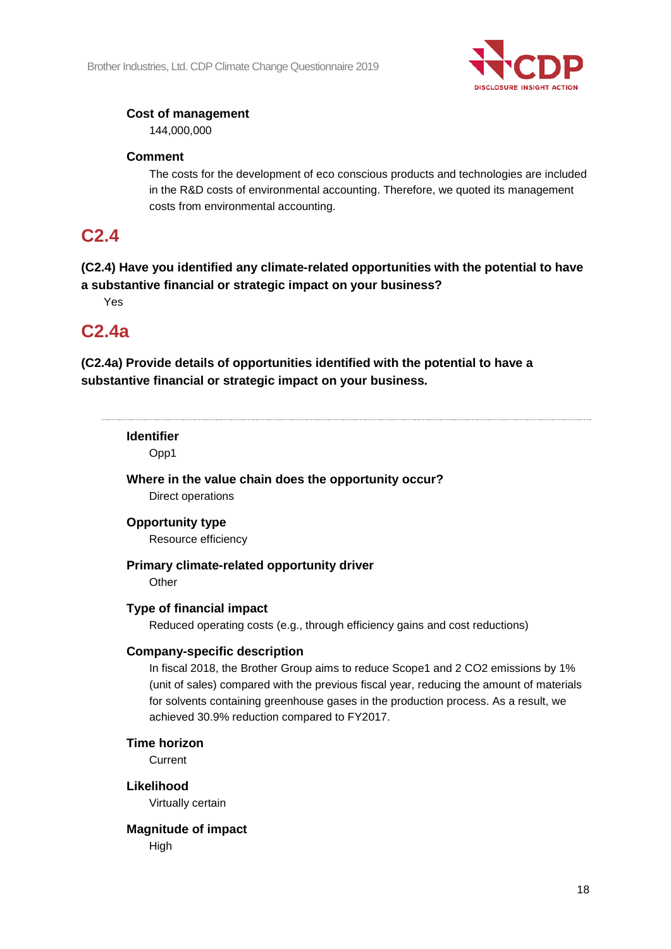

## **Cost of management**

144,000,000

## **Comment**

The costs for the development of eco conscious products and technologies are included in the R&D costs of environmental accounting. Therefore, we quoted its management costs from environmental accounting.

## **C2.4**

## **(C2.4) Have you identified any climate-related opportunities with the potential to have a substantive financial or strategic impact on your business?**

Yes

# **C2.4a**

**(C2.4a) Provide details of opportunities identified with the potential to have a substantive financial or strategic impact on your business.**

### **Identifier**

Opp1

**Where in the value chain does the opportunity occur?** Direct operations

## **Opportunity type**

Resource efficiency

## **Primary climate-related opportunity driver**

**Other** 

## **Type of financial impact**

Reduced operating costs (e.g., through efficiency gains and cost reductions)

## **Company-specific description**

In fiscal 2018, the Brother Group aims to reduce Scope1 and 2 CO2 emissions by 1% (unit of sales) compared with the previous fiscal year, reducing the amount of materials for solvents containing greenhouse gases in the production process. As a result, we achieved 30.9% reduction compared to FY2017.

## **Time horizon**

**Current** 

## **Likelihood**

Virtually certain

## **Magnitude of impact**

High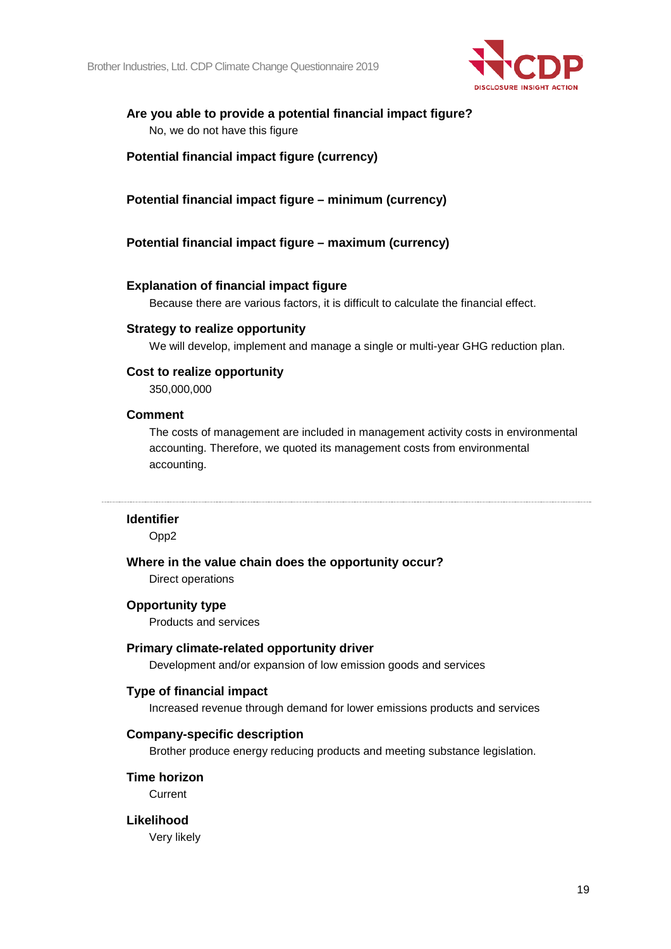

### **Are you able to provide a potential financial impact figure?** No, we do not have this figure

## **Potential financial impact figure (currency)**

## **Potential financial impact figure – minimum (currency)**

### **Potential financial impact figure – maximum (currency)**

### **Explanation of financial impact figure**

Because there are various factors, it is difficult to calculate the financial effect.

#### **Strategy to realize opportunity**

We will develop, implement and manage a single or multi-year GHG reduction plan.

### **Cost to realize opportunity**

350,000,000

#### **Comment**

The costs of management are included in management activity costs in environmental accounting. Therefore, we quoted its management costs from environmental accounting.

#### **Identifier**

Opp2

#### **Where in the value chain does the opportunity occur?**

Direct operations

#### **Opportunity type**

Products and services

#### **Primary climate-related opportunity driver**

Development and/or expansion of low emission goods and services

#### **Type of financial impact**

Increased revenue through demand for lower emissions products and services

#### **Company-specific description**

Brother produce energy reducing products and meeting substance legislation.

#### **Time horizon**

**Current** 

#### **Likelihood**

Very likely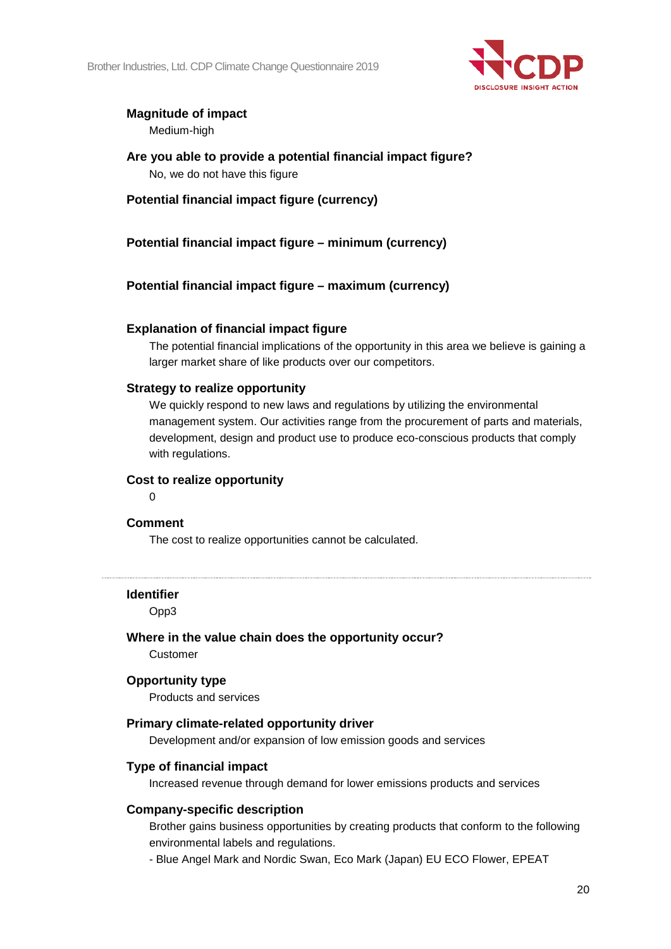

## **Magnitude of impact**

Medium-high

**Are you able to provide a potential financial impact figure?** No, we do not have this figure

**Potential financial impact figure (currency)**

**Potential financial impact figure – minimum (currency)**

**Potential financial impact figure – maximum (currency)**

## **Explanation of financial impact figure**

The potential financial implications of the opportunity in this area we believe is gaining a larger market share of like products over our competitors.

## **Strategy to realize opportunity**

We quickly respond to new laws and regulations by utilizing the environmental management system. Our activities range from the procurement of parts and materials, development, design and product use to produce eco-conscious products that comply with regulations.

## **Cost to realize opportunity**

 $\Omega$ 

## **Comment**

The cost to realize opportunities cannot be calculated.

#### **Identifier**

Opp3

## **Where in the value chain does the opportunity occur?**

Customer

#### **Opportunity type**

Products and services

#### **Primary climate-related opportunity driver**

Development and/or expansion of low emission goods and services

## **Type of financial impact**

Increased revenue through demand for lower emissions products and services

#### **Company-specific description**

Brother gains business opportunities by creating products that conform to the following environmental labels and regulations.

- Blue Angel Mark and Nordic Swan, Eco Mark (Japan) EU ECO Flower, EPEAT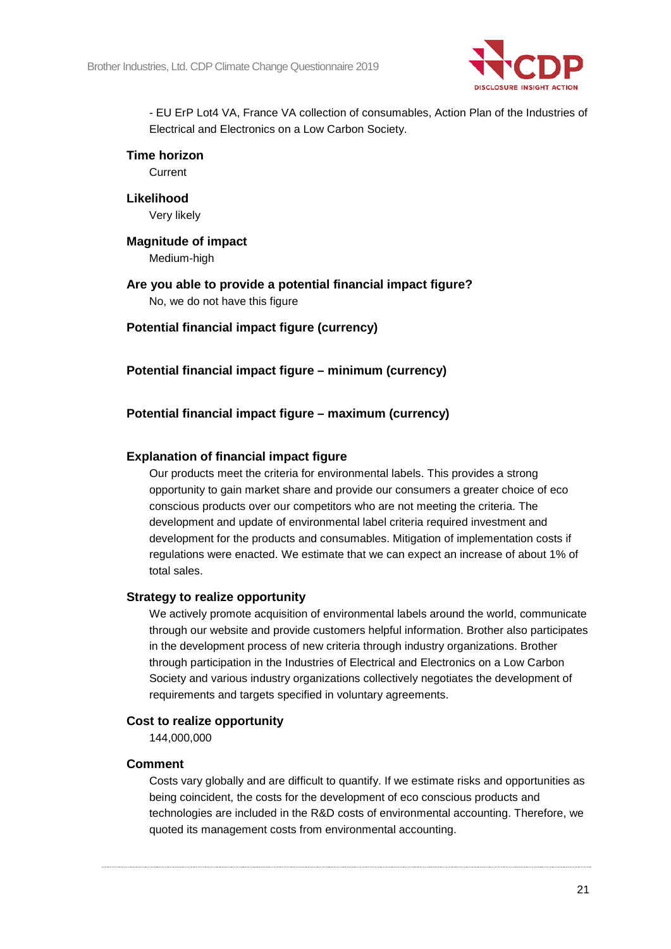

- EU ErP Lot4 VA, France VA collection of consumables, Action Plan of the Industries of Electrical and Electronics on a Low Carbon Society.

#### **Time horizon**

**Current** 

**Likelihood** Very likely

**Magnitude of impact** Medium-high

**Are you able to provide a potential financial impact figure?** No, we do not have this figure

**Potential financial impact figure (currency)**

**Potential financial impact figure – minimum (currency)**

## **Potential financial impact figure – maximum (currency)**

### **Explanation of financial impact figure**

Our products meet the criteria for environmental labels. This provides a strong opportunity to gain market share and provide our consumers a greater choice of eco conscious products over our competitors who are not meeting the criteria. The development and update of environmental label criteria required investment and development for the products and consumables. Mitigation of implementation costs if regulations were enacted. We estimate that we can expect an increase of about 1% of total sales.

#### **Strategy to realize opportunity**

We actively promote acquisition of environmental labels around the world, communicate through our website and provide customers helpful information. Brother also participates in the development process of new criteria through industry organizations. Brother through participation in the Industries of Electrical and Electronics on a Low Carbon Society and various industry organizations collectively negotiates the development of requirements and targets specified in voluntary agreements.

### **Cost to realize opportunity**

144,000,000

#### **Comment**

Costs vary globally and are difficult to quantify. If we estimate risks and opportunities as being coincident, the costs for the development of eco conscious products and technologies are included in the R&D costs of environmental accounting. Therefore, we quoted its management costs from environmental accounting.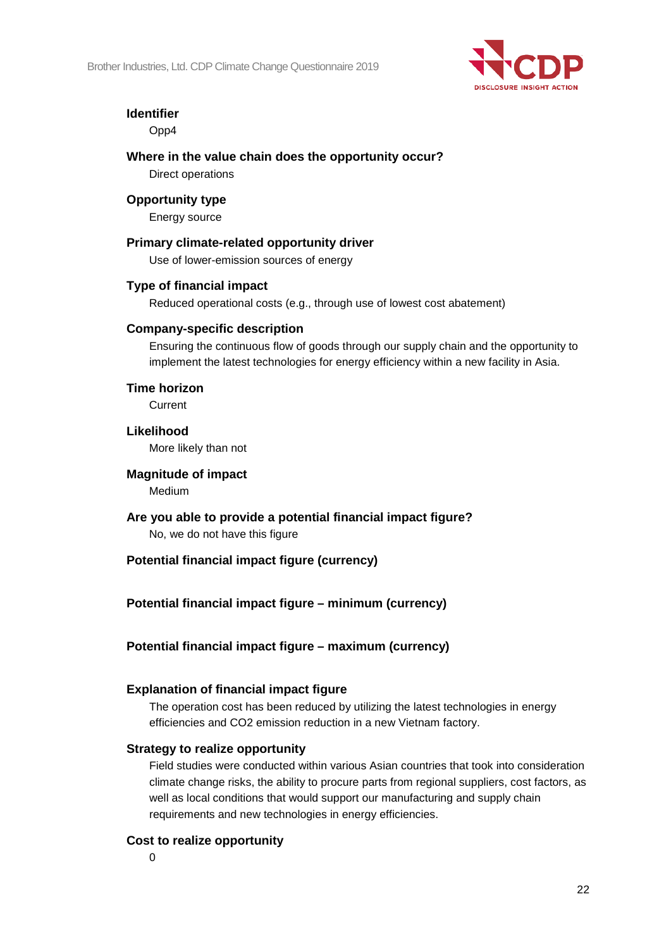

## **Identifier**

Opp4

**Where in the value chain does the opportunity occur?** Direct operations

## **Opportunity type**

Energy source

## **Primary climate-related opportunity driver** Use of lower-emission sources of energy **Type of financial impact**

Reduced operational costs (e.g., through use of lowest cost abatement)

## **Company-specific description**

Ensuring the continuous flow of goods through our supply chain and the opportunity to implement the latest technologies for energy efficiency within a new facility in Asia.

## **Time horizon**

Current

**Likelihood** More likely than not

### **Magnitude of impact**

Medium

**Are you able to provide a potential financial impact figure?** No, we do not have this figure

## **Potential financial impact figure (currency)**

**Potential financial impact figure – minimum (currency)**

## **Potential financial impact figure – maximum (currency)**

## **Explanation of financial impact figure**

The operation cost has been reduced by utilizing the latest technologies in energy efficiencies and CO2 emission reduction in a new Vietnam factory.

## **Strategy to realize opportunity**

Field studies were conducted within various Asian countries that took into consideration climate change risks, the ability to procure parts from regional suppliers, cost factors, as well as local conditions that would support our manufacturing and supply chain requirements and new technologies in energy efficiencies.

## **Cost to realize opportunity**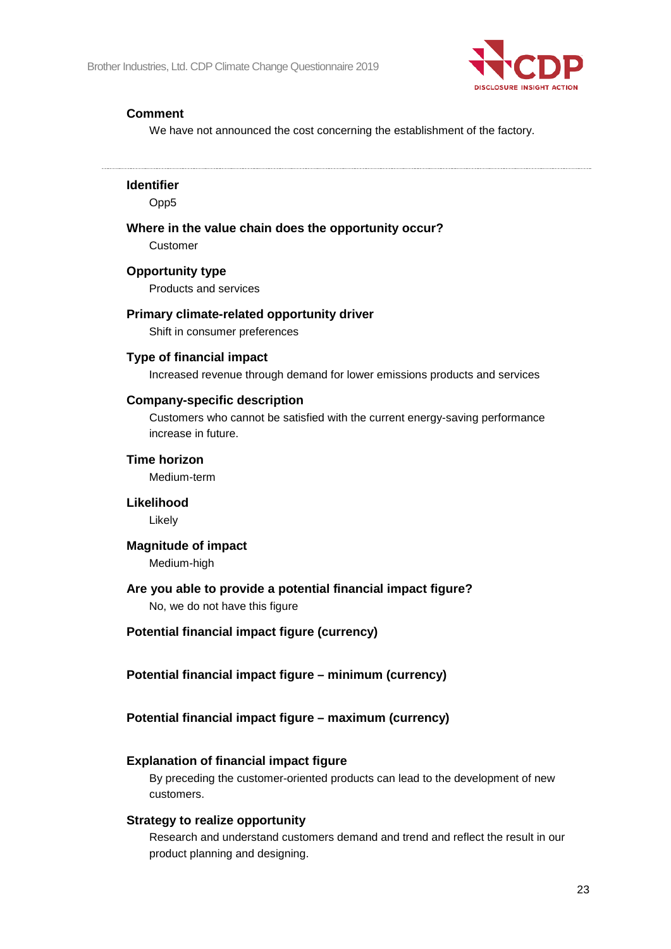

## **Comment**

We have not announced the cost concerning the establishment of the factory.

**Identifier**

Opp5

## **Where in the value chain does the opportunity occur?**

Customer

## **Opportunity type**

Products and services

## **Primary climate-related opportunity driver**

Shift in consumer preferences

### **Type of financial impact**

Increased revenue through demand for lower emissions products and services

### **Company-specific description**

Customers who cannot be satisfied with the current energy-saving performance increase in future.

#### **Time horizon**

Medium-term

#### **Likelihood**

Likely

#### **Magnitude of impact**

Medium-high

## **Are you able to provide a potential financial impact figure?**

No, we do not have this figure

#### **Potential financial impact figure (currency)**

**Potential financial impact figure – minimum (currency)**

## **Potential financial impact figure – maximum (currency)**

#### **Explanation of financial impact figure**

By preceding the customer-oriented products can lead to the development of new customers.

### **Strategy to realize opportunity**

Research and understand customers demand and trend and reflect the result in our product planning and designing.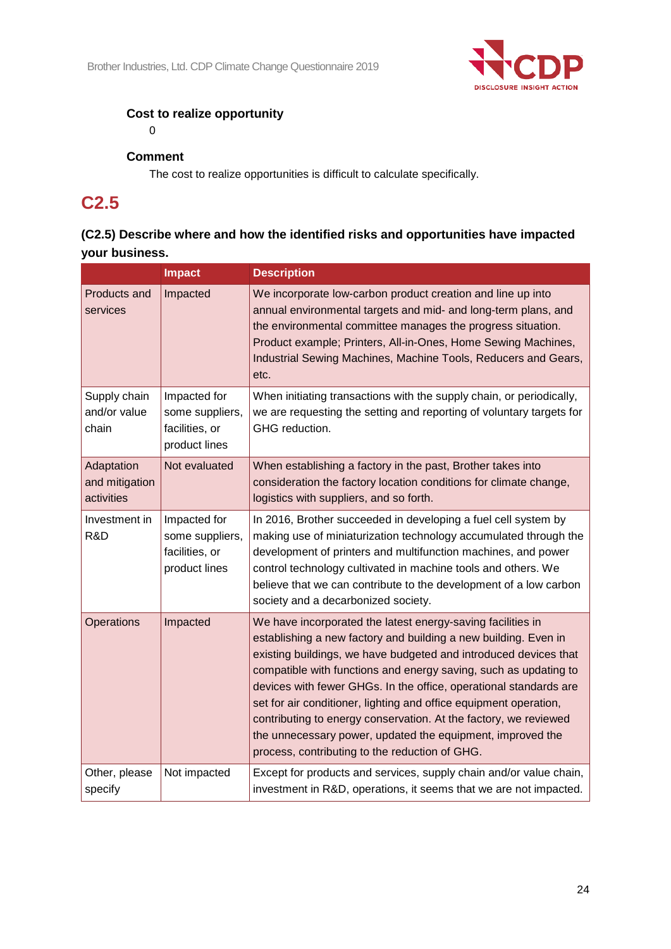

## **Cost to realize opportunity**

0

## **Comment**

The cost to realize opportunities is difficult to calculate specifically.

# **C2.5**

## **(C2.5) Describe where and how the identified risks and opportunities have impacted your business.**

|                                            | <b>Impact</b>                                                      | <b>Description</b>                                                                                                                                                                                                                                                                                                                                                                                                                                                                                                                                                                                   |
|--------------------------------------------|--------------------------------------------------------------------|------------------------------------------------------------------------------------------------------------------------------------------------------------------------------------------------------------------------------------------------------------------------------------------------------------------------------------------------------------------------------------------------------------------------------------------------------------------------------------------------------------------------------------------------------------------------------------------------------|
| Products and<br>services                   | Impacted                                                           | We incorporate low-carbon product creation and line up into<br>annual environmental targets and mid- and long-term plans, and<br>the environmental committee manages the progress situation.<br>Product example; Printers, All-in-Ones, Home Sewing Machines,<br>Industrial Sewing Machines, Machine Tools, Reducers and Gears,<br>etc.                                                                                                                                                                                                                                                              |
| Supply chain<br>and/or value<br>chain      | Impacted for<br>some suppliers,<br>facilities, or<br>product lines | When initiating transactions with the supply chain, or periodically,<br>we are requesting the setting and reporting of voluntary targets for<br>GHG reduction.                                                                                                                                                                                                                                                                                                                                                                                                                                       |
| Adaptation<br>and mitigation<br>activities | Not evaluated                                                      | When establishing a factory in the past, Brother takes into<br>consideration the factory location conditions for climate change,<br>logistics with suppliers, and so forth.                                                                                                                                                                                                                                                                                                                                                                                                                          |
| Investment in<br>R&D                       | Impacted for<br>some suppliers,<br>facilities, or<br>product lines | In 2016, Brother succeeded in developing a fuel cell system by<br>making use of miniaturization technology accumulated through the<br>development of printers and multifunction machines, and power<br>control technology cultivated in machine tools and others. We<br>believe that we can contribute to the development of a low carbon<br>society and a decarbonized society.                                                                                                                                                                                                                     |
| Operations                                 | Impacted                                                           | We have incorporated the latest energy-saving facilities in<br>establishing a new factory and building a new building. Even in<br>existing buildings, we have budgeted and introduced devices that<br>compatible with functions and energy saving, such as updating to<br>devices with fewer GHGs. In the office, operational standards are<br>set for air conditioner, lighting and office equipment operation,<br>contributing to energy conservation. At the factory, we reviewed<br>the unnecessary power, updated the equipment, improved the<br>process, contributing to the reduction of GHG. |
| Other, please<br>specify                   | Not impacted                                                       | Except for products and services, supply chain and/or value chain,<br>investment in R&D, operations, it seems that we are not impacted.                                                                                                                                                                                                                                                                                                                                                                                                                                                              |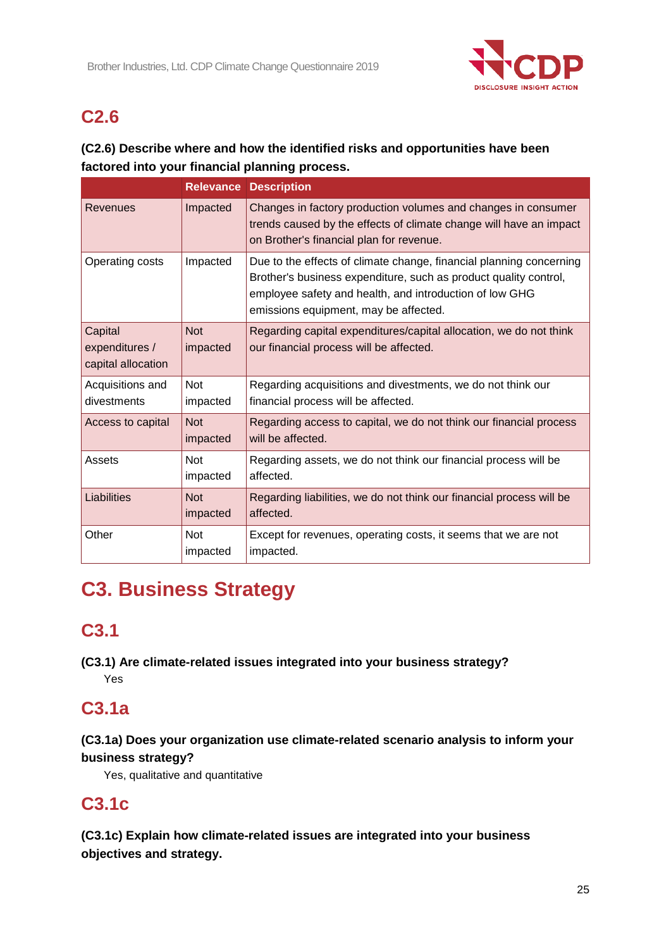

# **C2.6**

## **(C2.6) Describe where and how the identified risks and opportunities have been factored into your financial planning process.**

|                                                 |                        | <b>Relevance Description</b>                                                                                                                                                                                                                |
|-------------------------------------------------|------------------------|---------------------------------------------------------------------------------------------------------------------------------------------------------------------------------------------------------------------------------------------|
| Revenues                                        | Impacted               | Changes in factory production volumes and changes in consumer<br>trends caused by the effects of climate change will have an impact<br>on Brother's financial plan for revenue.                                                             |
| Operating costs                                 | Impacted               | Due to the effects of climate change, financial planning concerning<br>Brother's business expenditure, such as product quality control,<br>employee safety and health, and introduction of low GHG<br>emissions equipment, may be affected. |
| Capital<br>expenditures /<br>capital allocation | <b>Not</b><br>impacted | Regarding capital expenditures/capital allocation, we do not think<br>our financial process will be affected.                                                                                                                               |
| Acquisitions and<br>divestments                 | <b>Not</b><br>impacted | Regarding acquisitions and divestments, we do not think our<br>financial process will be affected.                                                                                                                                          |
| Access to capital                               | <b>Not</b><br>impacted | Regarding access to capital, we do not think our financial process<br>will be affected.                                                                                                                                                     |
| Assets                                          | <b>Not</b><br>impacted | Regarding assets, we do not think our financial process will be<br>affected.                                                                                                                                                                |
| Liabilities                                     | <b>Not</b><br>impacted | Regarding liabilities, we do not think our financial process will be<br>affected.                                                                                                                                                           |
| Other                                           | <b>Not</b><br>impacted | Except for revenues, operating costs, it seems that we are not<br>impacted.                                                                                                                                                                 |

# **C3. Business Strategy**

# **C3.1**

**(C3.1) Are climate-related issues integrated into your business strategy?** Yes

# **C3.1a**

## **(C3.1a) Does your organization use climate-related scenario analysis to inform your business strategy?**

Yes, qualitative and quantitative

# **C3.1c**

**(C3.1c) Explain how climate-related issues are integrated into your business objectives and strategy.**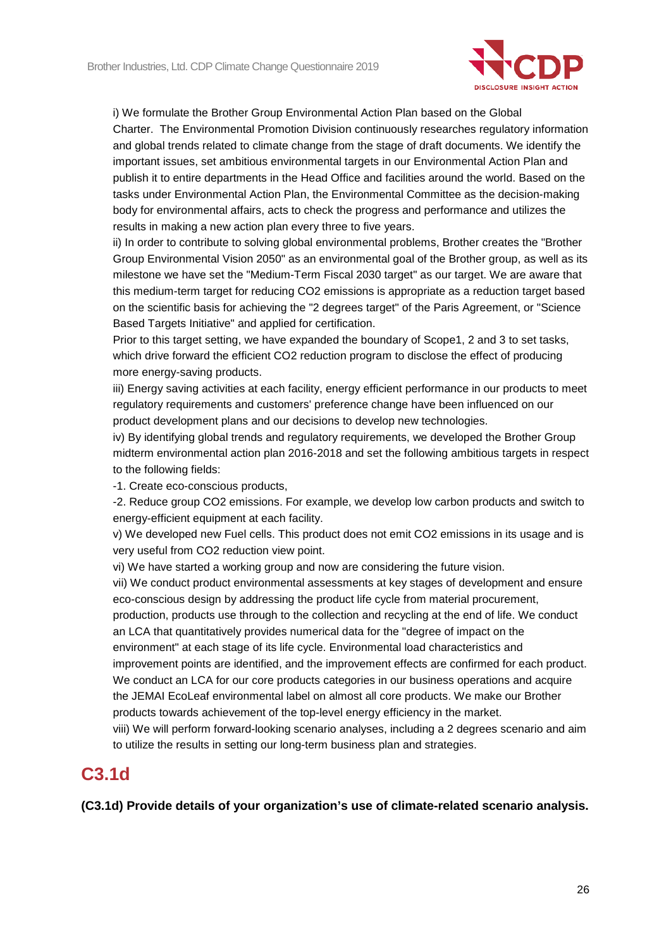

i) We formulate the Brother Group Environmental Action Plan based on the Global Charter. The Environmental Promotion Division continuously researches regulatory information and global trends related to climate change from the stage of draft documents. We identify the important issues, set ambitious environmental targets in our Environmental Action Plan and publish it to entire departments in the Head Office and facilities around the world. Based on the tasks under Environmental Action Plan, the Environmental Committee as the decision-making body for environmental affairs, acts to check the progress and performance and utilizes the results in making a new action plan every three to five years.

ii) In order to contribute to solving global environmental problems, Brother creates the "Brother Group Environmental Vision 2050" as an environmental goal of the Brother group, as well as its milestone we have set the "Medium-Term Fiscal 2030 target" as our target. We are aware that this medium-term target for reducing CO2 emissions is appropriate as a reduction target based on the scientific basis for achieving the "2 degrees target" of the Paris Agreement, or "Science Based Targets Initiative" and applied for certification.

Prior to this target setting, we have expanded the boundary of Scope1, 2 and 3 to set tasks, which drive forward the efficient CO2 reduction program to disclose the effect of producing more energy-saving products.

iii) Energy saving activities at each facility, energy efficient performance in our products to meet regulatory requirements and customers' preference change have been influenced on our product development plans and our decisions to develop new technologies.

iv) By identifying global trends and regulatory requirements, we developed the Brother Group midterm environmental action plan 2016-2018 and set the following ambitious targets in respect to the following fields:

-1. Create eco-conscious products,

-2. Reduce group CO2 emissions. For example, we develop low carbon products and switch to energy-efficient equipment at each facility.

v) We developed new Fuel cells. This product does not emit CO2 emissions in its usage and is very useful from CO2 reduction view point.

vi) We have started a working group and now are considering the future vision.

vii) We conduct product environmental assessments at key stages of development and ensure eco-conscious design by addressing the product life cycle from material procurement,

production, products use through to the collection and recycling at the end of life. We conduct an LCA that quantitatively provides numerical data for the "degree of impact on the environment" at each stage of its life cycle. Environmental load characteristics and improvement points are identified, and the improvement effects are confirmed for each product. We conduct an LCA for our core products categories in our business operations and acquire the JEMAI EcoLeaf environmental label on almost all core products. We make our Brother products towards achievement of the top-level energy efficiency in the market.

viii) We will perform forward-looking scenario analyses, including a 2 degrees scenario and aim to utilize the results in setting our long-term business plan and strategies.

## **C3.1d**

**(C3.1d) Provide details of your organization's use of climate-related scenario analysis.**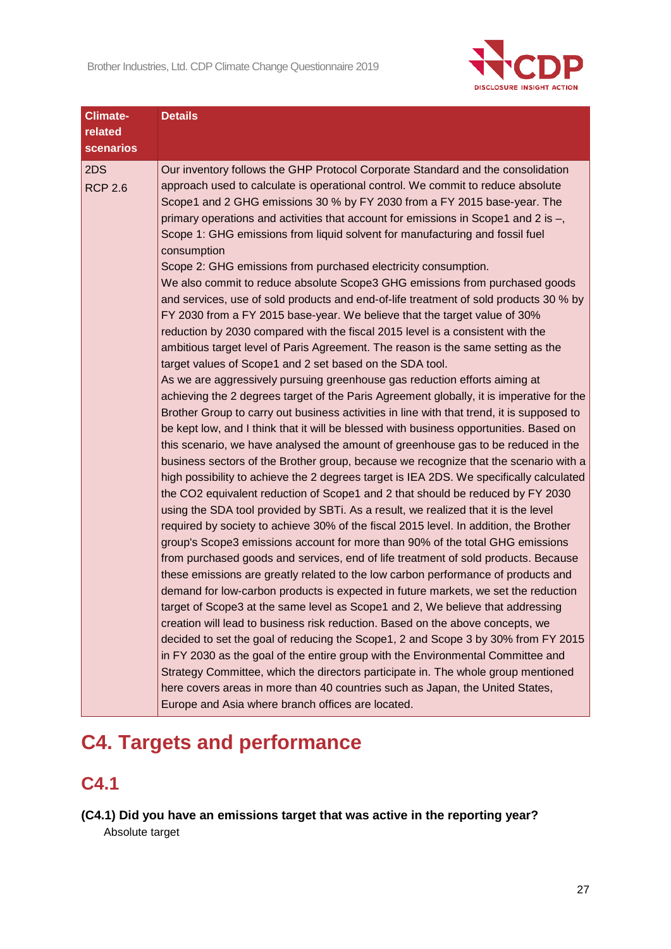

| <b>Climate-</b>       | <b>Details</b>                                                                                                                                                                                                                                                                                                                                                                                                                                                                                                                                                                                                                                                                                                                                                                                                                                                                                                                                                                                                                                                                                                                                                                                                                                                                                                                                                                                                                                                                                                                                                                                                                                                                                                                                                                                                |
|-----------------------|---------------------------------------------------------------------------------------------------------------------------------------------------------------------------------------------------------------------------------------------------------------------------------------------------------------------------------------------------------------------------------------------------------------------------------------------------------------------------------------------------------------------------------------------------------------------------------------------------------------------------------------------------------------------------------------------------------------------------------------------------------------------------------------------------------------------------------------------------------------------------------------------------------------------------------------------------------------------------------------------------------------------------------------------------------------------------------------------------------------------------------------------------------------------------------------------------------------------------------------------------------------------------------------------------------------------------------------------------------------------------------------------------------------------------------------------------------------------------------------------------------------------------------------------------------------------------------------------------------------------------------------------------------------------------------------------------------------------------------------------------------------------------------------------------------------|
| related               |                                                                                                                                                                                                                                                                                                                                                                                                                                                                                                                                                                                                                                                                                                                                                                                                                                                                                                                                                                                                                                                                                                                                                                                                                                                                                                                                                                                                                                                                                                                                                                                                                                                                                                                                                                                                               |
| <b>scenarios</b>      |                                                                                                                                                                                                                                                                                                                                                                                                                                                                                                                                                                                                                                                                                                                                                                                                                                                                                                                                                                                                                                                                                                                                                                                                                                                                                                                                                                                                                                                                                                                                                                                                                                                                                                                                                                                                               |
| 2DS<br><b>RCP 2.6</b> | Our inventory follows the GHP Protocol Corporate Standard and the consolidation<br>approach used to calculate is operational control. We commit to reduce absolute<br>Scope1 and 2 GHG emissions 30 % by FY 2030 from a FY 2015 base-year. The<br>primary operations and activities that account for emissions in Scope1 and 2 is -,<br>Scope 1: GHG emissions from liquid solvent for manufacturing and fossil fuel<br>consumption<br>Scope 2: GHG emissions from purchased electricity consumption.<br>We also commit to reduce absolute Scope3 GHG emissions from purchased goods<br>and services, use of sold products and end-of-life treatment of sold products 30 % by<br>FY 2030 from a FY 2015 base-year. We believe that the target value of 30%<br>reduction by 2030 compared with the fiscal 2015 level is a consistent with the<br>ambitious target level of Paris Agreement. The reason is the same setting as the<br>target values of Scope1 and 2 set based on the SDA tool.<br>As we are aggressively pursuing greenhouse gas reduction efforts aiming at<br>achieving the 2 degrees target of the Paris Agreement globally, it is imperative for the<br>Brother Group to carry out business activities in line with that trend, it is supposed to<br>be kept low, and I think that it will be blessed with business opportunities. Based on<br>this scenario, we have analysed the amount of greenhouse gas to be reduced in the<br>business sectors of the Brother group, because we recognize that the scenario with a<br>high possibility to achieve the 2 degrees target is IEA 2DS. We specifically calculated<br>the CO2 equivalent reduction of Scope1 and 2 that should be reduced by FY 2030<br>using the SDA tool provided by SBTi. As a result, we realized that it is the level |
|                       | required by society to achieve 30% of the fiscal 2015 level. In addition, the Brother<br>group's Scope3 emissions account for more than 90% of the total GHG emissions<br>from purchased goods and services, end of life treatment of sold products. Because<br>these emissions are greatly related to the low carbon performance of products and                                                                                                                                                                                                                                                                                                                                                                                                                                                                                                                                                                                                                                                                                                                                                                                                                                                                                                                                                                                                                                                                                                                                                                                                                                                                                                                                                                                                                                                             |
|                       | demand for low-carbon products is expected in future markets, we set the reduction<br>target of Scope3 at the same level as Scope1 and 2, We believe that addressing<br>creation will lead to business risk reduction. Based on the above concepts, we<br>decided to set the goal of reducing the Scope1, 2 and Scope 3 by 30% from FY 2015<br>in FY 2030 as the goal of the entire group with the Environmental Committee and<br>Strategy Committee, which the directors participate in. The whole group mentioned                                                                                                                                                                                                                                                                                                                                                                                                                                                                                                                                                                                                                                                                                                                                                                                                                                                                                                                                                                                                                                                                                                                                                                                                                                                                                           |
|                       | here covers areas in more than 40 countries such as Japan, the United States,<br>Europe and Asia where branch offices are located.                                                                                                                                                                                                                                                                                                                                                                                                                                                                                                                                                                                                                                                                                                                                                                                                                                                                                                                                                                                                                                                                                                                                                                                                                                                                                                                                                                                                                                                                                                                                                                                                                                                                            |

# **C4. Targets and performance**

# **C4.1**

**(C4.1) Did you have an emissions target that was active in the reporting year?** Absolute target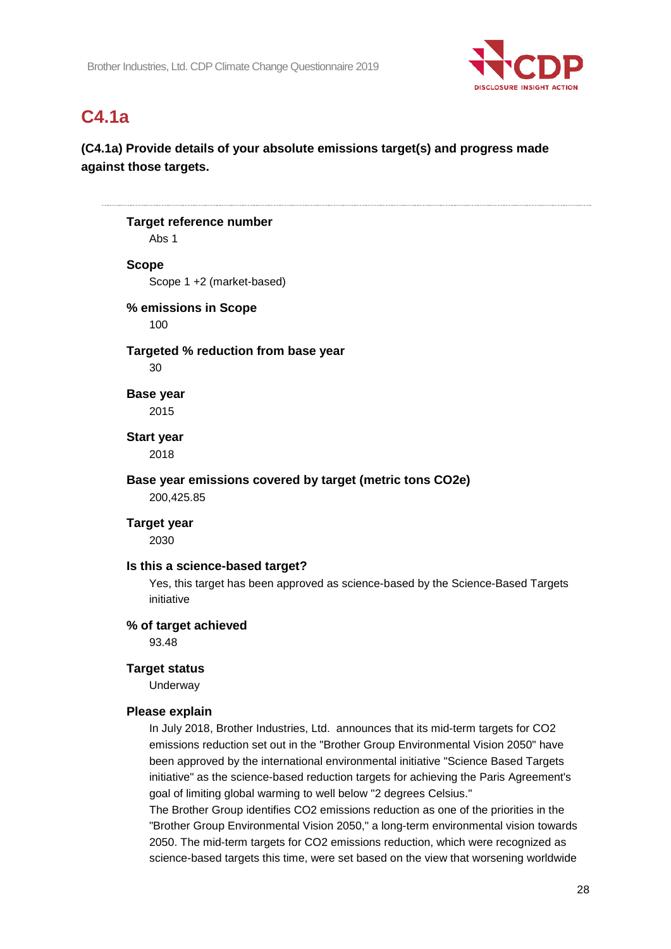

# **C4.1a**

## **(C4.1a) Provide details of your absolute emissions target(s) and progress made against those targets.**

## **Target reference number** Abs 1 **Scope** Scope 1 +2 (market-based) **% emissions in Scope** 100 **Targeted % reduction from base year** 30 **Base year** 2015 **Start year** 2018 **Base year emissions covered by target (metric tons CO2e)** 200,425.85 **Target year** 2030 **Is this a science-based target?** Yes, this target has been approved as science-based by the Science-Based Targets initiative **% of target achieved** 93.48 **Target status** Underway **Please explain** In July 2018, Brother Industries, Ltd. announces that its mid-term targets for CO2 emissions reduction set out in the "Brother Group Environmental Vision 2050" have been approved by the international environmental initiative "Science Based Targets initiative" as the science-based reduction targets for achieving the Paris Agreement's goal of limiting global warming to well below "2 degrees Celsius." The Brother Group identifies CO2 emissions reduction as one of the priorities in the

"Brother Group Environmental Vision 2050," a long-term environmental vision towards 2050. The mid-term targets for CO2 emissions reduction, which were recognized as science-based targets this time, were set based on the view that worsening worldwide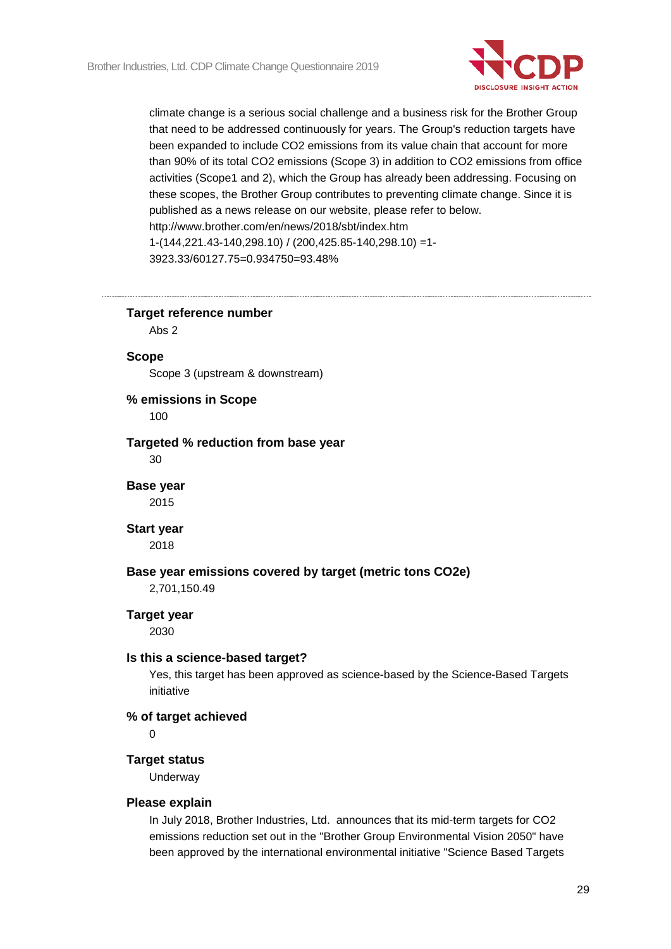

climate change is a serious social challenge and a business risk for the Brother Group that need to be addressed continuously for years. The Group's reduction targets have been expanded to include CO2 emissions from its value chain that account for more than 90% of its total CO2 emissions (Scope 3) in addition to CO2 emissions from office activities (Scope1 and 2), which the Group has already been addressing. Focusing on these scopes, the Brother Group contributes to preventing climate change. Since it is published as a news release on our website, please refer to below. http://www.brother.com/en/news/2018/sbt/index.htm 1-(144,221.43-140,298.10) / (200,425.85-140,298.10) =1- 3923.33/60127.75=0.934750=93.48%

**Target reference number**

Abs 2

#### **Scope**

Scope 3 (upstream & downstream)

#### **% emissions in Scope**

100

## **Targeted % reduction from base year**

30

#### **Base year** 2015

#### **Start year**

2018

#### **Base year emissions covered by target (metric tons CO2e)**

2,701,150.49

#### **Target year**

2030

#### **Is this a science-based target?**

Yes, this target has been approved as science-based by the Science-Based Targets initiative

#### **% of target achieved**

0

#### **Target status**

Underway

#### **Please explain**

In July 2018, Brother Industries, Ltd. announces that its mid-term targets for CO2 emissions reduction set out in the "Brother Group Environmental Vision 2050" have been approved by the international environmental initiative "Science Based Targets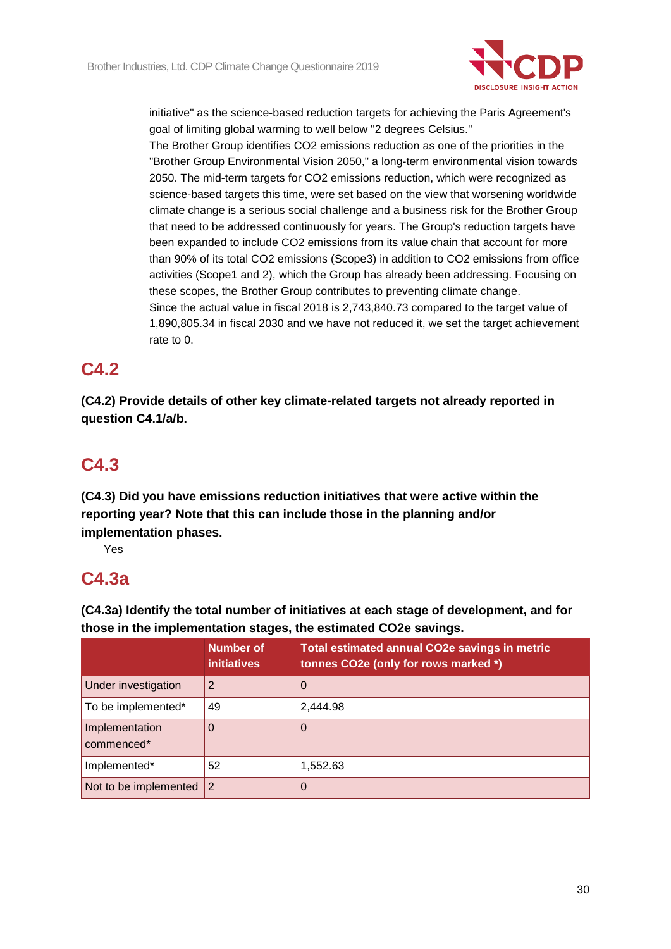

initiative" as the science-based reduction targets for achieving the Paris Agreement's goal of limiting global warming to well below "2 degrees Celsius."

The Brother Group identifies CO2 emissions reduction as one of the priorities in the "Brother Group Environmental Vision 2050," a long-term environmental vision towards 2050. The mid-term targets for CO2 emissions reduction, which were recognized as science-based targets this time, were set based on the view that worsening worldwide climate change is a serious social challenge and a business risk for the Brother Group that need to be addressed continuously for years. The Group's reduction targets have been expanded to include CO2 emissions from its value chain that account for more than 90% of its total CO2 emissions (Scope3) in addition to CO2 emissions from office activities (Scope1 and 2), which the Group has already been addressing. Focusing on these scopes, the Brother Group contributes to preventing climate change. Since the actual value in fiscal 2018 is 2,743,840.73 compared to the target value of 1,890,805.34 in fiscal 2030 and we have not reduced it, we set the target achievement rate to 0.

# **C4.2**

**(C4.2) Provide details of other key climate-related targets not already reported in question C4.1/a/b.**

# **C4.3**

**(C4.3) Did you have emissions reduction initiatives that were active within the reporting year? Note that this can include those in the planning and/or implementation phases.**

Yes

# **C4.3a**

**(C4.3a) Identify the total number of initiatives at each stage of development, and for those in the implementation stages, the estimated CO2e savings.**

|                              | <b>Number of</b><br><b>initiatives</b> | Total estimated annual CO2e savings in metric<br>tonnes CO2e (only for rows marked *) |
|------------------------------|----------------------------------------|---------------------------------------------------------------------------------------|
| Under investigation          | 2                                      | $\Omega$                                                                              |
| To be implemented*           | 49                                     | 2,444.98                                                                              |
| Implementation<br>commenced* | O                                      | 0                                                                                     |
| Implemented*                 | 52                                     | 1,552.63                                                                              |
| Not to be implemented        | $\overline{2}$                         | 0                                                                                     |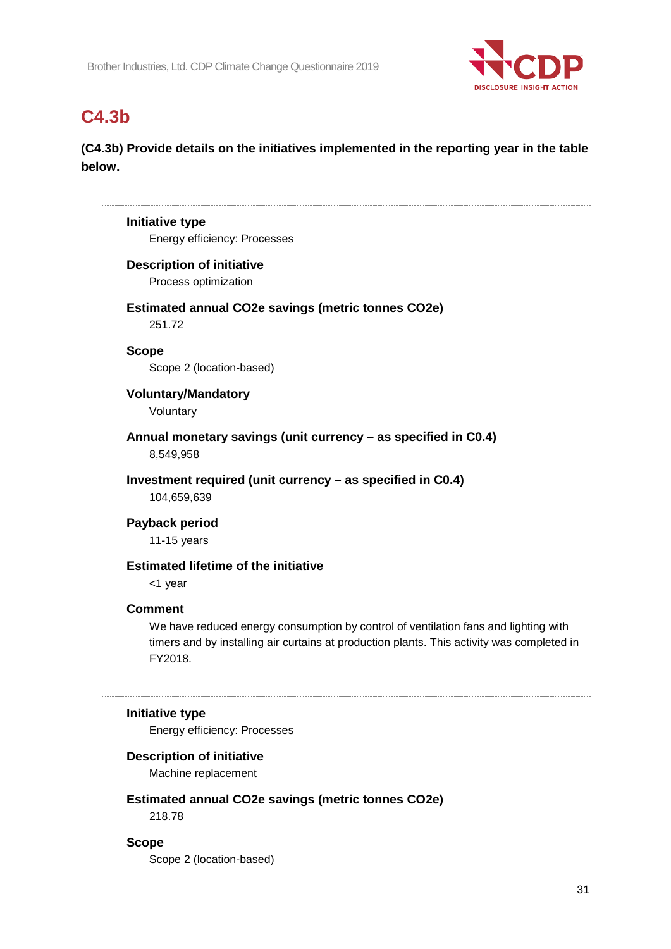

# **C4.3b**

**(C4.3b) Provide details on the initiatives implemented in the reporting year in the table below.**

# **Initiative type** Energy efficiency: Processes **Description of initiative** Process optimization

**Estimated annual CO2e savings (metric tonnes CO2e)**

251.72

**Scope** Scope 2 (location-based)

**Voluntary/Mandatory**

Voluntary

**Annual monetary savings (unit currency – as specified in C0.4)** 8,549,958

**Investment required (unit currency – as specified in C0.4)** 104,659,639

**Payback period**

11-15 years

## **Estimated lifetime of the initiative**

<1 year

## **Comment**

We have reduced energy consumption by control of ventilation fans and lighting with timers and by installing air curtains at production plants. This activity was completed in FY2018.

## **Initiative type**

Energy efficiency: Processes

## **Description of initiative**

Machine replacement

# **Estimated annual CO2e savings (metric tonnes CO2e)**

218.78

**Scope**

Scope 2 (location-based)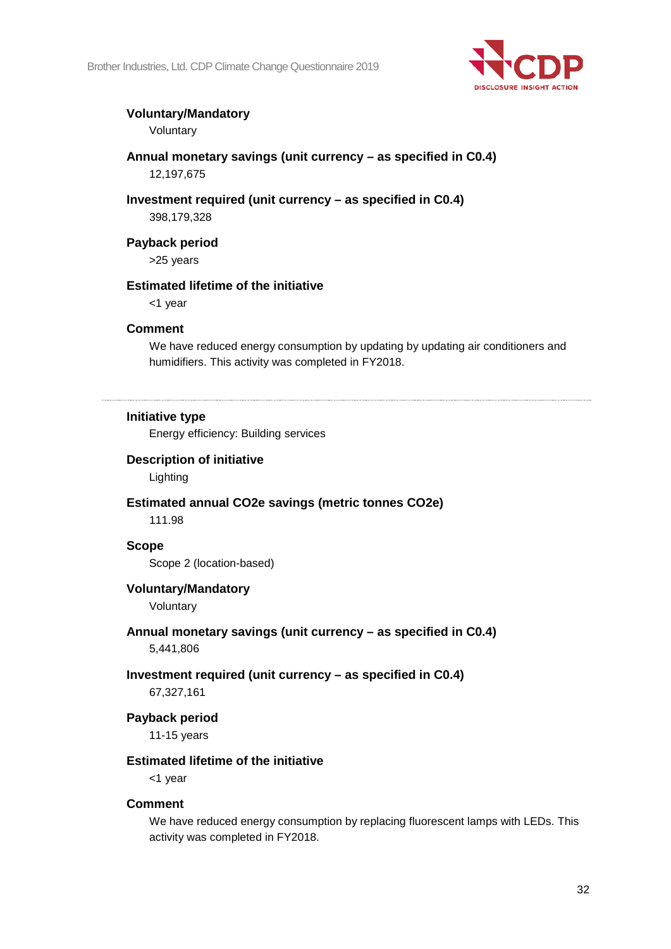

## **Voluntary/Mandatory**

Voluntary

- **Annual monetary savings (unit currency – as specified in C0.4)** 12,197,675
- **Investment required (unit currency – as specified in C0.4)** 398,179,328

**Payback period** >25 years

## **Estimated lifetime of the initiative**

<1 year

### **Comment**

We have reduced energy consumption by updating by updating air conditioners and humidifiers. This activity was completed in FY2018.

### **Initiative type**

Energy efficiency: Building services

## **Description of initiative**

Lighting

## **Estimated annual CO2e savings (metric tonnes CO2e)**

111.98

#### **Scope**

Scope 2 (location-based)

## **Voluntary/Mandatory**

Voluntary

## **Annual monetary savings (unit currency – as specified in C0.4)**

5,441,806

## **Investment required (unit currency – as specified in C0.4)**

67,327,161

#### **Payback period**

11-15 years

## **Estimated lifetime of the initiative**

<1 year

#### **Comment**

We have reduced energy consumption by replacing fluorescent lamps with LEDs. This activity was completed in FY2018.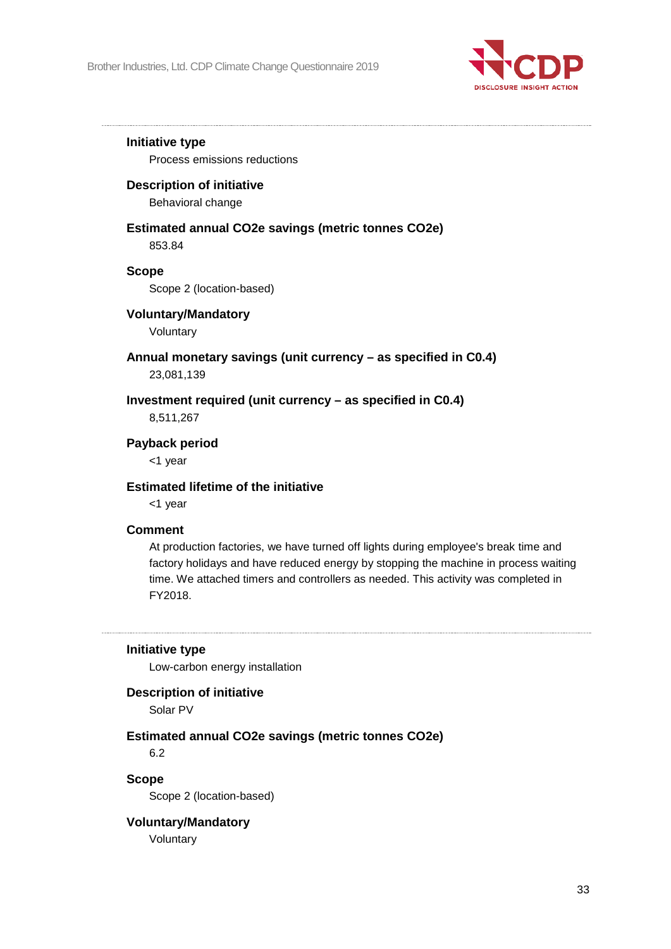

### **Initiative type**

Process emissions reductions

### **Description of initiative**

Behavioral change

### **Estimated annual CO2e savings (metric tonnes CO2e)** 853.84

## **Scope**

Scope 2 (location-based)

## **Voluntary/Mandatory**

Voluntary

## **Annual monetary savings (unit currency – as specified in C0.4)**

23,081,139

## **Investment required (unit currency – as specified in C0.4)**

8,511,267

### **Payback period**

<1 year

### **Estimated lifetime of the initiative**

<1 year

#### **Comment**

At production factories, we have turned off lights during employee's break time and factory holidays and have reduced energy by stopping the machine in process waiting time. We attached timers and controllers as needed. This activity was completed in FY2018.

## **Initiative type**

Low-carbon energy installation

#### **Description of initiative**

Solar PV

## **Estimated annual CO2e savings (metric tonnes CO2e)**

6.2

#### **Scope**

Scope 2 (location-based)

## **Voluntary/Mandatory**

Voluntary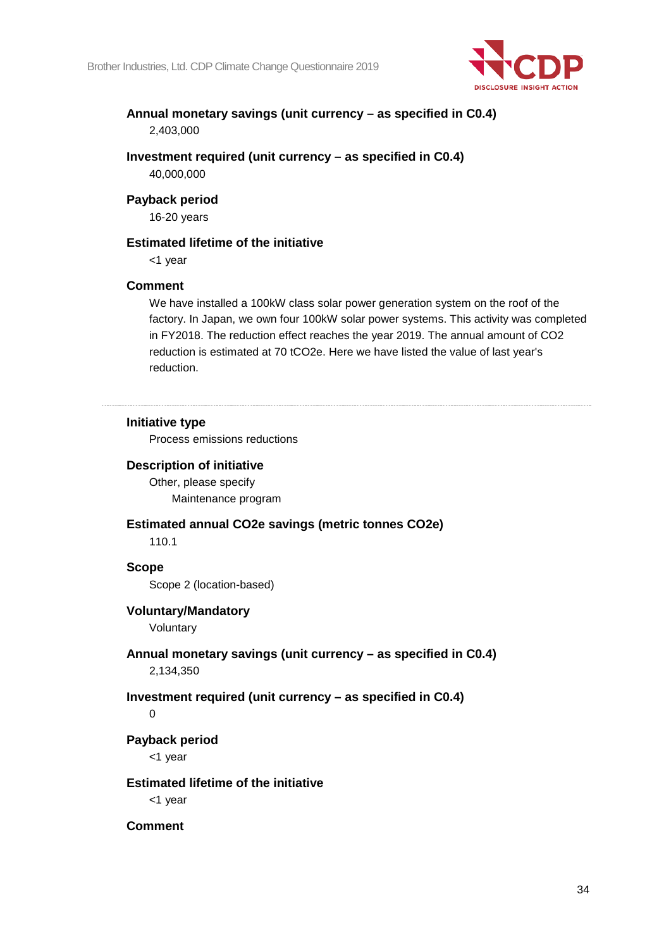

## **Annual monetary savings (unit currency – as specified in C0.4)** 2,403,000

**Investment required (unit currency – as specified in C0.4)** 40,000,000

### **Payback period**

16-20 years

### **Estimated lifetime of the initiative**

<1 year

### **Comment**

We have installed a 100kW class solar power generation system on the roof of the factory. In Japan, we own four 100kW solar power systems. This activity was completed in FY2018. The reduction effect reaches the year 2019. The annual amount of CO2 reduction is estimated at 70 tCO2e. Here we have listed the value of last year's reduction.

### **Initiative type**

Process emissions reductions

#### **Description of initiative**

Other, please specify Maintenance program

#### **Estimated annual CO2e savings (metric tonnes CO2e)**

110.1

#### **Scope**

Scope 2 (location-based)

#### **Voluntary/Mandatory**

Voluntary

## **Annual monetary savings (unit currency – as specified in C0.4)**

2,134,350

## **Investment required (unit currency – as specified in C0.4)**

#### $\Omega$

**Payback period**

<1 year

#### **Estimated lifetime of the initiative**

<1 year

**Comment**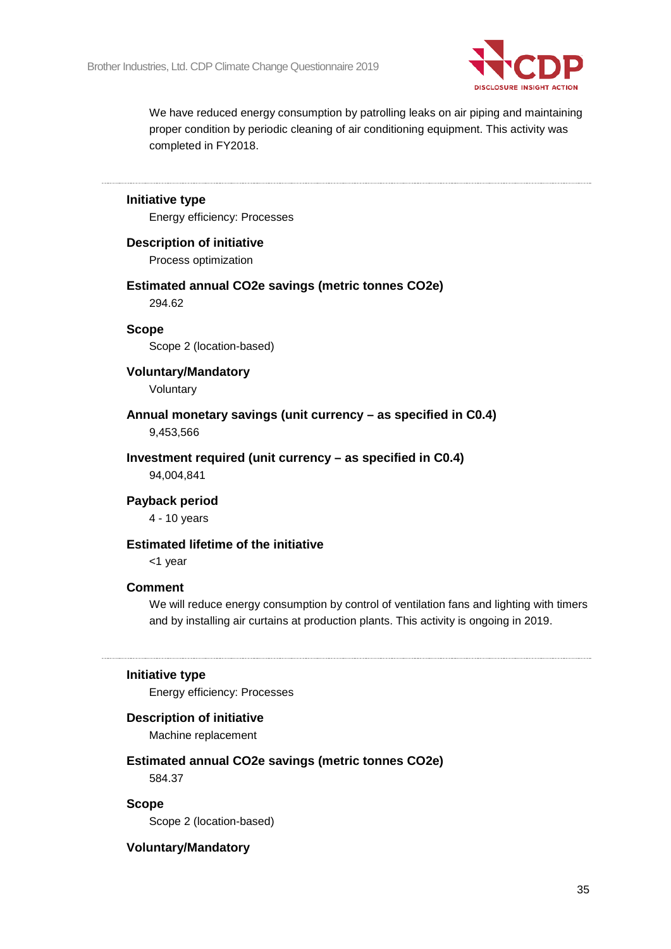

We have reduced energy consumption by patrolling leaks on air piping and maintaining proper condition by periodic cleaning of air conditioning equipment. This activity was completed in FY2018.

# **Initiative type** Energy efficiency: Processes **Description of initiative** Process optimization **Estimated annual CO2e savings (metric tonnes CO2e)** 294.62 **Scope** Scope 2 (location-based) **Voluntary/Mandatory** Voluntary **Annual monetary savings (unit currency – as specified in C0.4)** 9,453,566 **Investment required (unit currency – as specified in C0.4)** 94,004,841 **Payback period** 4 - 10 years **Estimated lifetime of the initiative**

<1 year

#### **Comment**

We will reduce energy consumption by control of ventilation fans and lighting with timers and by installing air curtains at production plants. This activity is ongoing in 2019.

#### **Initiative type**

Energy efficiency: Processes

#### **Description of initiative**

Machine replacement

## **Estimated annual CO2e savings (metric tonnes CO2e)**

584.37

#### **Scope**

Scope 2 (location-based)

#### **Voluntary/Mandatory**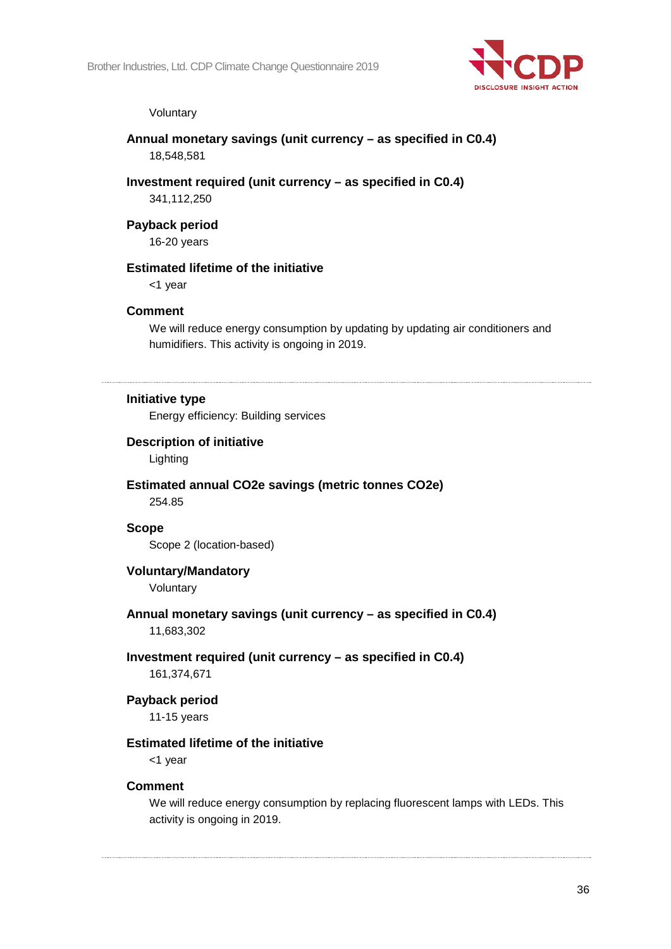

#### Voluntary

### **Annual monetary savings (unit currency – as specified in C0.4)** 18,548,581

#### **Investment required (unit currency – as specified in C0.4)**

341,112,250

## **Payback period**

16-20 years

## **Estimated lifetime of the initiative**

<1 year

#### **Comment**

We will reduce energy consumption by updating by updating air conditioners and humidifiers. This activity is ongoing in 2019.

#### **Initiative type**

Energy efficiency: Building services

#### **Description of initiative**

Lighting

## **Estimated annual CO2e savings (metric tonnes CO2e)**

254.85

## **Scope**

Scope 2 (location-based)

## **Voluntary/Mandatory**

Voluntary

## **Annual monetary savings (unit currency – as specified in C0.4)**

11,683,302

### **Investment required (unit currency – as specified in C0.4)**

161,374,671

## **Payback period**

11-15 years

#### **Estimated lifetime of the initiative**

<1 year

#### **Comment**

We will reduce energy consumption by replacing fluorescent lamps with LEDs. This activity is ongoing in 2019.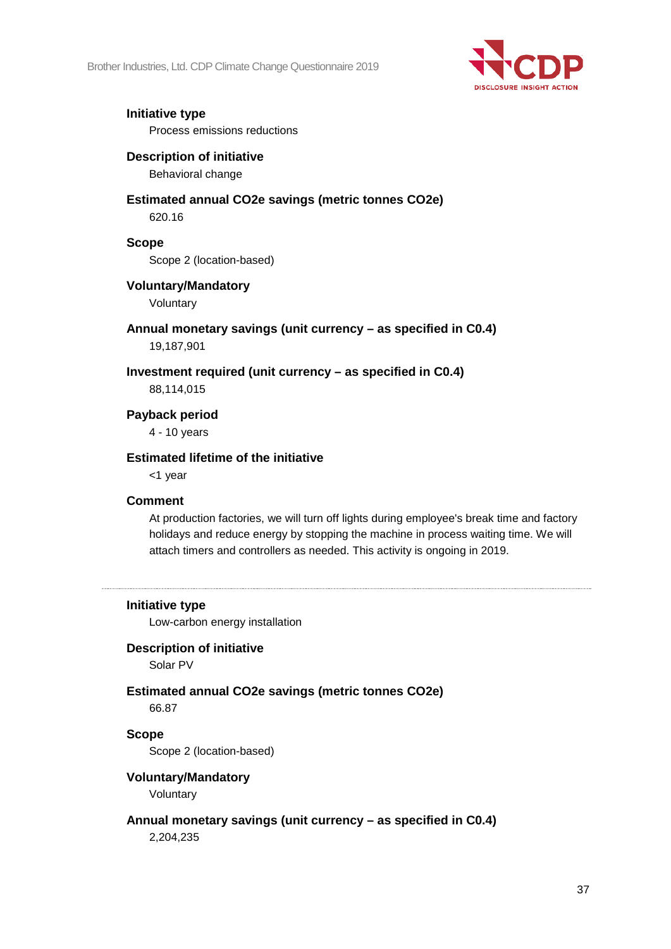

## **Initiative type**

Process emissions reductions

## **Description of initiative**

Behavioral change

## **Estimated annual CO2e savings (metric tonnes CO2e)**

620.16

## **Scope**

Scope 2 (location-based)

## **Voluntary/Mandatory**

Voluntary

### **Annual monetary savings (unit currency – as specified in C0.4)** 19,187,901

**Investment required (unit currency – as specified in C0.4)**

88,114,015

**Payback period**

4 - 10 years

## **Estimated lifetime of the initiative**

<1 year

## **Comment**

At production factories, we will turn off lights during employee's break time and factory holidays and reduce energy by stopping the machine in process waiting time. We will attach timers and controllers as needed. This activity is ongoing in 2019.

## **Initiative type**

Low-carbon energy installation

## **Description of initiative**

Solar PV

## **Estimated annual CO2e savings (metric tonnes CO2e)**

66.87

## **Scope**

Scope 2 (location-based)

## **Voluntary/Mandatory**

Voluntary

## **Annual monetary savings (unit currency – as specified in C0.4)**

2,204,235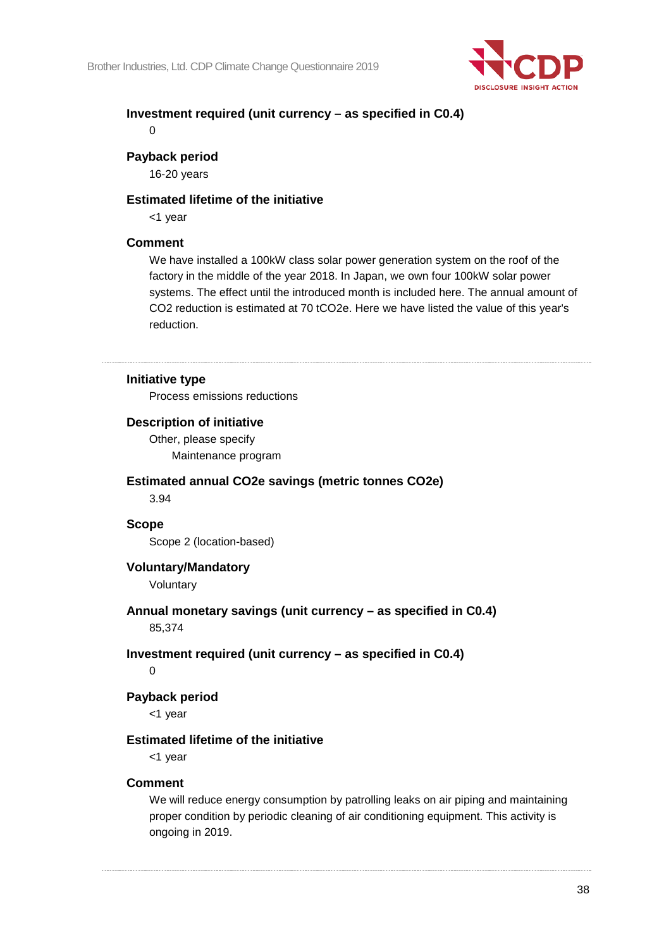

## **Investment required (unit currency – as specified in C0.4)**

 $\Omega$ 

## **Payback period**

16-20 years

#### **Estimated lifetime of the initiative**

<1 year

## **Comment**

We have installed a 100kW class solar power generation system on the roof of the factory in the middle of the year 2018. In Japan, we own four 100kW solar power systems. The effect until the introduced month is included here. The annual amount of CO2 reduction is estimated at 70 tCO2e. Here we have listed the value of this year's reduction.

## **Initiative type**

Process emissions reductions

#### **Description of initiative**

Other, please specify Maintenance program

#### **Estimated annual CO2e savings (metric tonnes CO2e)**

3.94

## **Scope**

Scope 2 (location-based)

## **Voluntary/Mandatory**

Voluntary

# **Annual monetary savings (unit currency – as specified in C0.4)**

85,374

## **Investment required (unit currency – as specified in C0.4)**

 $\Omega$ 

## **Payback period**

<1 year

#### **Estimated lifetime of the initiative**

<1 year

#### **Comment**

We will reduce energy consumption by patrolling leaks on air piping and maintaining proper condition by periodic cleaning of air conditioning equipment. This activity is ongoing in 2019.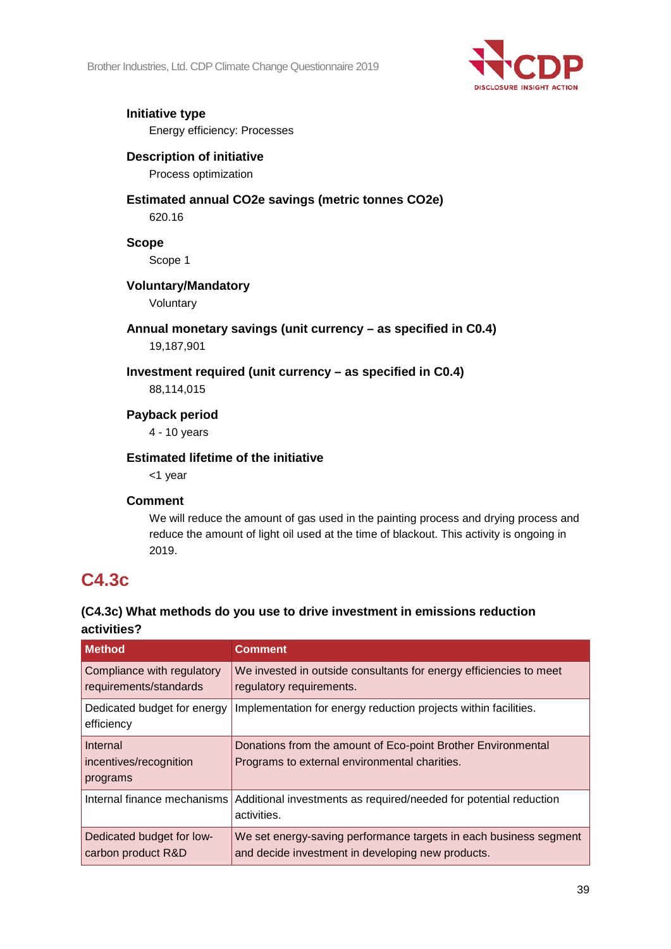

#### **Initiative type** Energy efficiency: Processes

## **Description of initiative**

Process optimization

# **Estimated annual CO2e savings (metric tonnes CO2e)**

620.16

## **Scope**

Scope 1

## **Voluntary/Mandatory**

Voluntary

# **Annual monetary savings (unit currency – as specified in C0.4)**

19,187,901

## **Investment required (unit currency – as specified in C0.4)**

88,114,015

## **Payback period**

4 - 10 years

## **Estimated lifetime of the initiative**

<1 year

## **Comment**

We will reduce the amount of gas used in the painting process and drying process and reduce the amount of light oil used at the time of blackout. This activity is ongoing in 2019.

## **C4.3c**

## **(C4.3c) What methods do you use to drive investment in emissions reduction activities?**

| <b>Method</b>                                        | <b>Comment</b>                                                                                                         |
|------------------------------------------------------|------------------------------------------------------------------------------------------------------------------------|
| Compliance with regulatory<br>requirements/standards | We invested in outside consultants for energy efficiencies to meet<br>regulatory requirements.                         |
| Dedicated budget for energy<br>efficiency            | Implementation for energy reduction projects within facilities.                                                        |
| Internal<br>incentives/recognition<br>programs       | Donations from the amount of Eco-point Brother Environmental<br>Programs to external environmental charities.          |
| Internal finance mechanisms                          | Additional investments as required/needed for potential reduction<br>activities.                                       |
| Dedicated budget for low-<br>carbon product R&D      | We set energy-saving performance targets in each business segment<br>and decide investment in developing new products. |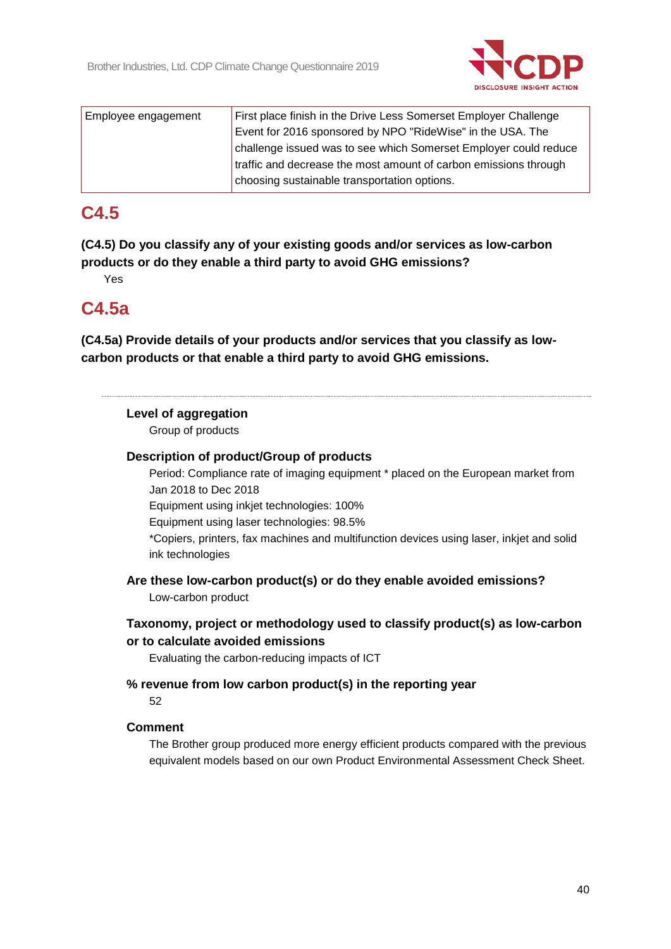

| Employee engagement | First place finish in the Drive Less Somerset Employer Challenge |
|---------------------|------------------------------------------------------------------|
|                     | Event for 2016 sponsored by NPO "RideWise" in the USA. The       |
|                     | challenge issued was to see which Somerset Employer could reduce |
|                     | traffic and decrease the most amount of carbon emissions through |
|                     | choosing sustainable transportation options.                     |

## **C4.5**

**(C4.5) Do you classify any of your existing goods and/or services as low-carbon products or do they enable a third party to avoid GHG emissions?**

Yes

## **C4.5a**

**(C4.5a) Provide details of your products and/or services that you classify as lowcarbon products or that enable a third party to avoid GHG emissions.**

## **Level of aggregation**

Group of products

## **Description of product/Group of products**

Period: Compliance rate of imaging equipment \* placed on the European market from Jan 2018 to Dec 2018

Equipment using inkjet technologies: 100%

Equipment using laser technologies: 98.5%

\*Copiers, printers, fax machines and multifunction devices using laser, inkjet and solid ink technologies

**Are these low-carbon product(s) or do they enable avoided emissions?** Low-carbon product

## **Taxonomy, project or methodology used to classify product(s) as low-carbon or to calculate avoided emissions**

Evaluating the carbon-reducing impacts of ICT

## **% revenue from low carbon product(s) in the reporting year**

52

## **Comment**

The Brother group produced more energy efficient products compared with the previous equivalent models based on our own Product Environmental Assessment Check Sheet.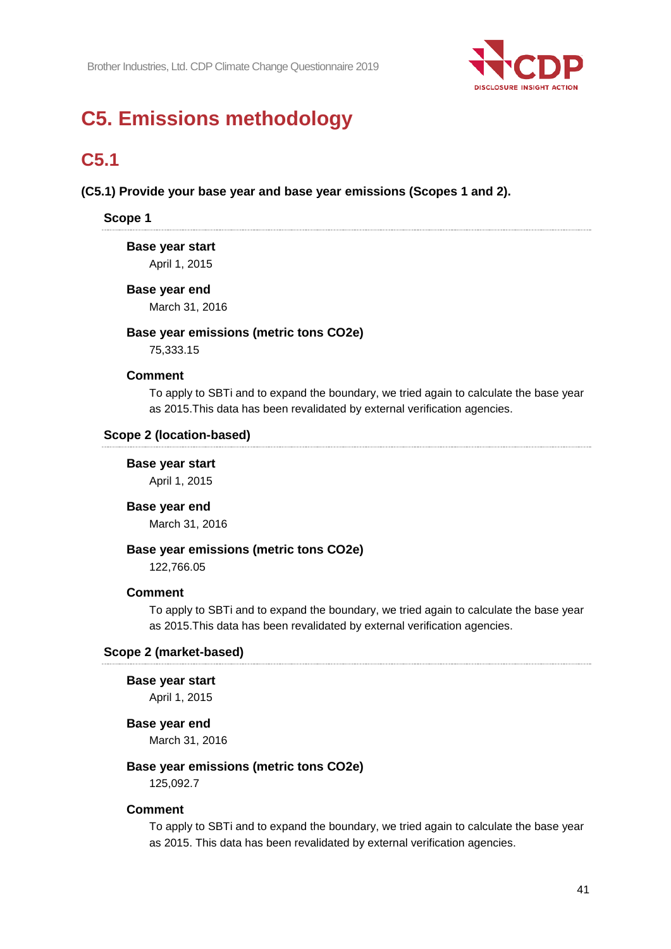

# **C5. Emissions methodology**

## **C5.1**

## **(C5.1) Provide your base year and base year emissions (Scopes 1 and 2).**

## **Scope 1**

#### **Base year start**

April 1, 2015

#### **Base year end**

March 31, 2016

#### **Base year emissions (metric tons CO2e)**

75,333.15

#### **Comment**

To apply to SBTi and to expand the boundary, we tried again to calculate the base year as 2015.This data has been revalidated by external verification agencies.

#### **Scope 2 (location-based)**

#### **Base year start**

April 1, 2015

## **Base year end**

March 31, 2016

#### **Base year emissions (metric tons CO2e)**

122,766.05

#### **Comment**

To apply to SBTi and to expand the boundary, we tried again to calculate the base year as 2015.This data has been revalidated by external verification agencies.

#### **Scope 2 (market-based)**

#### **Base year start**

April 1, 2015

#### **Base year end**

March 31, 2016

#### **Base year emissions (metric tons CO2e)**

125,092.7

#### **Comment**

To apply to SBTi and to expand the boundary, we tried again to calculate the base year as 2015. This data has been revalidated by external verification agencies.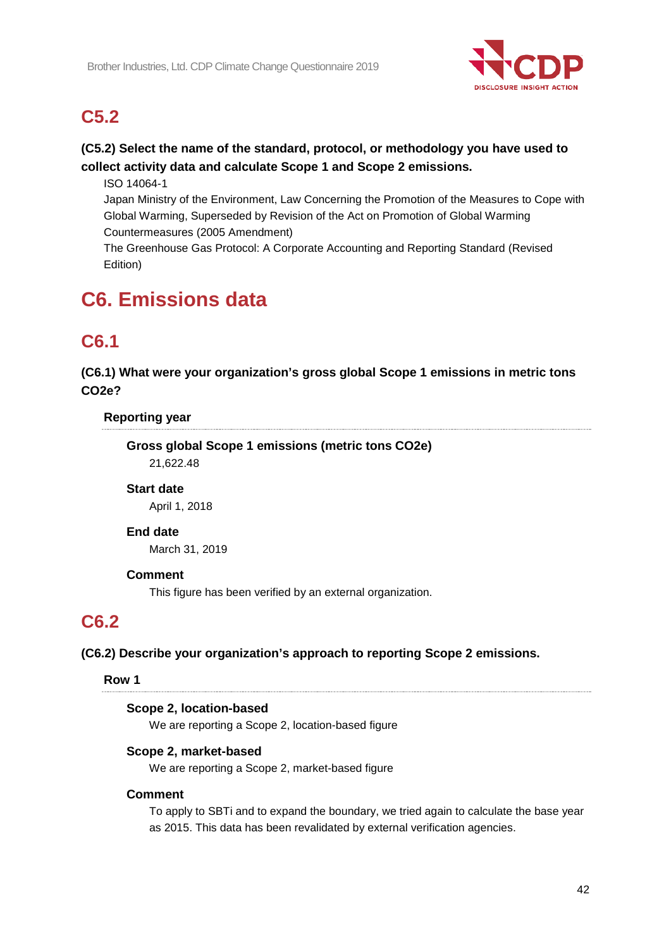

## **C5.2**

## **(C5.2) Select the name of the standard, protocol, or methodology you have used to collect activity data and calculate Scope 1 and Scope 2 emissions.**

ISO 14064-1

Japan Ministry of the Environment, Law Concerning the Promotion of the Measures to Cope with Global Warming, Superseded by Revision of the Act on Promotion of Global Warming Countermeasures (2005 Amendment)

The Greenhouse Gas Protocol: A Corporate Accounting and Reporting Standard (Revised Edition)

# **C6. Emissions data**

## **C6.1**

**(C6.1) What were your organization's gross global Scope 1 emissions in metric tons CO2e?**

## **Reporting year**

**Gross global Scope 1 emissions (metric tons CO2e)** 21,622.48

## **Start date**

April 1, 2018

## **End date**

March 31, 2019

## **Comment**

This figure has been verified by an external organization.

## **C6.2**

## **(C6.2) Describe your organization's approach to reporting Scope 2 emissions.**

## **Row 1**

## **Scope 2, location-based**

We are reporting a Scope 2, location-based figure

## **Scope 2, market-based**

We are reporting a Scope 2, market-based figure

## **Comment**

To apply to SBTi and to expand the boundary, we tried again to calculate the base year as 2015. This data has been revalidated by external verification agencies.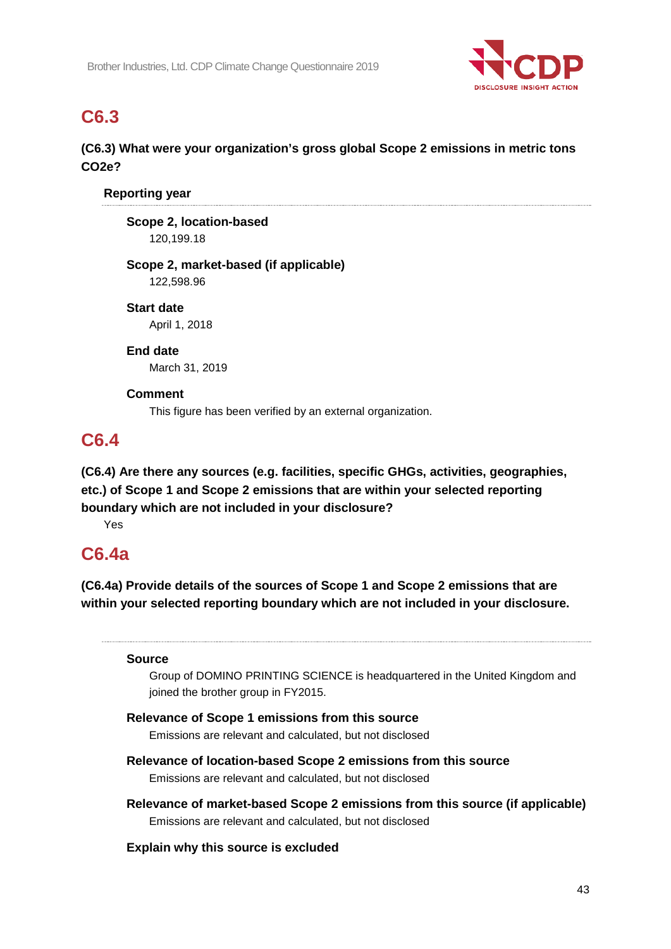

## **C6.3**

## **(C6.3) What were your organization's gross global Scope 2 emissions in metric tons CO2e?**

## **Reporting year**

**Scope 2, location-based** 120,199.18

# **Scope 2, market-based (if applicable)**

122,598.96

**Start date** April 1, 2018

## **End date**

March 31, 2019

## **Comment**

This figure has been verified by an external organization.

## **C6.4**

**(C6.4) Are there any sources (e.g. facilities, specific GHGs, activities, geographies, etc.) of Scope 1 and Scope 2 emissions that are within your selected reporting boundary which are not included in your disclosure?**

Yes

## **C6.4a**

**(C6.4a) Provide details of the sources of Scope 1 and Scope 2 emissions that are within your selected reporting boundary which are not included in your disclosure.**

## **Source**

Group of DOMINO PRINTING SCIENCE is headquartered in the United Kingdom and joined the brother group in FY2015.

## **Relevance of Scope 1 emissions from this source**

Emissions are relevant and calculated, but not disclosed

## **Relevance of location-based Scope 2 emissions from this source** Emissions are relevant and calculated, but not disclosed

**Relevance of market-based Scope 2 emissions from this source (if applicable)** Emissions are relevant and calculated, but not disclosed

## **Explain why this source is excluded**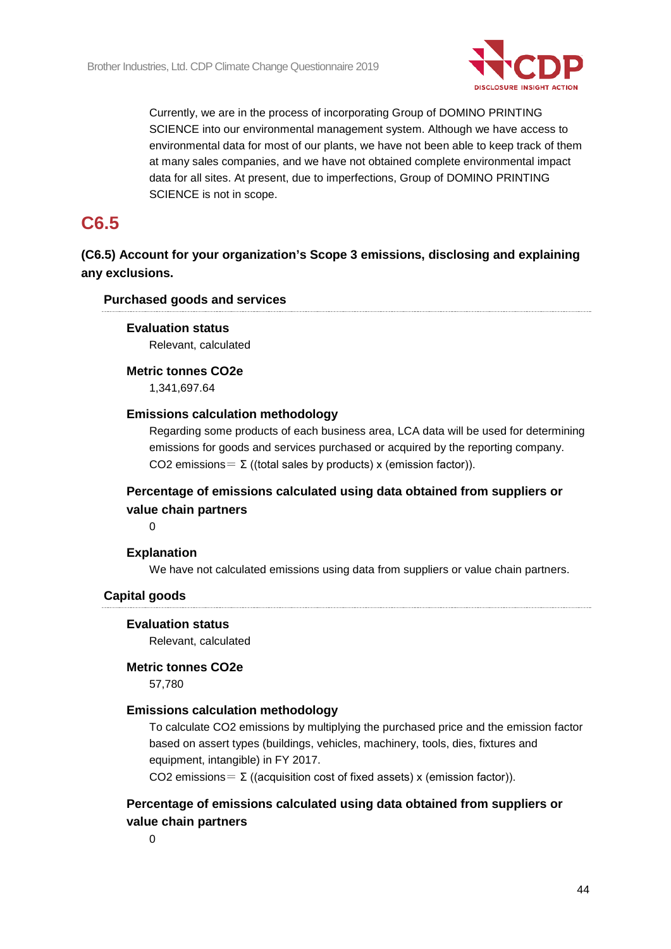

Currently, we are in the process of incorporating Group of DOMINO PRINTING SCIENCE into our environmental management system. Although we have access to environmental data for most of our plants, we have not been able to keep track of them at many sales companies, and we have not obtained complete environmental impact data for all sites. At present, due to imperfections, Group of DOMINO PRINTING SCIENCE is not in scope.

## **C6.5**

**(C6.5) Account for your organization's Scope 3 emissions, disclosing and explaining any exclusions.**

## **Purchased goods and services**

#### **Evaluation status**

Relevant, calculated

## **Metric tonnes CO2e**

1,341,697.64

#### **Emissions calculation methodology**

Regarding some products of each business area, LCA data will be used for determining emissions for goods and services purchased or acquired by the reporting company. CO2 emissions =  $\Sigma$  ((total sales by products) x (emission factor)).

## **Percentage of emissions calculated using data obtained from suppliers or value chain partners**

 $\Omega$ 

## **Explanation**

We have not calculated emissions using data from suppliers or value chain partners.

## **Capital goods**

#### **Evaluation status**

Relevant, calculated

#### **Metric tonnes CO2e**

57,780

## **Emissions calculation methodology**

To calculate CO2 emissions by multiplying the purchased price and the emission factor based on assert types (buildings, vehicles, machinery, tools, dies, fixtures and equipment, intangible) in FY 2017.

CO2 emissions =  $\Sigma$  ((acquisition cost of fixed assets) x (emission factor)).

## **Percentage of emissions calculated using data obtained from suppliers or value chain partners**

0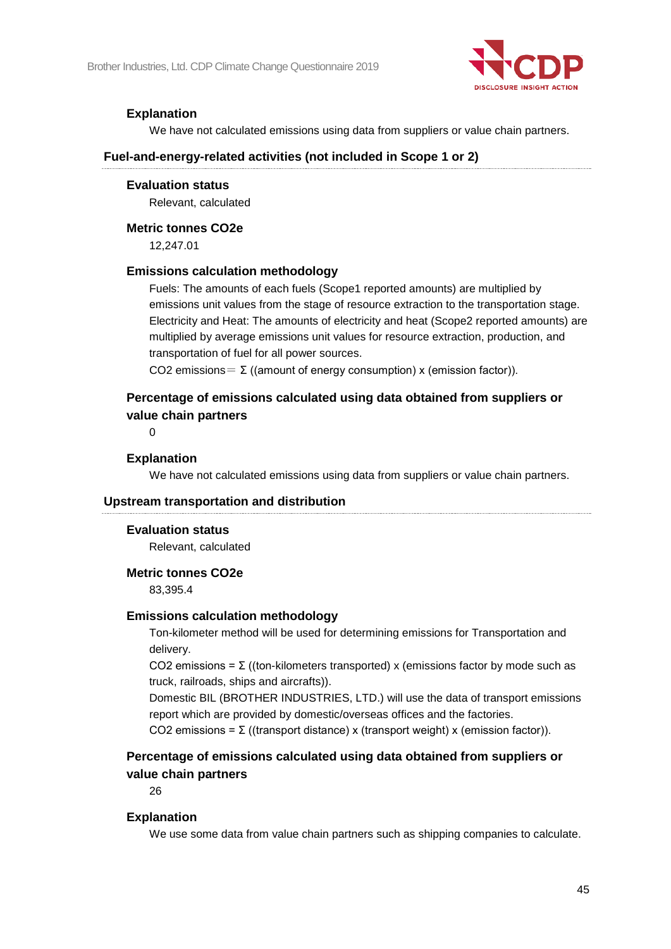

## **Explanation**

We have not calculated emissions using data from suppliers or value chain partners.

#### **Fuel-and-energy-related activities (not included in Scope 1 or 2)**

#### **Evaluation status**

Relevant, calculated

#### **Metric tonnes CO2e**

12,247.01

#### **Emissions calculation methodology**

Fuels: The amounts of each fuels (Scope1 reported amounts) are multiplied by emissions unit values from the stage of resource extraction to the transportation stage. Electricity and Heat: The amounts of electricity and heat (Scope2 reported amounts) are multiplied by average emissions unit values for resource extraction, production, and transportation of fuel for all power sources.

CO2 emissions =  $\Sigma$  ((amount of energy consumption) x (emission factor)).

## **Percentage of emissions calculated using data obtained from suppliers or value chain partners**

 $\Omega$ 

#### **Explanation**

We have not calculated emissions using data from suppliers or value chain partners.

#### **Upstream transportation and distribution**

#### **Evaluation status**

Relevant, calculated

#### **Metric tonnes CO2e**

83,395.4

#### **Emissions calculation methodology**

Ton-kilometer method will be used for determining emissions for Transportation and delivery.

CO2 emissions = Σ ((ton-kilometers transported) x (emissions factor by mode such as truck, railroads, ships and aircrafts)).

Domestic BIL (BROTHER INDUSTRIES, LTD.) will use the data of transport emissions report which are provided by domestic/overseas offices and the factories.

CO2 emissions = Σ ((transport distance) x (transport weight) x (emission factor)).

## **Percentage of emissions calculated using data obtained from suppliers or value chain partners**

26

#### **Explanation**

We use some data from value chain partners such as shipping companies to calculate.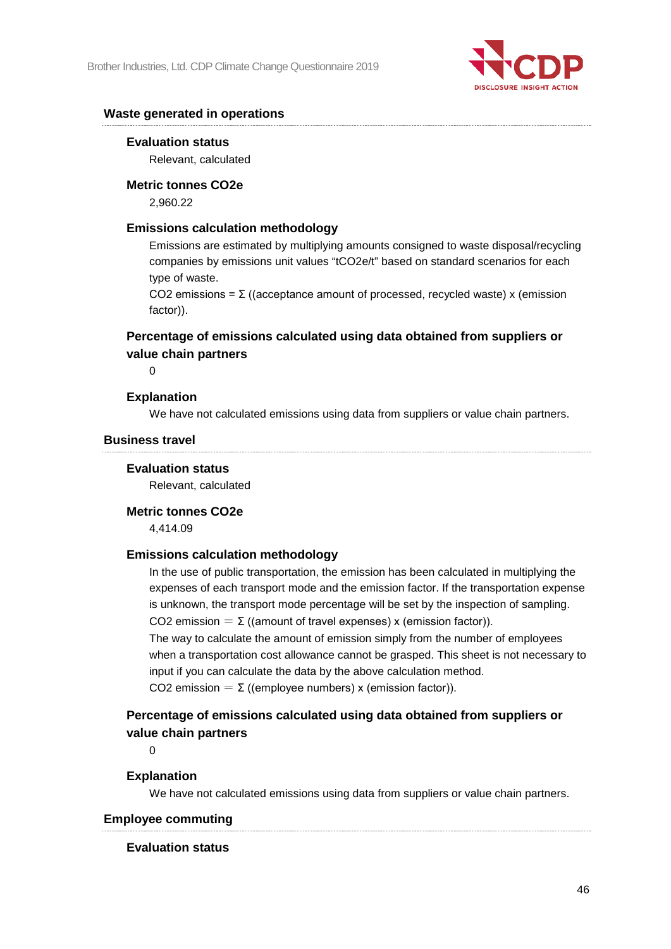

#### **Waste generated in operations**

#### **Evaluation status**

Relevant, calculated

#### **Metric tonnes CO2e**

2,960.22

#### **Emissions calculation methodology**

Emissions are estimated by multiplying amounts consigned to waste disposal/recycling companies by emissions unit values "tCO2e/t" based on standard scenarios for each type of waste.

CO2 emissions = Σ ((acceptance amount of processed, recycled waste) x (emission factor)).

## **Percentage of emissions calculated using data obtained from suppliers or value chain partners**

 $\Omega$ 

#### **Explanation**

We have not calculated emissions using data from suppliers or value chain partners.

#### **Business travel**

#### **Evaluation status**

Relevant, calculated

#### **Metric tonnes CO2e**

4,414.09

#### **Emissions calculation methodology**

In the use of public transportation, the emission has been calculated in multiplying the expenses of each transport mode and the emission factor. If the transportation expense is unknown, the transport mode percentage will be set by the inspection of sampling. CO2 emission =  $\Sigma$  ((amount of travel expenses) x (emission factor)).

The way to calculate the amount of emission simply from the number of employees when a transportation cost allowance cannot be grasped. This sheet is not necessary to input if you can calculate the data by the above calculation method. CO2 emission =  $\Sigma$  ((employee numbers) x (emission factor)).

## **Percentage of emissions calculated using data obtained from suppliers or value chain partners**

 $\Omega$ 

#### **Explanation**

We have not calculated emissions using data from suppliers or value chain partners.

### **Employee commuting**

#### **Evaluation status**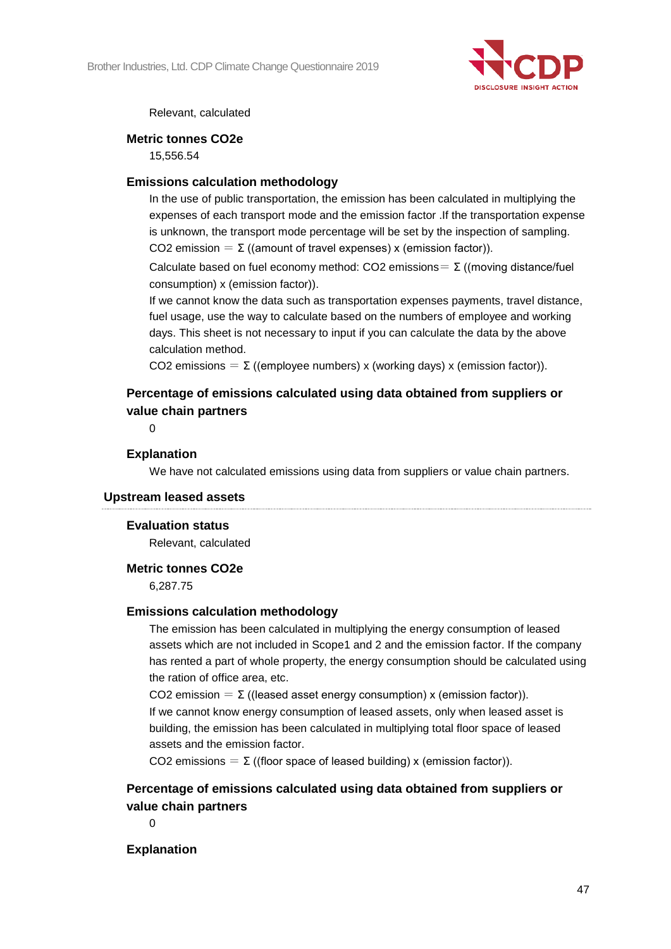

Relevant, calculated

#### **Metric tonnes CO2e**

15,556.54

#### **Emissions calculation methodology**

In the use of public transportation, the emission has been calculated in multiplying the expenses of each transport mode and the emission factor .If the transportation expense is unknown, the transport mode percentage will be set by the inspection of sampling. CO2 emission =  $\Sigma$  ((amount of travel expenses) x (emission factor)).

Calculate based on fuel economy method: CO2 emissions =  $\Sigma$  ((moving distance/fuel consumption) x (emission factor)).

If we cannot know the data such as transportation expenses payments, travel distance, fuel usage, use the way to calculate based on the numbers of employee and working days. This sheet is not necessary to input if you can calculate the data by the above calculation method.

CO2 emissions =  $\Sigma$  ((employee numbers) x (working days) x (emission factor)).

## **Percentage of emissions calculated using data obtained from suppliers or value chain partners**

 $\Omega$ 

#### **Explanation**

We have not calculated emissions using data from suppliers or value chain partners.

#### **Upstream leased assets**

#### **Evaluation status**

Relevant, calculated

#### **Metric tonnes CO2e**

6,287.75

#### **Emissions calculation methodology**

The emission has been calculated in multiplying the energy consumption of leased assets which are not included in Scope1 and 2 and the emission factor. If the company has rented a part of whole property, the energy consumption should be calculated using the ration of office area, etc.

CO2 emission =  $\Sigma$  ((leased asset energy consumption) x (emission factor)). If we cannot know energy consumption of leased assets, only when leased asset is building, the emission has been calculated in multiplying total floor space of leased assets and the emission factor.

CO2 emissions = Σ ((floor space of leased building) x (emission factor)).

## **Percentage of emissions calculated using data obtained from suppliers or value chain partners**

 $\Omega$ 

## **Explanation**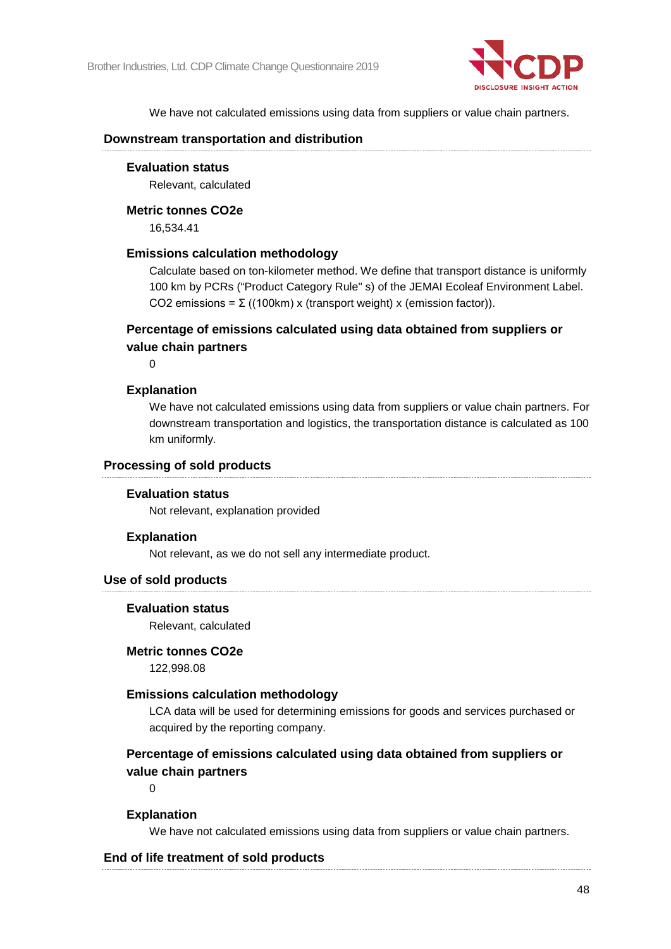

We have not calculated emissions using data from suppliers or value chain partners.

#### **Downstream transportation and distribution**

#### **Evaluation status**

Relevant, calculated

#### **Metric tonnes CO2e**

16,534.41

#### **Emissions calculation methodology**

Calculate based on ton-kilometer method. We define that transport distance is uniformly 100 km by PCRs ("Product Category Rule" s) of the JEMAI Ecoleaf Environment Label. CO2 emissions = Σ ((100km) x (transport weight) x (emission factor)).

## **Percentage of emissions calculated using data obtained from suppliers or value chain partners**

 $\Omega$ 

#### **Explanation**

We have not calculated emissions using data from suppliers or value chain partners. For downstream transportation and logistics, the transportation distance is calculated as 100 km uniformly.

#### **Processing of sold products**

#### **Evaluation status**

Not relevant, explanation provided

#### **Explanation**

Not relevant, as we do not sell any intermediate product.

#### **Use of sold products**

#### **Evaluation status**

Relevant, calculated

#### **Metric tonnes CO2e**

122,998.08

#### **Emissions calculation methodology**

LCA data will be used for determining emissions for goods and services purchased or acquired by the reporting company.

## **Percentage of emissions calculated using data obtained from suppliers or value chain partners**

 $\Omega$ 

## **Explanation**

We have not calculated emissions using data from suppliers or value chain partners.

#### **End of life treatment of sold products**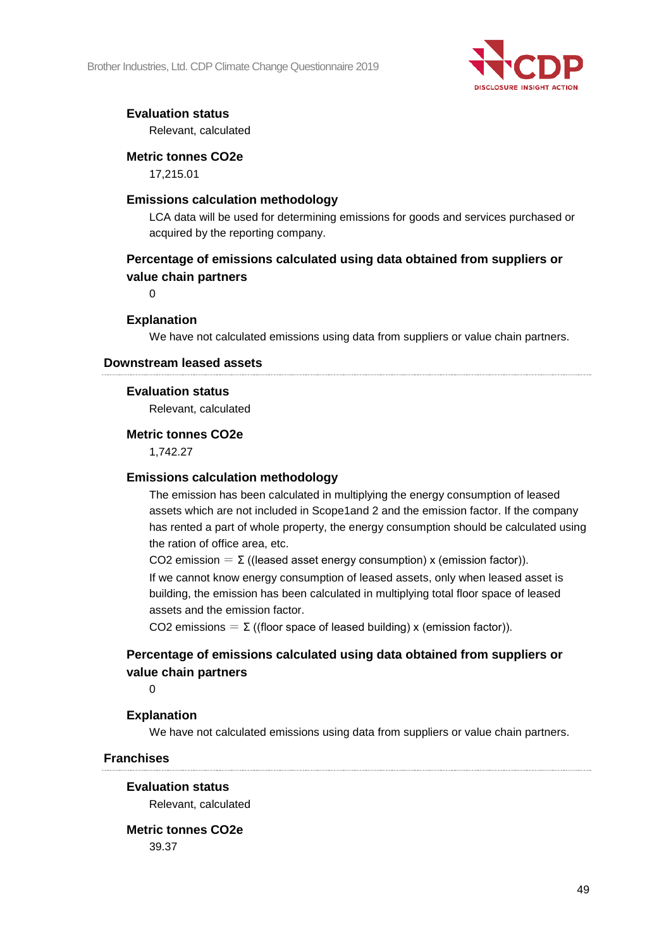Brother Industries, Ltd. CDP Climate Change Questionnaire 2019



## **Evaluation status**

Relevant, calculated

## **Metric tonnes CO2e**

17,215.01

## **Emissions calculation methodology**

LCA data will be used for determining emissions for goods and services purchased or acquired by the reporting company.

## **Percentage of emissions calculated using data obtained from suppliers or value chain partners**

 $\Omega$ 

## **Explanation**

We have not calculated emissions using data from suppliers or value chain partners.

#### **Downstream leased assets**

#### **Evaluation status**

Relevant, calculated

#### **Metric tonnes CO2e**

1,742.27

#### **Emissions calculation methodology**

The emission has been calculated in multiplying the energy consumption of leased assets which are not included in Scope1and 2 and the emission factor. If the company has rented a part of whole property, the energy consumption should be calculated using the ration of office area, etc.

CO2 emission =  $\Sigma$  ((leased asset energy consumption) x (emission factor)). If we cannot know energy consumption of leased assets, only when leased asset is building, the emission has been calculated in multiplying total floor space of leased assets and the emission factor.

CO2 emissions =  $\Sigma$  ((floor space of leased building) x (emission factor)).

## **Percentage of emissions calculated using data obtained from suppliers or value chain partners**

 $\Omega$ 

## **Explanation**

We have not calculated emissions using data from suppliers or value chain partners.

#### **Franchises**

#### **Evaluation status**

Relevant, calculated

## **Metric tonnes CO2e**

39.37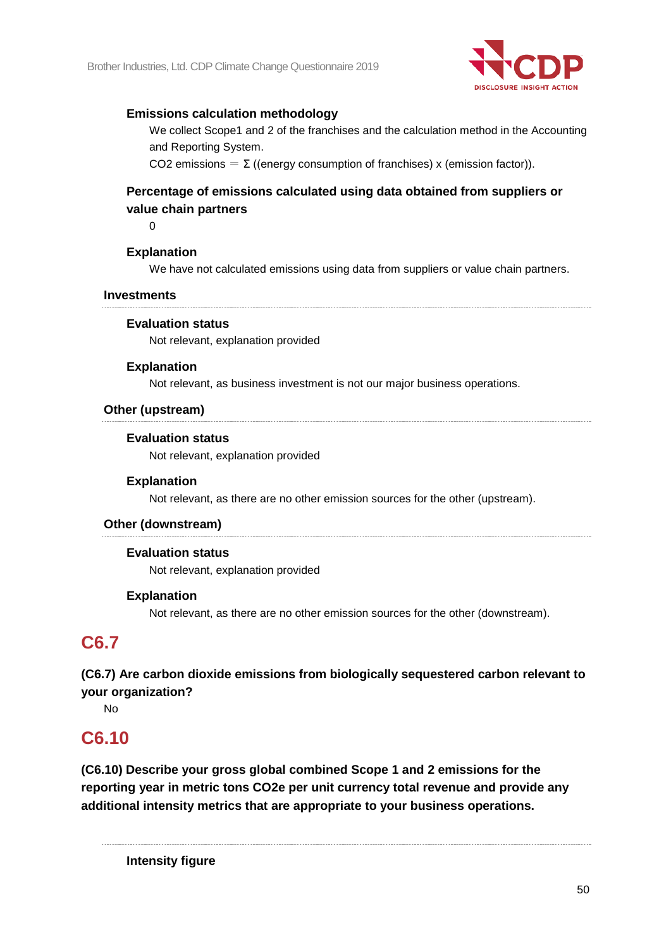

## **Emissions calculation methodology**

We collect Scope1 and 2 of the franchises and the calculation method in the Accounting and Reporting System.

CO2 emissions =  $\Sigma$  ((energy consumption of franchises) x (emission factor)).

## **Percentage of emissions calculated using data obtained from suppliers or value chain partners**

 $\Omega$ 

## **Explanation**

We have not calculated emissions using data from suppliers or value chain partners.

#### **Investments**

#### **Evaluation status**

Not relevant, explanation provided

#### **Explanation**

Not relevant, as business investment is not our major business operations.

#### **Other (upstream)**

#### **Evaluation status**

Not relevant, explanation provided

#### **Explanation**

Not relevant, as there are no other emission sources for the other (upstream).

#### **Other (downstream)**

#### **Evaluation status**

Not relevant, explanation provided

#### **Explanation**

Not relevant, as there are no other emission sources for the other (downstream).

## **C6.7**

**(C6.7) Are carbon dioxide emissions from biologically sequestered carbon relevant to your organization?**

No

## **C6.10**

**(C6.10) Describe your gross global combined Scope 1 and 2 emissions for the reporting year in metric tons CO2e per unit currency total revenue and provide any additional intensity metrics that are appropriate to your business operations.**

**Intensity figure**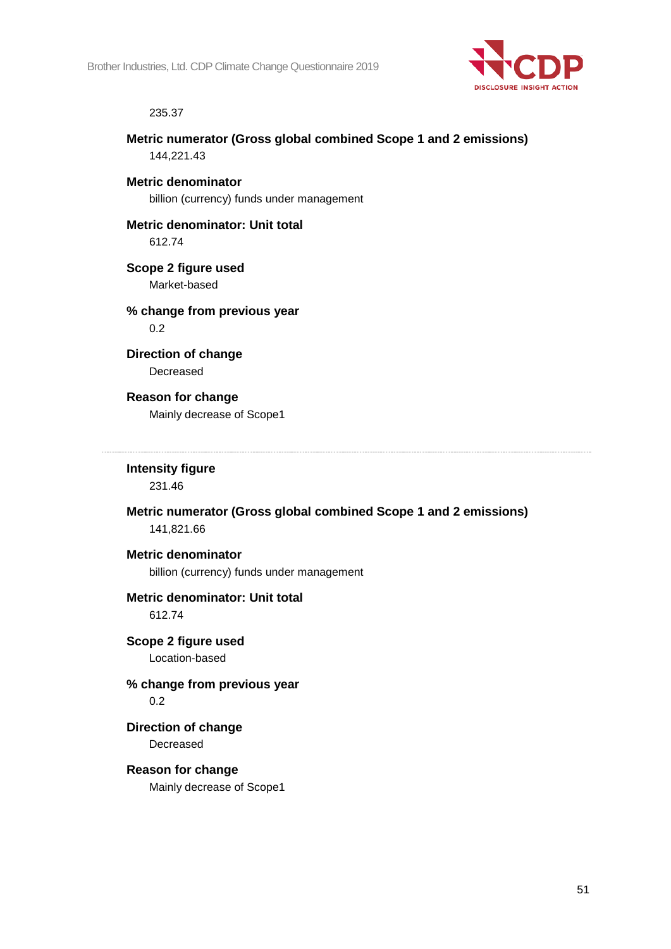

#### 235.37

**Metric numerator (Gross global combined Scope 1 and 2 emissions)** 144,221.43

**Metric denominator** billion (currency) funds under management

**Metric denominator: Unit total** 612.74

**Scope 2 figure used** Market-based

**% change from previous year** 0.2

**Direction of change** Decreased

## **Reason for change**

Mainly decrease of Scope1

**Intensity figure**

231.46

**Metric numerator (Gross global combined Scope 1 and 2 emissions)** 141,821.66

#### **Metric denominator**

billion (currency) funds under management

#### **Metric denominator: Unit total** 612.74

**Scope 2 figure used** Location-based

## **% change from previous year** 0.2

**Direction of change** Decreased

## **Reason for change** Mainly decrease of Scope1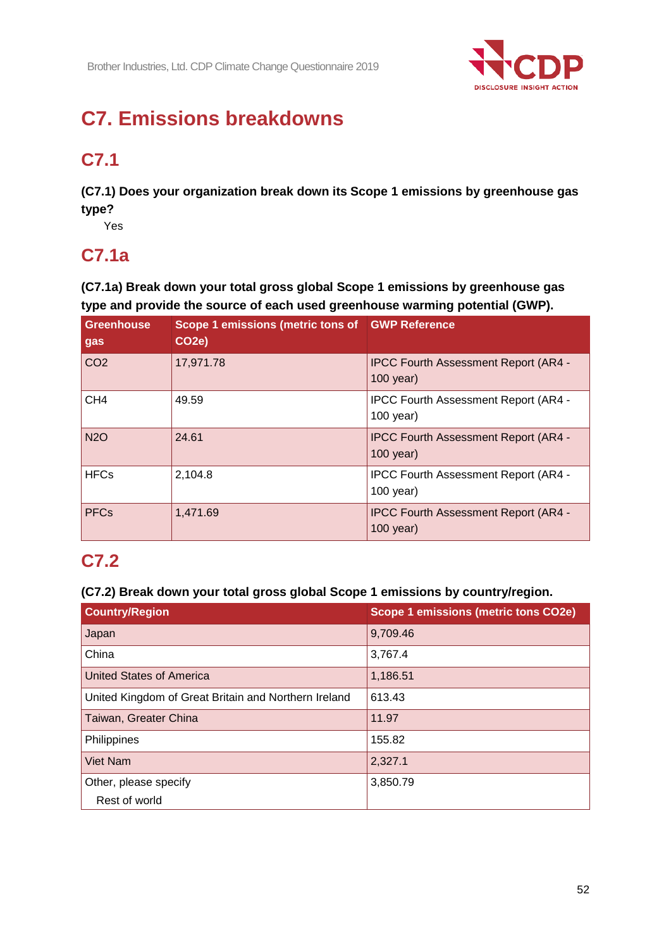

# **C7. Emissions breakdowns**

# **C7.1**

**(C7.1) Does your organization break down its Scope 1 emissions by greenhouse gas type?**

Yes

## **C7.1a**

**(C7.1a) Break down your total gross global Scope 1 emissions by greenhouse gas type and provide the source of each used greenhouse warming potential (GWP).**

| <b>Greenhouse</b><br>gas | Scope 1 emissions (metric tons of GWP Reference<br>CO <sub>2</sub> e) |                                                            |
|--------------------------|-----------------------------------------------------------------------|------------------------------------------------------------|
| CO <sub>2</sub>          | 17,971.78                                                             | <b>IPCC Fourth Assessment Report (AR4 -</b><br>$100$ year) |
| CH <sub>4</sub>          | 49.59                                                                 | <b>IPCC Fourth Assessment Report (AR4 -</b><br>$100$ year) |
| <b>N2O</b>               | 24.61                                                                 | <b>IPCC Fourth Assessment Report (AR4 -</b><br>$100$ year) |
| <b>HFCs</b>              | 2,104.8                                                               | IPCC Fourth Assessment Report (AR4 -<br>$100$ year)        |
| <b>PFCs</b>              | 1,471.69                                                              | <b>IPCC Fourth Assessment Report (AR4 -</b><br>$100$ year) |

## **C7.2**

## **(C7.2) Break down your total gross global Scope 1 emissions by country/region.**

| <b>Country/Region</b>                                | <b>Scope 1 emissions (metric tons CO2e)</b> |
|------------------------------------------------------|---------------------------------------------|
| Japan                                                | 9,709.46                                    |
| China                                                | 3,767.4                                     |
| United States of America                             | 1,186.51                                    |
| United Kingdom of Great Britain and Northern Ireland | 613.43                                      |
| Taiwan, Greater China                                | 11.97                                       |
| Philippines                                          | 155.82                                      |
| <b>Viet Nam</b>                                      | 2,327.1                                     |
| Other, please specify                                | 3,850.79                                    |
| Rest of world                                        |                                             |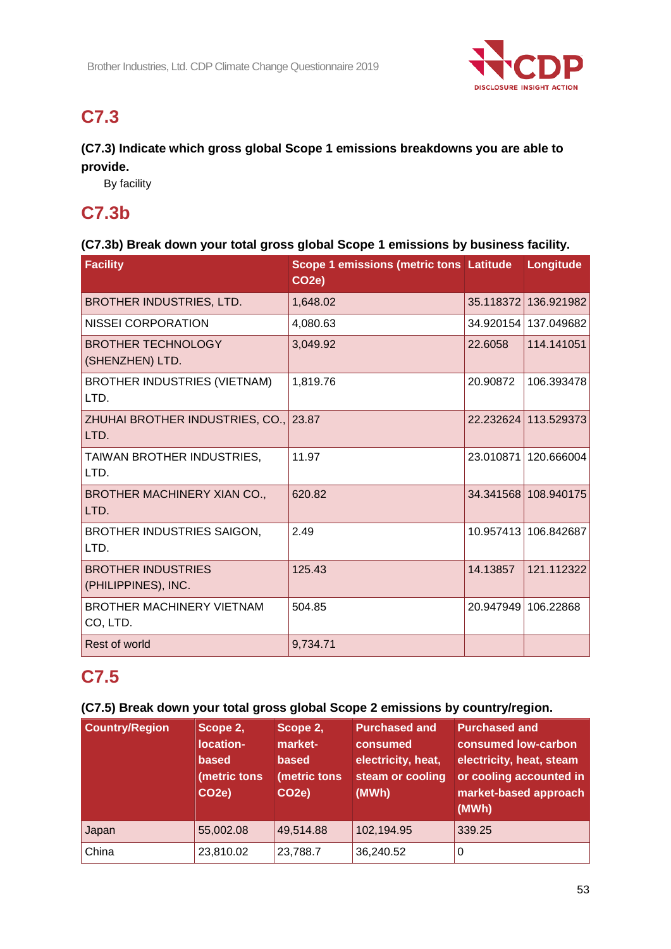

## **C7.3**

## **(C7.3) Indicate which gross global Scope 1 emissions breakdowns you are able to provide.**

By facility

## **C7.3b**

## **(C7.3b) Break down your total gross global Scope 1 emissions by business facility.**

| Facility                                         | <b>Scope 1 emissions (metric tons Latitude</b><br>CO <sub>2e</sub> ) |           | Longitude            |
|--------------------------------------------------|----------------------------------------------------------------------|-----------|----------------------|
| BROTHER INDUSTRIES, LTD.                         | 1,648.02                                                             | 35.118372 | 136.921982           |
| <b>NISSEI CORPORATION</b>                        | 4,080.63                                                             |           | 34.920154 137.049682 |
| <b>BROTHER TECHNOLOGY</b><br>(SHENZHEN) LTD.     | 3,049.92                                                             | 22.6058   | 114.141051           |
| BROTHER INDUSTRIES (VIETNAM)<br>LTD.             | 1,819.76                                                             | 20.90872  | 106.393478           |
| ZHUHAI BROTHER INDUSTRIES, CO., 23.87<br>LTD.    |                                                                      |           | 22.232624 113.529373 |
| TAIWAN BROTHER INDUSTRIES,<br>LTD.               | 11.97                                                                | 23.010871 | 120.666004           |
| BROTHER MACHINERY XIAN CO.,<br>LTD.              | 620.82                                                               |           | 34.341568 108.940175 |
| BROTHER INDUSTRIES SAIGON,<br>LTD.               | 2.49                                                                 | 10.957413 | 106.842687           |
| <b>BROTHER INDUSTRIES</b><br>(PHILIPPINES), INC. | 125.43                                                               | 14.13857  | 121.112322           |
| <b>BROTHER MACHINERY VIETNAM</b><br>CO, LTD.     | 504.85                                                               | 20.947949 | 106.22868            |
| Rest of world                                    | 9,734.71                                                             |           |                      |

## **C7.5**

## **(C7.5) Break down your total gross global Scope 2 emissions by country/region.**

| <b>Country/Region</b> | Scope 2,<br>location-<br><b>based</b><br>(metric tons<br>CO <sub>2e</sub> ) | Scope 2,<br>market-<br>based<br>(metric tons<br>CO <sub>2e</sub> ) | <b>Purchased and</b><br>consumed<br>electricity, heat,<br>steam or cooling<br>(MWh) | <b>Purchased and</b><br>consumed low-carbon<br>electricity, heat, steam<br>or cooling accounted in<br>market-based approach<br>(MWh) |
|-----------------------|-----------------------------------------------------------------------------|--------------------------------------------------------------------|-------------------------------------------------------------------------------------|--------------------------------------------------------------------------------------------------------------------------------------|
| Japan                 | 55,002.08                                                                   | 49,514.88                                                          | 102,194.95                                                                          | 339.25                                                                                                                               |
| China                 | 23,810.02                                                                   | 23,788.7                                                           | 36,240.52                                                                           | 0                                                                                                                                    |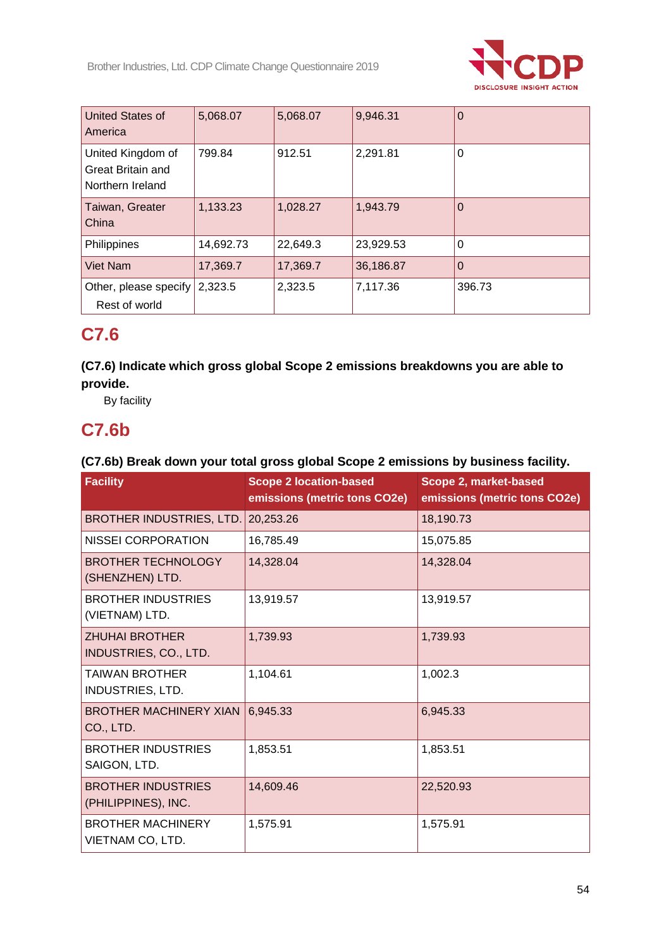

| <b>United States of</b><br>America                         | 5,068.07  | 5,068.07 | 9,946.31  | 0        |
|------------------------------------------------------------|-----------|----------|-----------|----------|
| United Kingdom of<br>Great Britain and<br>Northern Ireland | 799.84    | 912.51   | 2,291.81  | $\Omega$ |
| Taiwan, Greater<br>China                                   | 1,133.23  | 1,028.27 | 1,943.79  | $\Omega$ |
| Philippines                                                | 14,692.73 | 22,649.3 | 23,929.53 | 0        |
| Viet Nam                                                   | 17,369.7  | 17,369.7 | 36,186.87 | O        |
| Other, please specify<br>Rest of world                     | 2,323.5   | 2,323.5  | 7,117.36  | 396.73   |

## **C7.6**

## **(C7.6) Indicate which gross global Scope 2 emissions breakdowns you are able to provide.**

By facility

## **C7.6b**

## **(C7.6b) Break down your total gross global Scope 2 emissions by business facility.**

| <b>Facility</b>                                  | <b>Scope 2 location-based</b><br>emissions (metric tons CO2e) | Scope 2, market-based<br>emissions (metric tons CO2e) |
|--------------------------------------------------|---------------------------------------------------------------|-------------------------------------------------------|
| BROTHER INDUSTRIES, LTD.                         | 20,253.26                                                     | 18,190.73                                             |
| <b>NISSEI CORPORATION</b>                        | 16,785.49                                                     | 15,075.85                                             |
| <b>BROTHER TECHNOLOGY</b><br>(SHENZHEN) LTD.     | 14,328.04                                                     | 14,328.04                                             |
| <b>BROTHER INDUSTRIES</b><br>(VIETNAM) LTD.      | 13,919.57                                                     | 13,919.57                                             |
| <b>ZHUHAI BROTHER</b><br>INDUSTRIES, CO., LTD.   | 1,739.93                                                      | 1,739.93                                              |
| <b>TAIWAN BROTHER</b><br><b>INDUSTRIES, LTD.</b> | 1,104.61                                                      | 1,002.3                                               |
| <b>BROTHER MACHINERY XIAN</b><br>CO., LTD.       | 6,945.33                                                      | 6,945.33                                              |
| <b>BROTHER INDUSTRIES</b><br>SAIGON, LTD.        | 1,853.51                                                      | 1,853.51                                              |
| <b>BROTHER INDUSTRIES</b><br>(PHILIPPINES), INC. | 14,609.46                                                     | 22,520.93                                             |
| <b>BROTHER MACHINERY</b><br>VIETNAM CO, LTD.     | 1,575.91                                                      | 1,575.91                                              |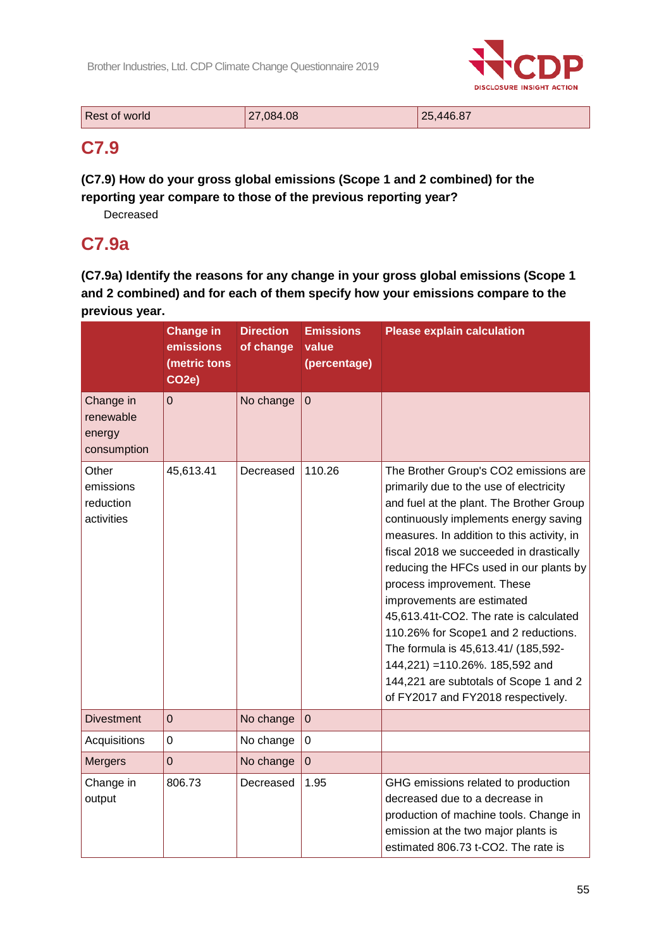

| Rest of world | 27,084.08 | 25.446.87 |
|---------------|-----------|-----------|
|               |           |           |

## **C7.9**

**(C7.9) How do your gross global emissions (Scope 1 and 2 combined) for the reporting year compare to those of the previous reporting year?**

Decreased

## **C7.9a**

**(C7.9a) Identify the reasons for any change in your gross global emissions (Scope 1 and 2 combined) and for each of them specify how your emissions compare to the previous year.**

|                                                 | <b>Change in</b><br>emissions<br>(metric tons<br>CO <sub>2</sub> e) | <b>Direction</b><br>of change | <b>Emissions</b><br>value<br>(percentage) | <b>Please explain calculation</b>                                                                                                                                                                                                                                                                                                                                                                                                                                                                                                                                                                                 |
|-------------------------------------------------|---------------------------------------------------------------------|-------------------------------|-------------------------------------------|-------------------------------------------------------------------------------------------------------------------------------------------------------------------------------------------------------------------------------------------------------------------------------------------------------------------------------------------------------------------------------------------------------------------------------------------------------------------------------------------------------------------------------------------------------------------------------------------------------------------|
| Change in<br>renewable<br>energy<br>consumption | $\mathbf 0$                                                         | No change                     | $\pmb{0}$                                 |                                                                                                                                                                                                                                                                                                                                                                                                                                                                                                                                                                                                                   |
| Other<br>emissions<br>reduction<br>activities   | 45,613.41                                                           | Decreased                     | 110.26                                    | The Brother Group's CO2 emissions are<br>primarily due to the use of electricity<br>and fuel at the plant. The Brother Group<br>continuously implements energy saving<br>measures. In addition to this activity, in<br>fiscal 2018 we succeeded in drastically<br>reducing the HFCs used in our plants by<br>process improvement. These<br>improvements are estimated<br>45,613.41t-CO2. The rate is calculated<br>110.26% for Scope1 and 2 reductions.<br>The formula is 45,613.41/ (185,592-<br>144,221) = 110.26%. 185,592 and<br>144,221 are subtotals of Scope 1 and 2<br>of FY2017 and FY2018 respectively. |
| <b>Divestment</b>                               | $\pmb{0}$                                                           | No change                     | $\pmb{0}$                                 |                                                                                                                                                                                                                                                                                                                                                                                                                                                                                                                                                                                                                   |
| Acquisitions                                    | $\mathbf 0$                                                         | No change                     | $\overline{0}$                            |                                                                                                                                                                                                                                                                                                                                                                                                                                                                                                                                                                                                                   |
| <b>Mergers</b>                                  | $\mathbf 0$                                                         | No change                     | $\overline{0}$                            |                                                                                                                                                                                                                                                                                                                                                                                                                                                                                                                                                                                                                   |
| Change in<br>output                             | 806.73                                                              | Decreased                     | 1.95                                      | GHG emissions related to production<br>decreased due to a decrease in<br>production of machine tools. Change in<br>emission at the two major plants is<br>estimated 806.73 t-CO2. The rate is                                                                                                                                                                                                                                                                                                                                                                                                                     |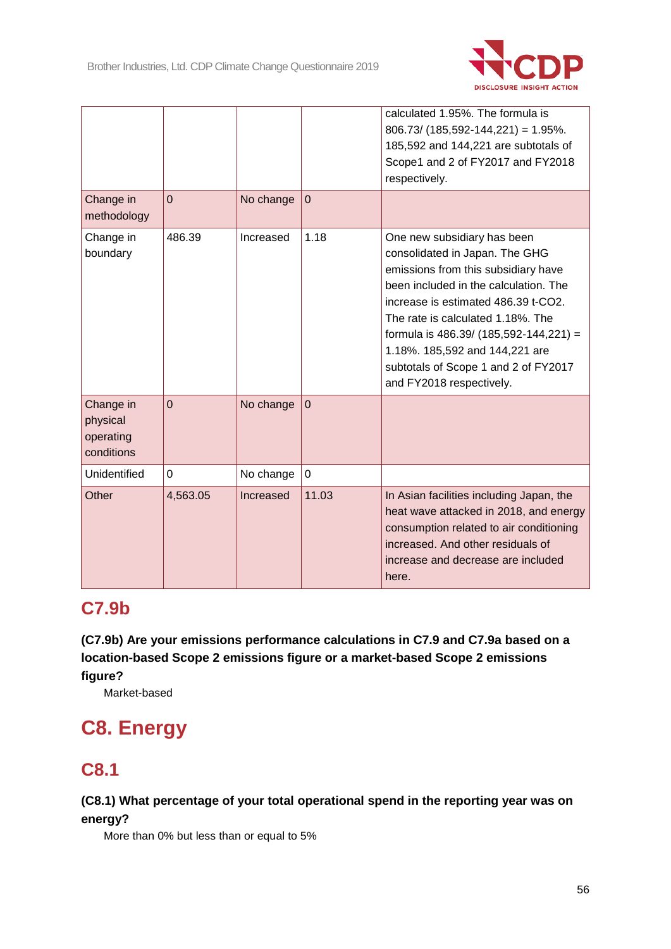

|                                                  |                |           |              | calculated 1.95%. The formula is                                                                                                                                                                                                                                                                                                                                          |
|--------------------------------------------------|----------------|-----------|--------------|---------------------------------------------------------------------------------------------------------------------------------------------------------------------------------------------------------------------------------------------------------------------------------------------------------------------------------------------------------------------------|
|                                                  |                |           |              | $806.73/$ (185,592-144,221) = 1.95%.                                                                                                                                                                                                                                                                                                                                      |
|                                                  |                |           |              | 185,592 and 144,221 are subtotals of                                                                                                                                                                                                                                                                                                                                      |
|                                                  |                |           |              | Scope1 and 2 of FY2017 and FY2018                                                                                                                                                                                                                                                                                                                                         |
|                                                  |                |           |              | respectively.                                                                                                                                                                                                                                                                                                                                                             |
| Change in<br>methodology                         | $\overline{0}$ | No change | $\mathbf 0$  |                                                                                                                                                                                                                                                                                                                                                                           |
| Change in<br>boundary                            | 486.39         | Increased | 1.18         | One new subsidiary has been<br>consolidated in Japan. The GHG<br>emissions from this subsidiary have<br>been included in the calculation. The<br>increase is estimated 486.39 t-CO2.<br>The rate is calculated 1.18%. The<br>formula is 486.39/ (185,592-144,221) =<br>1.18%. 185,592 and 144,221 are<br>subtotals of Scope 1 and 2 of FY2017<br>and FY2018 respectively. |
| Change in<br>physical<br>operating<br>conditions | $\Omega$       | No change | $\mathbf{0}$ |                                                                                                                                                                                                                                                                                                                                                                           |
| Unidentified                                     | 0              | No change | $\mathbf 0$  |                                                                                                                                                                                                                                                                                                                                                                           |
| Other                                            | 4,563.05       | Increased | 11.03        | In Asian facilities including Japan, the<br>heat wave attacked in 2018, and energy<br>consumption related to air conditioning<br>increased. And other residuals of<br>increase and decrease are included<br>here.                                                                                                                                                         |

## **C7.9b**

**(C7.9b) Are your emissions performance calculations in C7.9 and C7.9a based on a location-based Scope 2 emissions figure or a market-based Scope 2 emissions figure?**

Market-based

# **C8. Energy**

## **C8.1**

## **(C8.1) What percentage of your total operational spend in the reporting year was on energy?**

More than 0% but less than or equal to 5%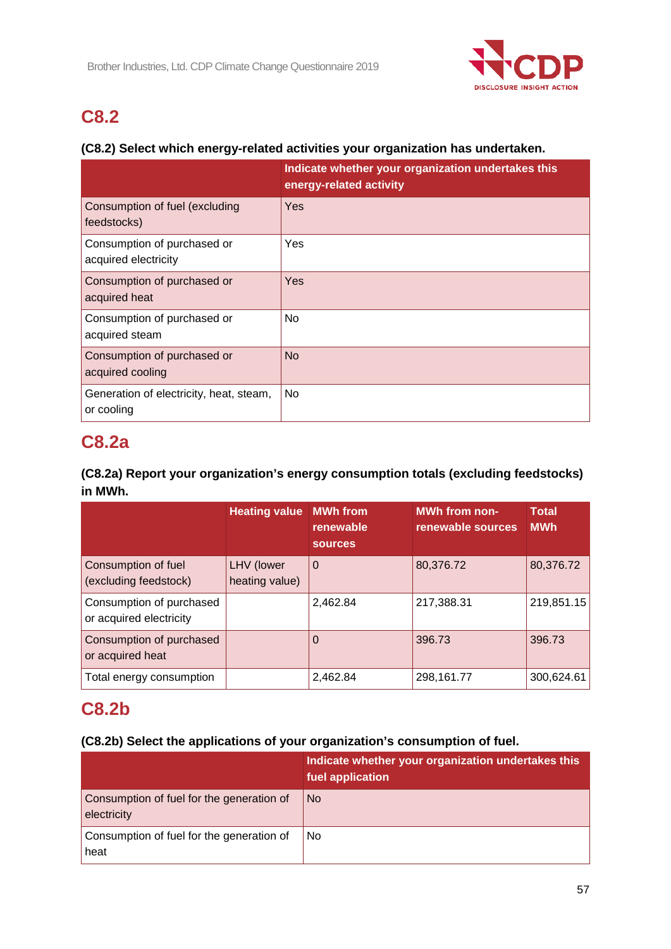

# **C8.2**

## **(C8.2) Select which energy-related activities your organization has undertaken.**

|                                                       | Indicate whether your organization undertakes this<br>energy-related activity |
|-------------------------------------------------------|-------------------------------------------------------------------------------|
| Consumption of fuel (excluding<br>feedstocks)         | <b>Yes</b>                                                                    |
| Consumption of purchased or<br>acquired electricity   | Yes                                                                           |
| Consumption of purchased or<br>acquired heat          | Yes                                                                           |
| Consumption of purchased or<br>acquired steam         | N <sub>o</sub>                                                                |
| Consumption of purchased or<br>acquired cooling       | <b>No</b>                                                                     |
| Generation of electricity, heat, steam,<br>or cooling | No.                                                                           |

## **C8.2a**

## **(C8.2a) Report your organization's energy consumption totals (excluding feedstocks) in MWh.**

|                                                     | <b>Heating value MWh from</b> | renewable<br><b>sources</b> | <b>MWh from non-</b><br>renewable sources | <b>Total</b><br><b>MWh</b> |
|-----------------------------------------------------|-------------------------------|-----------------------------|-------------------------------------------|----------------------------|
| Consumption of fuel<br>(excluding feedstock)        | LHV (lower<br>heating value)  | $\overline{0}$              | 80,376.72                                 | 80,376.72                  |
| Consumption of purchased<br>or acquired electricity |                               | 2,462.84                    | 217,388.31                                | 219,851.15                 |
| Consumption of purchased<br>or acquired heat        |                               | 0                           | 396.73                                    | 396.73                     |
| Total energy consumption                            |                               | 2,462.84                    | 298,161.77                                | 300,624.61                 |

## **C8.2b**

## **(C8.2b) Select the applications of your organization's consumption of fuel.**

|                                                          | Indicate whether your organization undertakes this<br>fuel application |
|----------------------------------------------------------|------------------------------------------------------------------------|
| Consumption of fuel for the generation of<br>electricity | No.                                                                    |
| Consumption of fuel for the generation of<br>heat        | No                                                                     |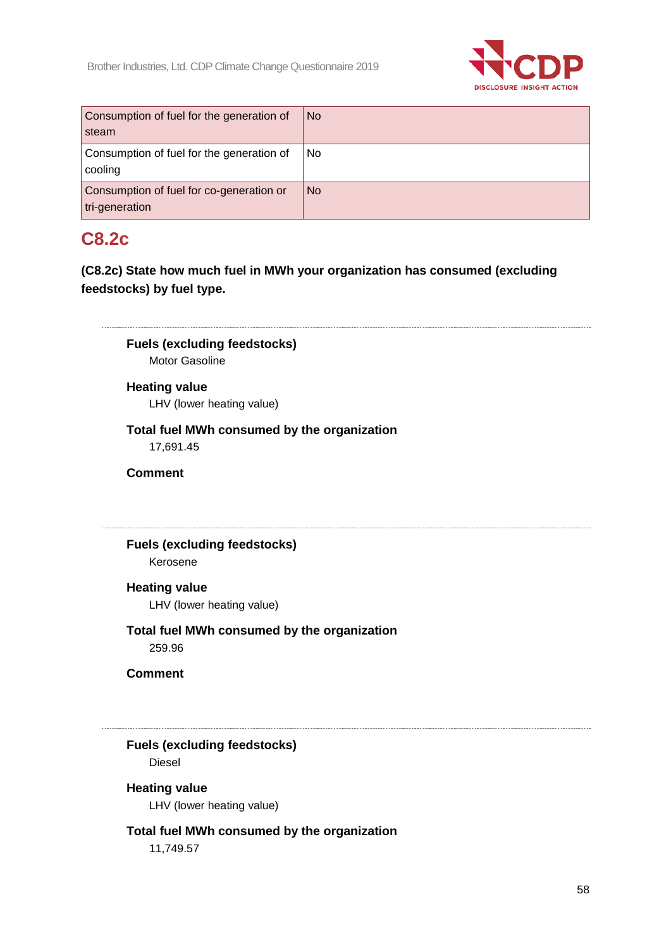

| Consumption of fuel for the generation of<br>steam         | <b>No</b> |
|------------------------------------------------------------|-----------|
| Consumption of fuel for the generation of<br>cooling       | No.       |
| Consumption of fuel for co-generation or<br>tri-generation | <b>No</b> |

## **C8.2c**

**(C8.2c) State how much fuel in MWh your organization has consumed (excluding feedstocks) by fuel type.**

**Fuels (excluding feedstocks)** Motor Gasoline

## **Heating value**

LHV (lower heating value)

## **Total fuel MWh consumed by the organization**

17,691.45

**Comment**

## **Fuels (excluding feedstocks)** Kerosene

## **Heating value**

LHV (lower heating value)

**Total fuel MWh consumed by the organization** 259.96

**Comment**

**Fuels (excluding feedstocks)** Diesel

## **Heating value**

LHV (lower heating value)

## **Total fuel MWh consumed by the organization**

11,749.57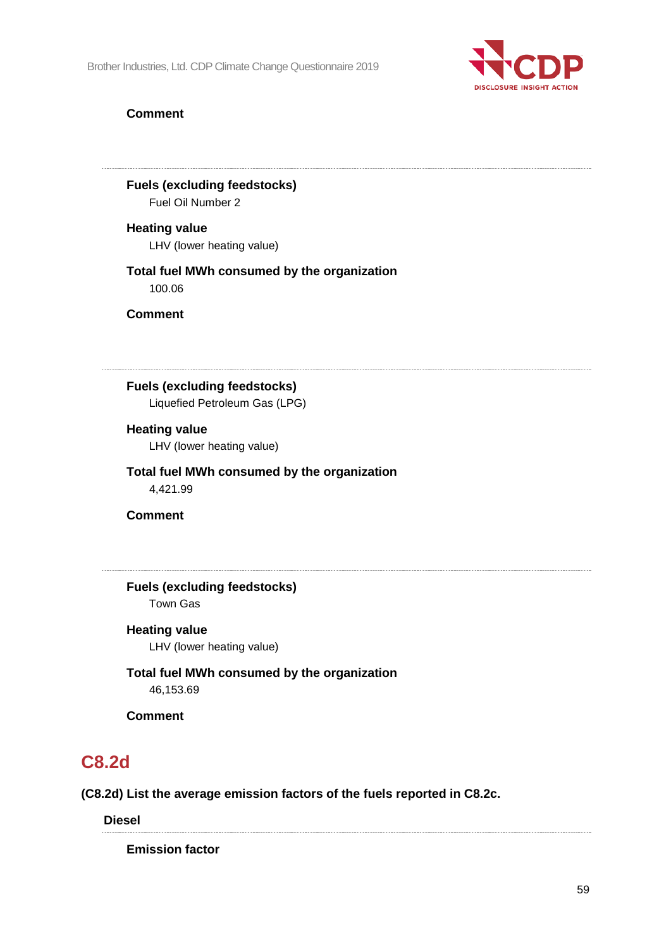

## **Comment**

**Fuels (excluding feedstocks)** Fuel Oil Number 2

**Heating value** LHV (lower heating value)

#### **Total fuel MWh consumed by the organization** 100.06

**Comment**

**Fuels (excluding feedstocks)**

Liquefied Petroleum Gas (LPG)

#### **Heating value**

LHV (lower heating value)

**Total fuel MWh consumed by the organization** 4,421.99

**Comment**

**Fuels (excluding feedstocks)** Town Gas

#### **Heating value**

LHV (lower heating value)

**Total fuel MWh consumed by the organization** 46,153.69

**Comment**

## **C8.2d**

**(C8.2d) List the average emission factors of the fuels reported in C8.2c.**

**Diesel**

**Emission factor**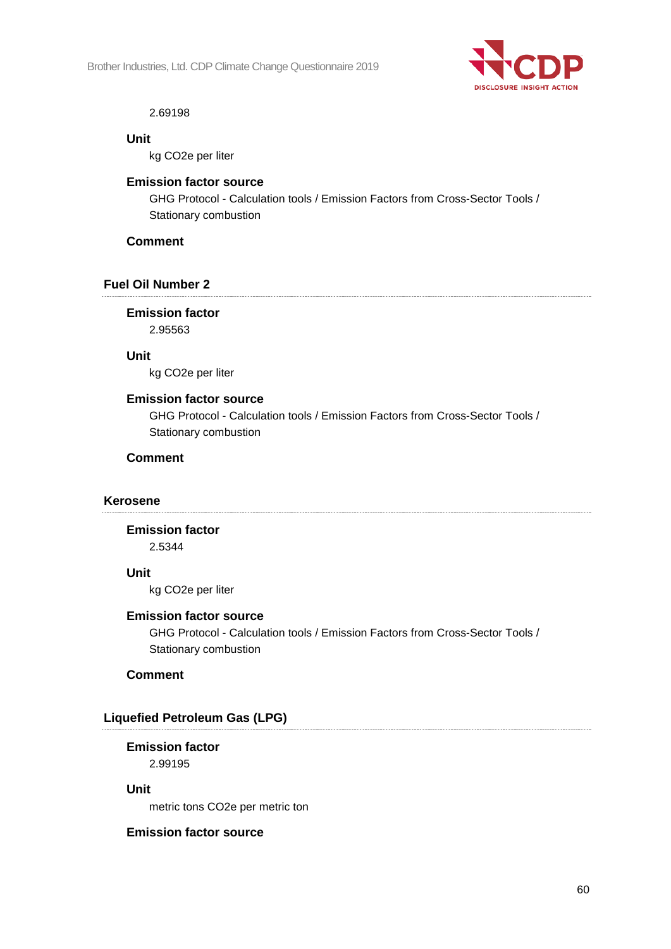

#### 2.69198

#### **Unit**

kg CO2e per liter

## **Emission factor source**

GHG Protocol - Calculation tools / Emission Factors from Cross-Sector Tools / Stationary combustion

## **Comment**

## **Fuel Oil Number 2**

**Emission factor** 2.95563

**Unit**

kg CO2e per liter

#### **Emission factor source**

GHG Protocol - Calculation tools / Emission Factors from Cross-Sector Tools / Stationary combustion

## **Comment**

## **Kerosene**

**Emission factor**

2.5344

#### **Unit**

kg CO2e per liter

#### **Emission factor source**

GHG Protocol - Calculation tools / Emission Factors from Cross-Sector Tools / Stationary combustion

## **Comment**

## **Liquefied Petroleum Gas (LPG)**

#### **Emission factor** 2.99195

**Unit**

metric tons CO2e per metric ton

#### **Emission factor source**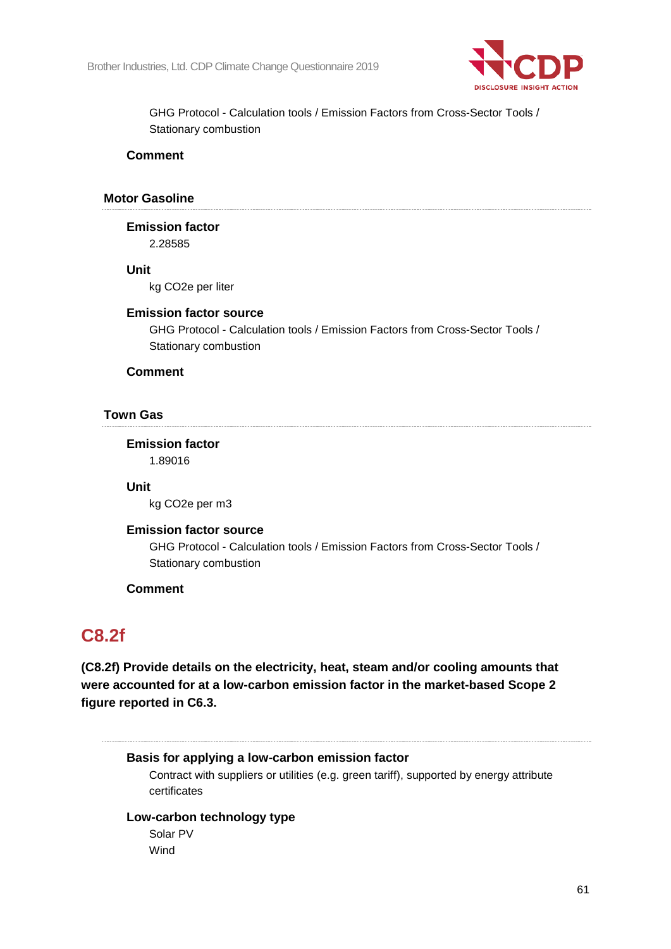

GHG Protocol - Calculation tools / Emission Factors from Cross-Sector Tools / Stationary combustion

#### **Comment**

#### **Motor Gasoline**

**Emission factor** 2.28585

**Unit**

kg CO2e per liter

#### **Emission factor source**

GHG Protocol - Calculation tools / Emission Factors from Cross-Sector Tools / Stationary combustion

#### **Comment**

#### **Town Gas**

**Emission factor**

1.89016

## **Unit**

kg CO2e per m3

#### **Emission factor source**

GHG Protocol - Calculation tools / Emission Factors from Cross-Sector Tools / Stationary combustion

#### **Comment**

## **C8.2f**

**(C8.2f) Provide details on the electricity, heat, steam and/or cooling amounts that were accounted for at a low-carbon emission factor in the market-based Scope 2 figure reported in C6.3.**

#### **Basis for applying a low-carbon emission factor**

Contract with suppliers or utilities (e.g. green tariff), supported by energy attribute certificates

#### **Low-carbon technology type**

Solar PV Wind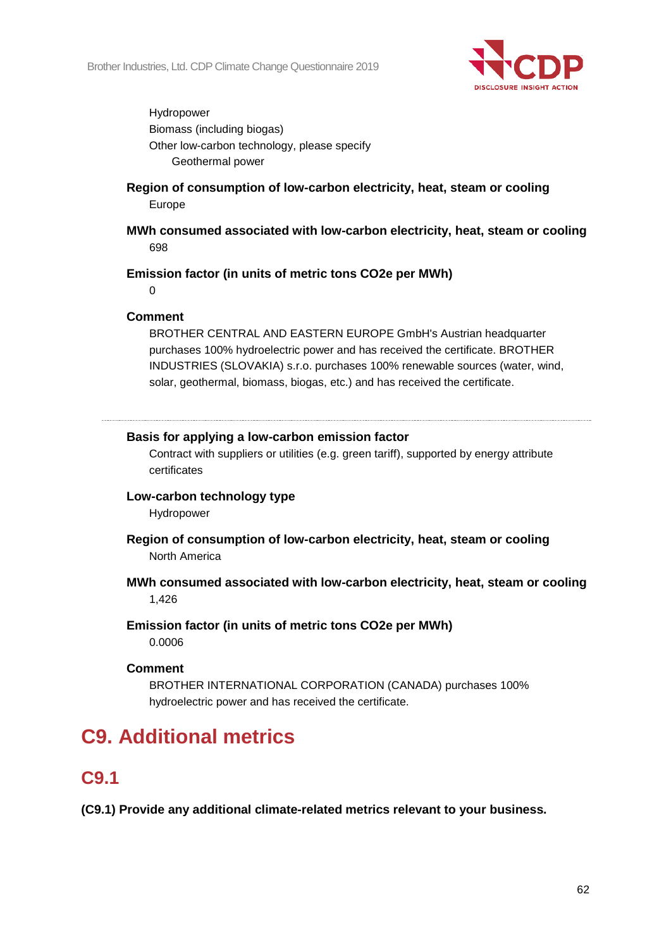

Hydropower Biomass (including biogas) Other low-carbon technology, please specify Geothermal power

- **Region of consumption of low-carbon electricity, heat, steam or cooling** Europe
- **MWh consumed associated with low-carbon electricity, heat, steam or cooling** 698

#### **Emission factor (in units of metric tons CO2e per MWh)**

 $\Omega$ 

#### **Comment**

BROTHER CENTRAL AND EASTERN EUROPE GmbH's Austrian headquarter purchases 100% hydroelectric power and has received the certificate. BROTHER INDUSTRIES (SLOVAKIA) s.r.o. purchases 100% renewable sources (water, wind, solar, geothermal, biomass, biogas, etc.) and has received the certificate.

#### **Basis for applying a low-carbon emission factor**

Contract with suppliers or utilities (e.g. green tariff), supported by energy attribute certificates

#### **Low-carbon technology type**

Hydropower

- **Region of consumption of low-carbon electricity, heat, steam or cooling** North America
- **MWh consumed associated with low-carbon electricity, heat, steam or cooling** 1,426
- **Emission factor (in units of metric tons CO2e per MWh)** 0.0006

#### **Comment**

BROTHER INTERNATIONAL CORPORATION (CANADA) purchases 100% hydroelectric power and has received the certificate.

## **C9. Additional metrics**

## **C9.1**

**(C9.1) Provide any additional climate-related metrics relevant to your business.**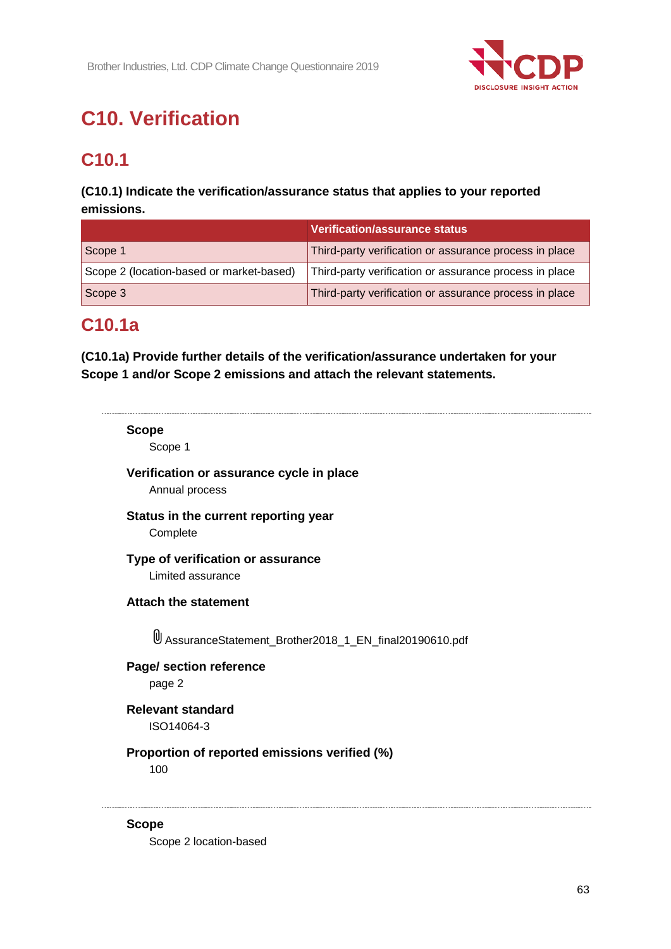

# **C10. Verification**

# **C10.1**

## **(C10.1) Indicate the verification/assurance status that applies to your reported emissions.**

|                                          | Verification/assurance status                          |
|------------------------------------------|--------------------------------------------------------|
| Scope 1                                  | Third-party verification or assurance process in place |
| Scope 2 (location-based or market-based) | Third-party verification or assurance process in place |
| Scope 3                                  | Third-party verification or assurance process in place |

## **C10.1a**

**(C10.1a) Provide further details of the verification/assurance undertaken for your Scope 1 and/or Scope 2 emissions and attach the relevant statements.**

| <b>Scope</b> | Scope 1                                                                   |
|--------------|---------------------------------------------------------------------------|
|              | Verification or assurance cycle in place<br>Annual process                |
|              | Status in the current reporting year<br>Complete                          |
|              | Type of verification or assurance<br>Limited assurance                    |
|              | <b>Attach the statement</b>                                               |
|              | <u><sup>U</sup></u> AssuranceStatement_Brother2018_1_EN_final20190610.pdf |
|              | Page/ section reference<br>page 2                                         |
|              | <b>Relevant standard</b><br>ISO14064-3                                    |
|              | Proportion of reported emissions verified (%)<br>100                      |
| <b>Scope</b> |                                                                           |

Scope 2 location-based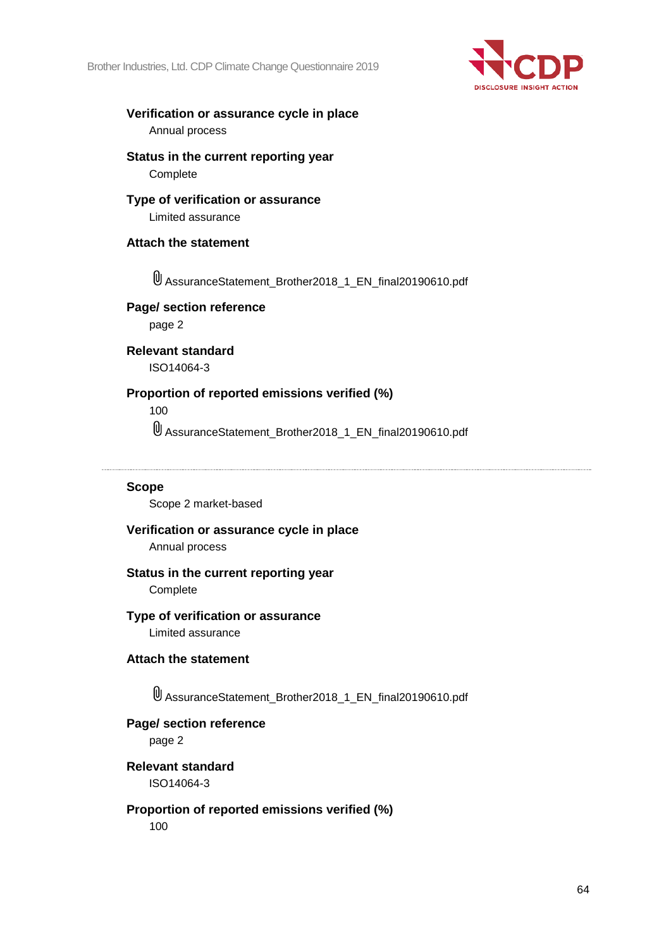Brother Industries, Ltd. CDP Climate Change Questionnaire 2019



#### **Verification or assurance cycle in place** Annual process

**Status in the current reporting year Complete** 

## **Type of verification or assurance**

Limited assurance

## **Attach the statement**

AssuranceStatement\_Brother2018\_1\_EN\_final20190610.pdf

## **Page/ section reference**

page 2

#### **Relevant standard** ISO14064-3

## **Proportion of reported emissions verified (%)**

100

AssuranceStatement\_Brother2018\_1\_EN\_final20190610.pdf

## **Scope**

Scope 2 market-based

## **Verification or assurance cycle in place**

Annual process

## **Status in the current reporting year**

**Complete** 

## **Type of verification or assurance**

Limited assurance

## **Attach the statement**

AssuranceStatement\_Brother2018\_1\_EN\_final20190610.pdf

## **Page/ section reference**

page 2

#### **Relevant standard** ISO14064-3

**Proportion of reported emissions verified (%)**

100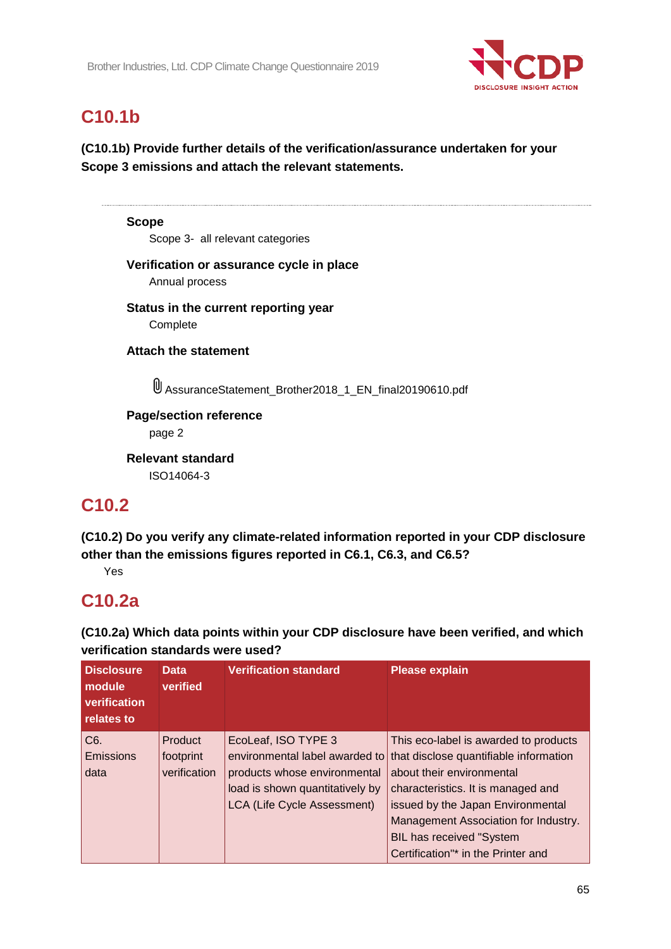

## **C10.1b**

**(C10.1b) Provide further details of the verification/assurance undertaken for your Scope 3 emissions and attach the relevant statements.**

**Scope** Scope 3- all relevant categories **Verification or assurance cycle in place** Annual process **Status in the current reporting year** Complete **Attach the statement** AssuranceStatement\_Brother2018\_1\_EN\_final20190610.pdf **Page/section reference** page 2

**Relevant standard** ISO14064-3

## **C10.2**

**(C10.2) Do you verify any climate-related information reported in your CDP disclosure other than the emissions figures reported in C6.1, C6.3, and C6.5?**

Yes

## **C10.2a**

**(C10.2a) Which data points within your CDP disclosure have been verified, and which verification standards were used?**

| <b>Disclosure</b><br>module<br>verification<br>relates to | <b>Data</b><br>verified              | <b>Verification standard</b>                                                                                                                            | <b>Please explain</b>                                                                                                                                                                                                                                                                                    |
|-----------------------------------------------------------|--------------------------------------|---------------------------------------------------------------------------------------------------------------------------------------------------------|----------------------------------------------------------------------------------------------------------------------------------------------------------------------------------------------------------------------------------------------------------------------------------------------------------|
| C <sub>6</sub> .<br>Emissions<br>data                     | Product<br>footprint<br>verification | EcoLeaf, ISO TYPE 3<br>environmental label awarded to<br>products whose environmental<br>load is shown quantitatively by<br>LCA (Life Cycle Assessment) | This eco-label is awarded to products<br>that disclose quantifiable information<br>about their environmental<br>characteristics. It is managed and<br>issued by the Japan Environmental<br>Management Association for Industry.<br><b>BIL has received "System</b><br>Certification"* in the Printer and |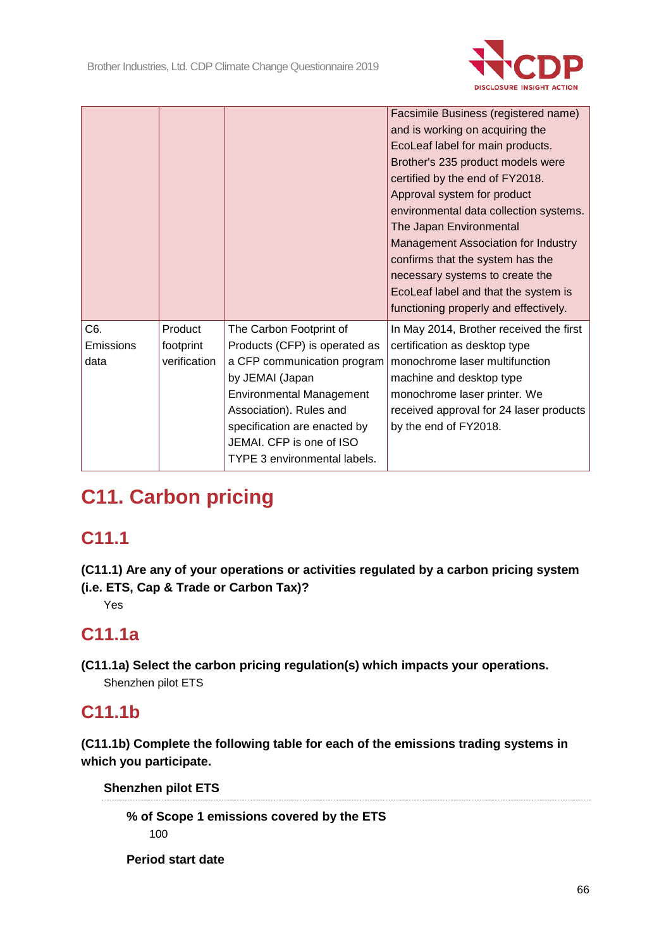

|                          |                                      |                                                                                                                                                                                                                                                                      | Facsimile Business (registered name)<br>and is working on acquiring the<br>EcoLeaf label for main products.<br>Brother's 235 product models were<br>certified by the end of FY2018.<br>Approval system for product<br>environmental data collection systems.<br>The Japan Environmental<br>Management Association for Industry<br>confirms that the system has the<br>necessary systems to create the<br>EcoLeaf label and that the system is<br>functioning properly and effectively. |
|--------------------------|--------------------------------------|----------------------------------------------------------------------------------------------------------------------------------------------------------------------------------------------------------------------------------------------------------------------|----------------------------------------------------------------------------------------------------------------------------------------------------------------------------------------------------------------------------------------------------------------------------------------------------------------------------------------------------------------------------------------------------------------------------------------------------------------------------------------|
| C6.<br>Emissions<br>data | Product<br>footprint<br>verification | The Carbon Footprint of<br>Products (CFP) is operated as<br>a CFP communication program<br>by JEMAI (Japan<br><b>Environmental Management</b><br>Association). Rules and<br>specification are enacted by<br>JEMAI. CFP is one of ISO<br>TYPE 3 environmental labels. | In May 2014, Brother received the first<br>certification as desktop type<br>monochrome laser multifunction<br>machine and desktop type<br>monochrome laser printer. We<br>received approval for 24 laser products<br>by the end of FY2018.                                                                                                                                                                                                                                             |

# **C11. Carbon pricing**

# **C11.1**

**(C11.1) Are any of your operations or activities regulated by a carbon pricing system (i.e. ETS, Cap & Trade or Carbon Tax)?**

Yes

## **C11.1a**

**(C11.1a) Select the carbon pricing regulation(s) which impacts your operations.** Shenzhen pilot ETS

## **C11.1b**

**(C11.1b) Complete the following table for each of the emissions trading systems in which you participate.**

**Shenzhen pilot ETS**

**% of Scope 1 emissions covered by the ETS** 100

**Period start date**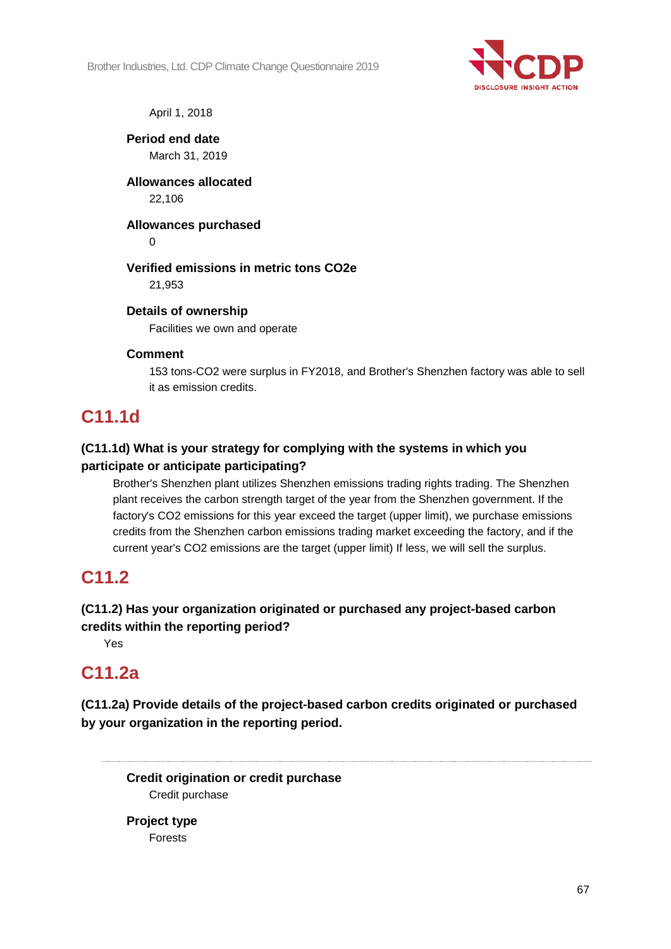

April 1, 2018

**Period end date** March 31, 2019

**Allowances allocated** 22,106

**Allowances purchased**

 $\Omega$ 

## **Verified emissions in metric tons CO2e**

21,953

## **Details of ownership**

Facilities we own and operate

## **Comment**

153 tons-CO2 were surplus in FY2018, and Brother's Shenzhen factory was able to sell it as emission credits.

## **C11.1d**

## **(C11.1d) What is your strategy for complying with the systems in which you participate or anticipate participating?**

Brother's Shenzhen plant utilizes Shenzhen emissions trading rights trading. The Shenzhen plant receives the carbon strength target of the year from the Shenzhen government. If the factory's CO2 emissions for this year exceed the target (upper limit), we purchase emissions credits from the Shenzhen carbon emissions trading market exceeding the factory, and if the current year's CO2 emissions are the target (upper limit) If less, we will sell the surplus.

## **C11.2**

## **(C11.2) Has your organization originated or purchased any project-based carbon credits within the reporting period?**

Yes

## **C11.2a**

**(C11.2a) Provide details of the project-based carbon credits originated or purchased by your organization in the reporting period.**

**Credit origination or credit purchase** Credit purchase

**Project type** Forests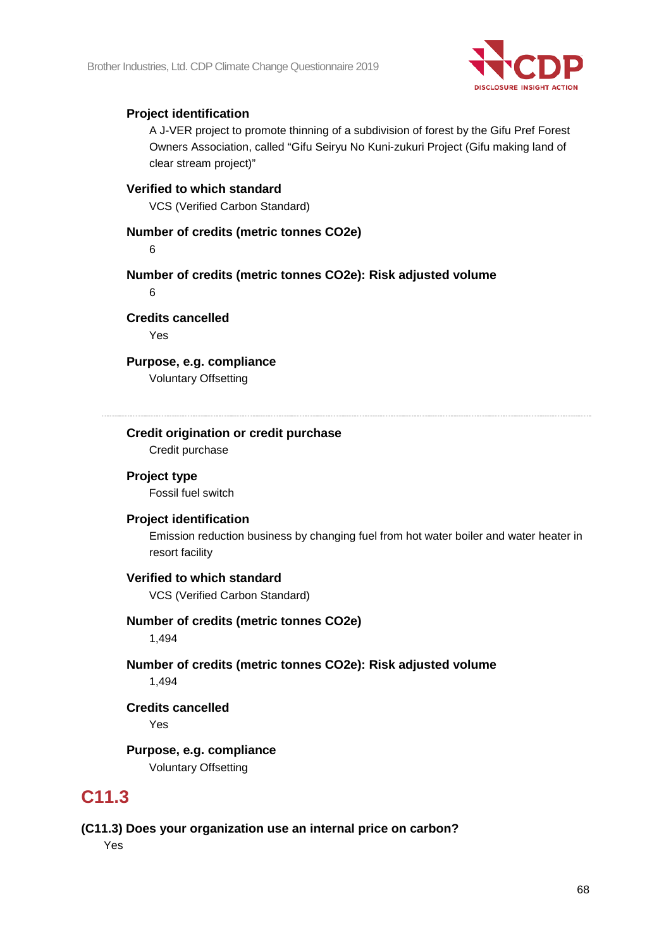

## **Project identification**

A J-VER project to promote thinning of a subdivision of forest by the Gifu Pref Forest Owners Association, called "Gifu Seiryu No Kuni-zukuri Project (Gifu making land of clear stream project)"

## **Verified to which standard**

VCS (Verified Carbon Standard)

#### **Number of credits (metric tonnes CO2e)**

6

**Number of credits (metric tonnes CO2e): Risk adjusted volume**

6

**Credits cancelled**

Yes

**Purpose, e.g. compliance** Voluntary Offsetting

## **Credit origination or credit purchase**

Credit purchase

## **Project type**

Fossil fuel switch

#### **Project identification**

Emission reduction business by changing fuel from hot water boiler and water heater in resort facility

#### **Verified to which standard**

VCS (Verified Carbon Standard)

## **Number of credits (metric tonnes CO2e)**

1,494

## **Number of credits (metric tonnes CO2e): Risk adjusted volume** 1,494

**Credits cancelled**

Yes

## **Purpose, e.g. compliance**

Voluntary Offsetting

## **C11.3**

## **(C11.3) Does your organization use an internal price on carbon?**

Yes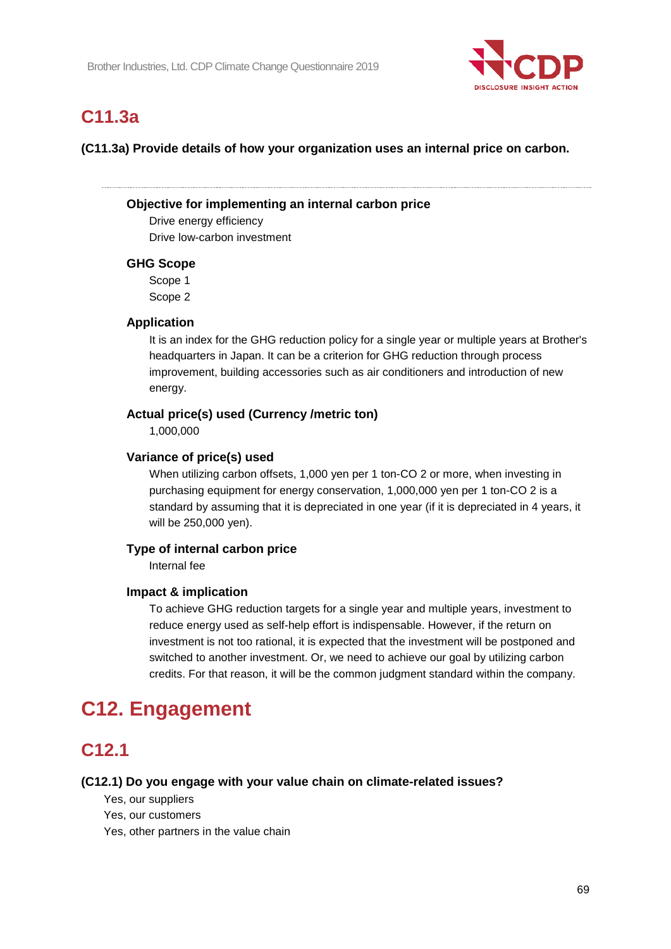

## **C11.3a**

**(C11.3a) Provide details of how your organization uses an internal price on carbon.**

## **Objective for implementing an internal carbon price**

Drive energy efficiency Drive low-carbon investment

## **GHG Scope**

Scope 1 Scope 2

## **Application**

It is an index for the GHG reduction policy for a single year or multiple years at Brother's headquarters in Japan. It can be a criterion for GHG reduction through process improvement, building accessories such as air conditioners and introduction of new energy.

## **Actual price(s) used (Currency /metric ton)**

1,000,000

#### **Variance of price(s) used**

When utilizing carbon offsets, 1,000 yen per 1 ton-CO 2 or more, when investing in purchasing equipment for energy conservation, 1,000,000 yen per 1 ton-CO 2 is a standard by assuming that it is depreciated in one year (if it is depreciated in 4 years, it will be 250,000 yen).

## **Type of internal carbon price**

Internal fee

## **Impact & implication**

To achieve GHG reduction targets for a single year and multiple years, investment to reduce energy used as self-help effort is indispensable. However, if the return on investment is not too rational, it is expected that the investment will be postponed and switched to another investment. Or, we need to achieve our goal by utilizing carbon credits. For that reason, it will be the common judgment standard within the company.

## **C12. Engagement**

## **C12.1**

#### **(C12.1) Do you engage with your value chain on climate-related issues?**

Yes, our suppliers

Yes, our customers

Yes, other partners in the value chain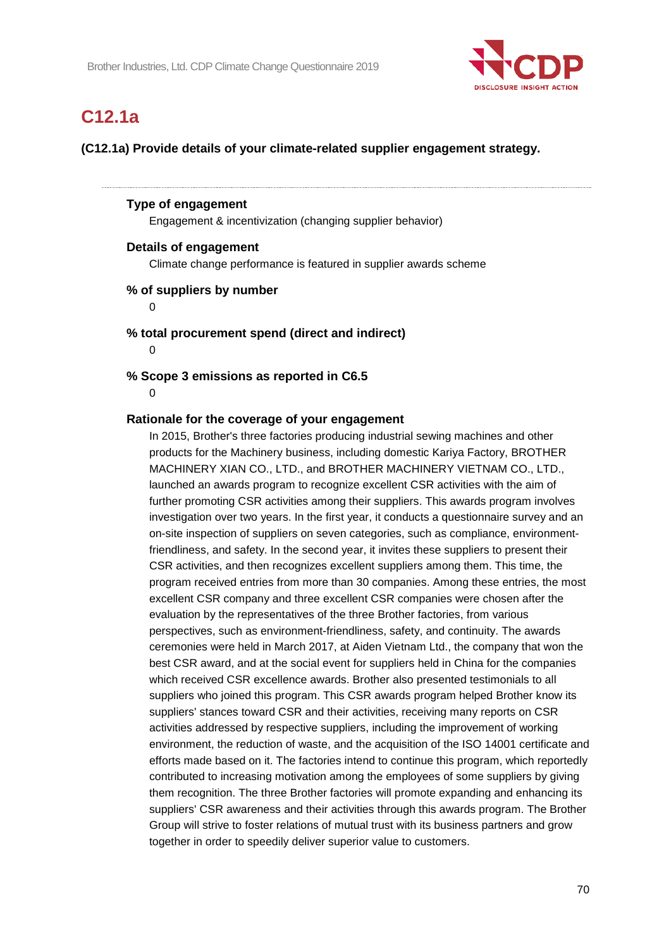

## **C12.1a**

**(C12.1a) Provide details of your climate-related supplier engagement strategy.**

#### **Type of engagement**

Engagement & incentivization (changing supplier behavior)

#### **Details of engagement**

Climate change performance is featured in supplier awards scheme

#### **% of suppliers by number**

 $\Omega$ 

#### **% total procurement spend (direct and indirect)**

 $\Omega$ 

## **% Scope 3 emissions as reported in C6.5**

 $\Omega$ 

#### **Rationale for the coverage of your engagement**

In 2015, Brother's three factories producing industrial sewing machines and other products for the Machinery business, including domestic Kariya Factory, BROTHER MACHINERY XIAN CO., LTD., and BROTHER MACHINERY VIETNAM CO., LTD., launched an awards program to recognize excellent CSR activities with the aim of further promoting CSR activities among their suppliers. This awards program involves investigation over two years. In the first year, it conducts a questionnaire survey and an on-site inspection of suppliers on seven categories, such as compliance, environmentfriendliness, and safety. In the second year, it invites these suppliers to present their CSR activities, and then recognizes excellent suppliers among them. This time, the program received entries from more than 30 companies. Among these entries, the most excellent CSR company and three excellent CSR companies were chosen after the evaluation by the representatives of the three Brother factories, from various perspectives, such as environment-friendliness, safety, and continuity. The awards ceremonies were held in March 2017, at Aiden Vietnam Ltd., the company that won the best CSR award, and at the social event for suppliers held in China for the companies which received CSR excellence awards. Brother also presented testimonials to all suppliers who joined this program. This CSR awards program helped Brother know its suppliers' stances toward CSR and their activities, receiving many reports on CSR activities addressed by respective suppliers, including the improvement of working environment, the reduction of waste, and the acquisition of the ISO 14001 certificate and efforts made based on it. The factories intend to continue this program, which reportedly contributed to increasing motivation among the employees of some suppliers by giving them recognition. The three Brother factories will promote expanding and enhancing its suppliers' CSR awareness and their activities through this awards program. The Brother Group will strive to foster relations of mutual trust with its business partners and grow together in order to speedily deliver superior value to customers.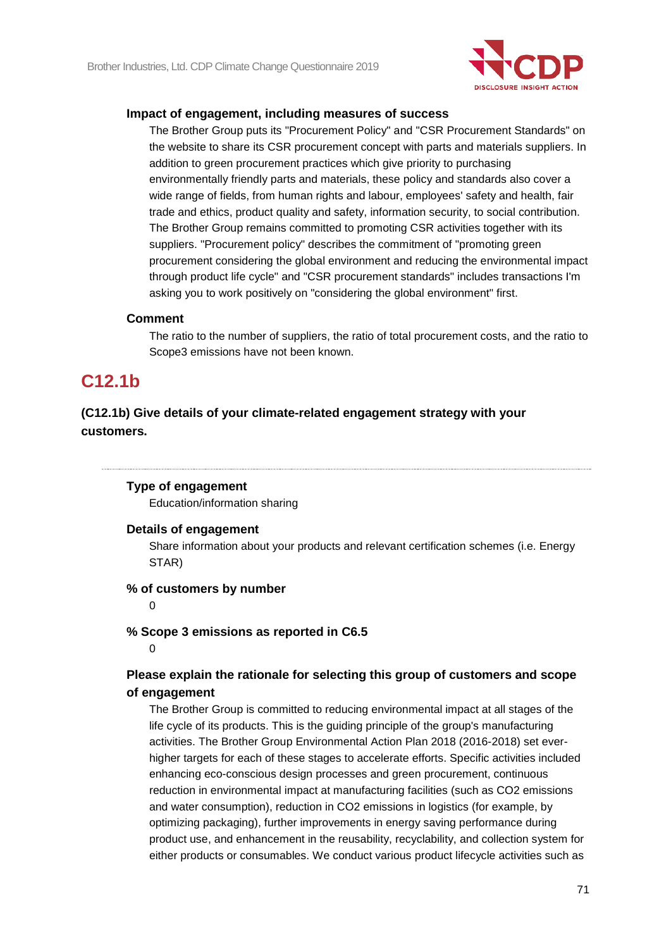

#### **Impact of engagement, including measures of success**

The Brother Group puts its "Procurement Policy" and "CSR Procurement Standards" on the website to share its CSR procurement concept with parts and materials suppliers. In addition to green procurement practices which give priority to purchasing environmentally friendly parts and materials, these policy and standards also cover a wide range of fields, from human rights and labour, employees' safety and health, fair trade and ethics, product quality and safety, information security, to social contribution. The Brother Group remains committed to promoting CSR activities together with its suppliers. "Procurement policy" describes the commitment of "promoting green procurement considering the global environment and reducing the environmental impact through product life cycle" and "CSR procurement standards" includes transactions I'm asking you to work positively on "considering the global environment" first.

#### **Comment**

The ratio to the number of suppliers, the ratio of total procurement costs, and the ratio to Scope3 emissions have not been known.

## **C12.1b**

## **(C12.1b) Give details of your climate-related engagement strategy with your customers.**

#### **Type of engagement**

Education/information sharing

#### **Details of engagement**

Share information about your products and relevant certification schemes (i.e. Energy STAR)

#### **% of customers by number**

 $\Omega$ 

#### **% Scope 3 emissions as reported in C6.5**

 $\Omega$ 

## **Please explain the rationale for selecting this group of customers and scope of engagement**

The Brother Group is committed to reducing environmental impact at all stages of the life cycle of its products. This is the guiding principle of the group's manufacturing activities. The Brother Group Environmental Action Plan 2018 (2016-2018) set everhigher targets for each of these stages to accelerate efforts. Specific activities included enhancing eco-conscious design processes and green procurement, continuous reduction in environmental impact at manufacturing facilities (such as CO2 emissions and water consumption), reduction in CO2 emissions in logistics (for example, by optimizing packaging), further improvements in energy saving performance during product use, and enhancement in the reusability, recyclability, and collection system for either products or consumables. We conduct various product lifecycle activities such as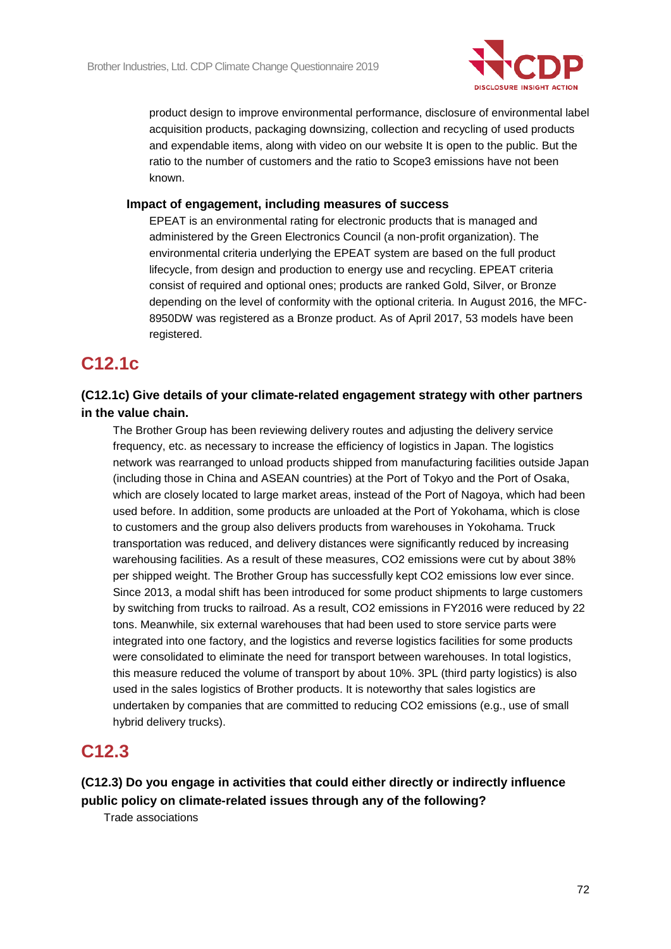

product design to improve environmental performance, disclosure of environmental label acquisition products, packaging downsizing, collection and recycling of used products and expendable items, along with video on our website It is open to the public. But the ratio to the number of customers and the ratio to Scope3 emissions have not been known.

#### **Impact of engagement, including measures of success**

EPEAT is an environmental rating for electronic products that is managed and administered by the Green Electronics Council (a non-profit organization). The environmental criteria underlying the EPEAT system are based on the full product lifecycle, from design and production to energy use and recycling. EPEAT criteria consist of required and optional ones; products are ranked Gold, Silver, or Bronze depending on the level of conformity with the optional criteria. In August 2016, the MFC-8950DW was registered as a Bronze product. As of April 2017, 53 models have been registered.

## **C12.1c**

## **(C12.1c) Give details of your climate-related engagement strategy with other partners in the value chain.**

The Brother Group has been reviewing delivery routes and adjusting the delivery service frequency, etc. as necessary to increase the efficiency of logistics in Japan. The logistics network was rearranged to unload products shipped from manufacturing facilities outside Japan (including those in China and ASEAN countries) at the Port of Tokyo and the Port of Osaka, which are closely located to large market areas, instead of the Port of Nagoya, which had been used before. In addition, some products are unloaded at the Port of Yokohama, which is close to customers and the group also delivers products from warehouses in Yokohama. Truck transportation was reduced, and delivery distances were significantly reduced by increasing warehousing facilities. As a result of these measures, CO2 emissions were cut by about 38% per shipped weight. The Brother Group has successfully kept CO2 emissions low ever since. Since 2013, a modal shift has been introduced for some product shipments to large customers by switching from trucks to railroad. As a result, CO2 emissions in FY2016 were reduced by 22 tons. Meanwhile, six external warehouses that had been used to store service parts were integrated into one factory, and the logistics and reverse logistics facilities for some products were consolidated to eliminate the need for transport between warehouses. In total logistics, this measure reduced the volume of transport by about 10%. 3PL (third party logistics) is also used in the sales logistics of Brother products. It is noteworthy that sales logistics are undertaken by companies that are committed to reducing CO2 emissions (e.g., use of small hybrid delivery trucks).

## **C12.3**

**(C12.3) Do you engage in activities that could either directly or indirectly influence public policy on climate-related issues through any of the following?**

Trade associations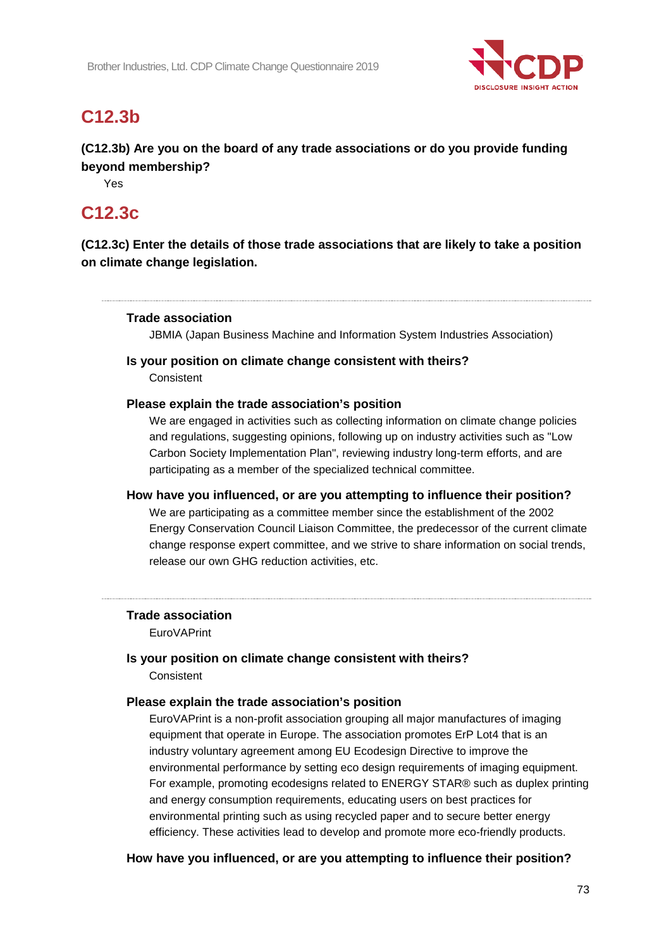

## **C12.3b**

**(C12.3b) Are you on the board of any trade associations or do you provide funding beyond membership?**

Yes

## **C12.3c**

**(C12.3c) Enter the details of those trade associations that are likely to take a position on climate change legislation.**

#### **Trade association**

JBMIA (Japan Business Machine and Information System Industries Association)

#### **Is your position on climate change consistent with theirs?**

**Consistent** 

#### **Please explain the trade association's position**

We are engaged in activities such as collecting information on climate change policies and regulations, suggesting opinions, following up on industry activities such as "Low Carbon Society Implementation Plan", reviewing industry long-term efforts, and are participating as a member of the specialized technical committee.

#### **How have you influenced, or are you attempting to influence their position?**

We are participating as a committee member since the establishment of the 2002 Energy Conservation Council Liaison Committee, the predecessor of the current climate change response expert committee, and we strive to share information on social trends, release our own GHG reduction activities, etc.

#### **Trade association**

EuroVAPrint

#### **Is your position on climate change consistent with theirs?** Consistent

#### **Please explain the trade association's position**

EuroVAPrint is a non-profit association grouping all major manufactures of imaging equipment that operate in Europe. The association promotes ErP Lot4 that is an industry voluntary agreement among EU Ecodesign Directive to improve the environmental performance by setting eco design requirements of imaging equipment. For example, promoting ecodesigns related to ENERGY STAR® such as duplex printing and energy consumption requirements, educating users on best practices for environmental printing such as using recycled paper and to secure better energy efficiency. These activities lead to develop and promote more eco-friendly products.

#### **How have you influenced, or are you attempting to influence their position?**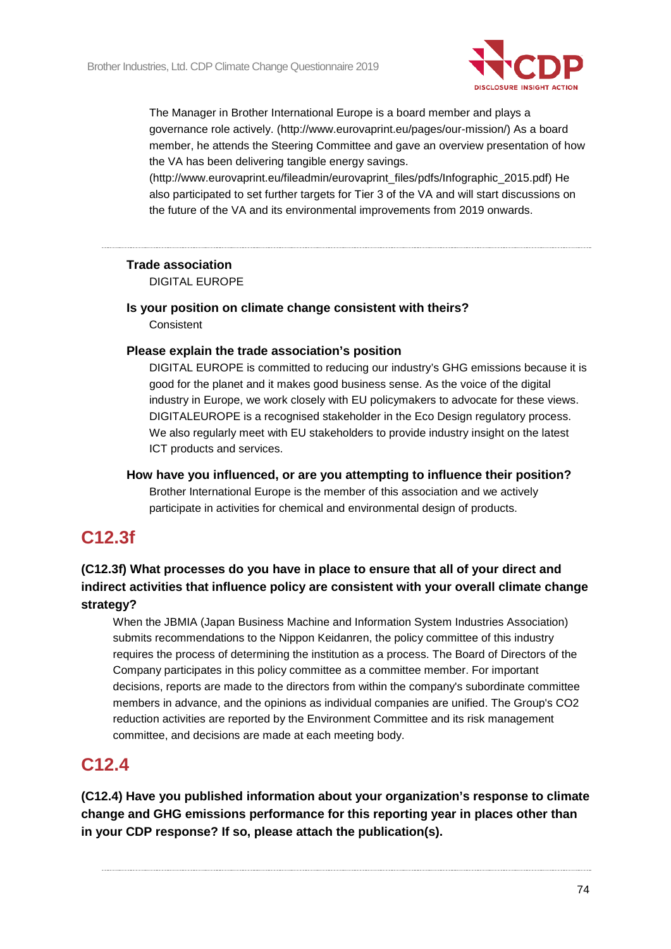

The Manager in Brother International Europe is a board member and plays a governance role actively. (http://www.eurovaprint.eu/pages/our-mission/) As a board member, he attends the Steering Committee and gave an overview presentation of how the VA has been delivering tangible energy savings.

(http://www.eurovaprint.eu/fileadmin/eurovaprint\_files/pdfs/Infographic\_2015.pdf) He also participated to set further targets for Tier 3 of the VA and will start discussions on the future of the VA and its environmental improvements from 2019 onwards.

#### **Trade association**

DIGITAL EUROPE

#### **Is your position on climate change consistent with theirs? Consistent**

#### **Please explain the trade association's position**

DIGITAL EUROPE is committed to reducing our industry's GHG emissions because it is good for the planet and it makes good business sense. As the voice of the digital industry in Europe, we work closely with EU policymakers to advocate for these views. DIGITALEUROPE is a recognised stakeholder in the Eco Design regulatory process. We also regularly meet with EU stakeholders to provide industry insight on the latest ICT products and services.

#### **How have you influenced, or are you attempting to influence their position?** Brother International Europe is the member of this association and we actively participate in activities for chemical and environmental design of products.

## **C12.3f**

#### **(C12.3f) What processes do you have in place to ensure that all of your direct and indirect activities that influence policy are consistent with your overall climate change strategy?**

When the JBMIA (Japan Business Machine and Information System Industries Association) submits recommendations to the Nippon Keidanren, the policy committee of this industry requires the process of determining the institution as a process. The Board of Directors of the Company participates in this policy committee as a committee member. For important decisions, reports are made to the directors from within the company's subordinate committee members in advance, and the opinions as individual companies are unified. The Group's CO2 reduction activities are reported by the Environment Committee and its risk management committee, and decisions are made at each meeting body.

### **C12.4**

**(C12.4) Have you published information about your organization's response to climate change and GHG emissions performance for this reporting year in places other than in your CDP response? If so, please attach the publication(s).**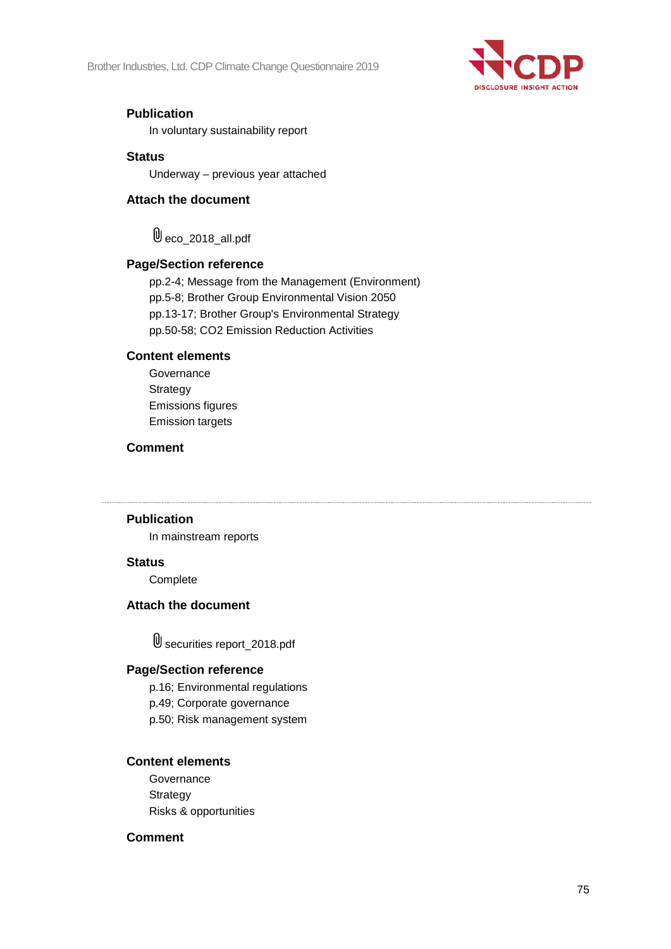

#### **Publication**

In voluntary sustainability report

#### **Status**

Underway – previous year attached

#### **Attach the document**

 $\mathbb{0}$  eco\_2018\_all.pdf

#### **Page/Section reference**

pp.2-4; Message from the Management (Environment) pp.5-8; Brother Group Environmental Vision 2050 pp.13-17; Brother Group's Environmental Strategy pp.50-58; CO2 Emission Reduction Activities

#### **Content elements**

**Governance Strategy** Emissions figures Emission targets

#### **Comment**

**Publication**

In mainstream reports

#### **Status**

**Complete** 

#### **Attach the document**

securities report\_2018.pdf

#### **Page/Section reference**

p.16; Environmental regulations

p.49; Corporate governance

p.50; Risk management system

#### **Content elements**

**Governance Strategy** Risks & opportunities

#### **Comment**